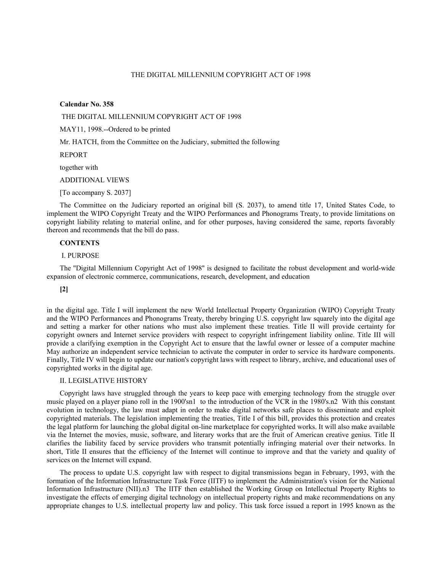**Calendar No. 358** 

THE DIGITAL MILLENNIUM COPYRIGHT ACT OF 1998

MAY11, 1998.--Ordered to be printed

Mr. HATCH, from the Committee on the Judiciary, submitted the following

REPORT

together with

ADDITIONAL VIEWS

[To accompany S. 2037]

The Committee on the Judiciary reported an original bill (S. 2037), to amend title 17, United States Code, to implement the WIPO Copyright Treaty and the WIPO Performances and Phonograms Treaty, to provide limitations on copyright liability relating to material online, and for other purposes, having considered the same, reports favorably thereon and recommends that the bill do pass.

# **CONTENTS**

I. PURPOSE

The ''Digital Millennium Copyright Act of 1998'' is designed to facilitate the robust development and world-wide expansion of electronic commerce, communications, research, development, and education

**[2]**

in the digital age. Title I will implement the new World Intellectual Property Organization (WIPO) Copyright Treaty and the WIPO Performances and Phonograms Treaty, thereby bringing U.S. copyright law squarely into the digital age and setting a marker for other nations who must also implement these treaties. Title II will provide certainty for copyright owners and Internet service providers with respect to copyright infringement liability online. Title III will provide a clarifying exemption in the Copyright Act to ensure that the lawful owner or lessee of a computer machine May authorize an independent service technician to activate the computer in order to service its hardware components. Finally, Title IV will begin to update our nation's copyright laws with respect to library, archive, and educational uses of copyrighted works in the digital age.

## II. LEGISLATIVE HISTORY

Copyright laws have struggled through the years to keep pace with emerging technology from the struggle over music played on a player piano roll in the 1900'sn1 to the introduction of the VCR in the 1980's.n2 With this constant evolution in technology, the law must adapt in order to make digital networks safe places to disseminate and exploit copyrighted materials. The legislation implementing the treaties, Title I of this bill, provides this protection and creates the legal platform for launching the global digital on-line marketplace for copyrighted works. It will also make available via the Internet the movies, music, software, and literary works that are the fruit of American creative genius. Title II clarifies the liability faced by service providers who transmit potentially infringing material over their networks. In short, Title II ensures that the efficiency of the Internet will continue to improve and that the variety and quality of services on the Internet will expand.

The process to update U.S. copyright law with respect to digital transmissions began in February, 1993, with the formation of the Information Infrastructure Task Force (IITF) to implement the Administration's vision for the National Information Infrastructure (NII).n3 The IITF then established the Working Group on Intellectual Property Rights to investigate the effects of emerging digital technology on intellectual property rights and make recommendations on any appropriate changes to U.S. intellectual property law and policy. This task force issued a report in 1995 known as the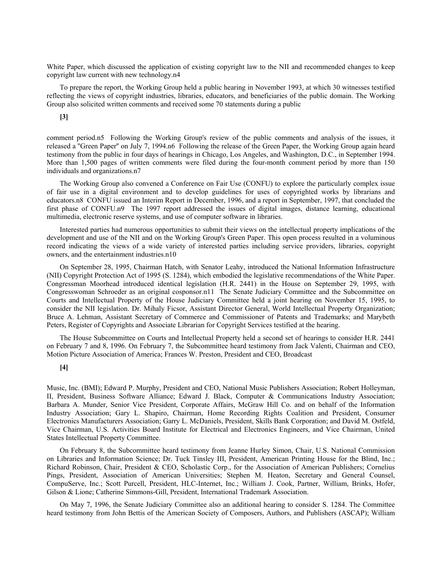White Paper, which discussed the application of existing copyright law to the NII and recommended changes to keep copyright law current with new technology.n4

To prepare the report, the Working Group held a public hearing in November 1993, at which 30 witnesses testified reflecting the views of copyright industries, libraries, educators, and beneficiaries of the public domain. The Working Group also solicited written comments and received some 70 statements during a public

#### **[3]**

comment period.n5 Following the Working Group's review of the public comments and analysis of the issues, it released a ''Green Paper'' on July 7, 1994.n6 Following the release of the Green Paper, the Working Group again heard testimony from the public in four days of hearings in Chicago, Los Angeles, and Washington, D.C., in September 1994. More than 1,500 pages of written comments were filed during the four-month comment period by more than 150 individuals and organizations.n7

The Working Group also convened a Conference on Fair Use (CONFU) to explore the particularly complex issue of fair use in a digital environment and to develop guidelines for uses of copyrighted works by librarians and educators.n8 CONFU issued an Interim Report in December, 1996, and a report in September, 1997, that concluded the first phase of CONFU.n9 The 1997 report addressed the issues of digital images, distance learning, educational multimedia, electronic reserve systems, and use of computer software in libraries.

Interested parties had numerous opportunities to submit their views on the intellectual property implications of the development and use of the NII and on the Working Group's Green Paper. This open process resulted in a voluminous record indicating the views of a wide variety of interested parties including service providers, libraries, copyright owners, and the entertainment industries.n10

On September 28, 1995, Chairman Hatch, with Senator Leahy, introduced the National Information Infrastructure (NII) Copyright Protection Act of 1995 (S. 1284), which embodied the legislative recommendations of the White Paper. Congressman Moorhead introduced identical legislation (H.R. 2441) in the House on September 29, 1995, with Congresswoman Schroeder as an original cosponsor.n11 The Senate Judiciary Committee and the Subcommittee on Courts and Intellectual Property of the House Judiciary Committee held a joint hearing on November 15, 1995, to consider the NII legislation. Dr. Mihaly Ficsor, Assistant Director General, World Intellectual Property Organization; Bruce A. Lehman, Assistant Secretary of Commerce and Commissioner of Patents and Trademarks; and Marybeth Peters, Register of Copyrights and Associate Librarian for Copyright Services testified at the hearing.

The House Subcommittee on Courts and Intellectual Property held a second set of hearings to consider H.R. 2441 on February 7 and 8, 1996. On February 7, the Subcommittee heard testimony from Jack Valenti, Chairman and CEO, Motion Picture Association of America; Frances W. Preston, President and CEO, Broadcast

### **[4]**

Music, Inc. (BMI); Edward P. Murphy, President and CEO, National Music Publishers Association; Robert Holleyman, II, President, Business Software Alliance; Edward J. Black, Computer & Communications Industry Association; Barbara A. Munder, Senior Vice President, Corporate Affairs, McGraw Hill Co. and on behalf of the Information Industry Association; Gary L. Shapiro, Chairman, Home Recording Rights Coalition and President, Consumer Electronics Manufacturers Association; Garry L. McDaniels, President, Skills Bank Corporation; and David M. Ostfeld, Vice Chairman, U.S. Activities Board Institute for Electrical and Electronics Engineers, and Vice Chairman, United States Intellectual Property Committee.

On February 8, the Subcommittee heard testimony from Jeanne Hurley Simon, Chair, U.S. National Commission on Libraries and Information Science; Dr. Tuck Tinsley III, President, American Printing House for the Blind, Inc.; Richard Robinson, Chair, President & CEO, Scholastic Corp., for the Association of American Publishers; Cornelius Pings, President, Association of American Universities; Stephen M. Heaton, Secretary and General Counsel, CompuServe, Inc.; Scott Purcell, President, HLC-Internet, Inc.; William J. Cook, Partner, William, Brinks, Hofer, Gilson & Lione; Catherine Simmons-Gill, President, International Trademark Association.

On May 7, 1996, the Senate Judiciary Committee also an additional hearing to consider S. 1284. The Committee heard testimony from John Bettis of the American Society of Composers, Authors, and Publishers (ASCAP); William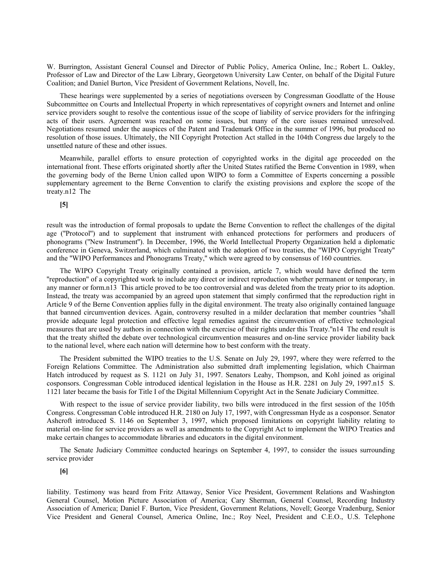W. Burrington, Assistant General Counsel and Director of Public Policy, America Online, Inc.; Robert L. Oakley, Professor of Law and Director of the Law Library, Georgetown University Law Center, on behalf of the Digital Future Coalition; and Daniel Burton, Vice President of Government Relations, Novell, Inc.

These hearings were supplemented by a series of negotiations overseen by Congressman Goodlatte of the House Subcommittee on Courts and Intellectual Property in which representatives of copyright owners and Internet and online service providers sought to resolve the contentious issue of the scope of liability of service providers for the infringing acts of their users. Agreement was reached on some issues, but many of the core issues remained unresolved. Negotiations resumed under the auspices of the Patent and Trademark Office in the summer of 1996, but produced no resolution of those issues. Ultimately, the NII Copyright Protection Act stalled in the 104th Congress due largely to the unsettled nature of these and other issues.

Meanwhile, parallel efforts to ensure protection of copyrighted works in the digital age proceeded on the international front. These efforts originated shortly after the United States ratified the Berne Convention in 1989, when the governing body of the Berne Union called upon WIPO to form a Committee of Experts concerning a possible supplementary agreement to the Berne Convention to clarify the existing provisions and explore the scope of the treaty.n12 The

## **[5]**

result was the introduction of formal proposals to update the Berne Convention to reflect the challenges of the digital age (''Protocol'') and to supplement that instrument with enhanced protections for performers and producers of phonograms (''New Instrument''). In December, 1996, the World Intellectual Property Organization held a diplomatic conference in Geneva, Switzerland, which culminated with the adoption of two treaties, the ''WIPO Copyright Treaty'' and the ''WIPO Performances and Phonograms Treaty,'' which were agreed to by consensus of 160 countries.

The WIPO Copyright Treaty originally contained a provision, article 7, which would have defined the term ''reproduction'' of a copyrighted work to include any direct or indirect reproduction whether permanent or temporary, in any manner or form.n13 This article proved to be too controversial and was deleted from the treaty prior to its adoption. Instead, the treaty was accompanied by an agreed upon statement that simply confirmed that the reproduction right in Article 9 of the Berne Convention applies fully in the digital environment. The treaty also originally contained language that banned circumvention devices. Again, controversy resulted in a milder declaration that member countries ''shall provide adequate legal protection and effective legal remedies against the circumvention of effective technological measures that are used by authors in connection with the exercise of their rights under this Treaty.''n14 The end result is that the treaty shifted the debate over technological circumvention measures and on-line service provider liability back to the national level, where each nation will determine how to best conform with the treaty.

The President submitted the WIPO treaties to the U.S. Senate on July 29, 1997, where they were referred to the Foreign Relations Committee. The Administration also submitted draft implementing legislation, which Chairman Hatch introduced by request as S. 1121 on July 31, 1997. Senators Leahy, Thompson, and Kohl joined as original cosponsors. Congressman Coble introduced identical legislation in the House as H.R. 2281 on July 29, 1997.n15 S. 1121 later became the basis for Title I of the Digital Millennium Copyright Act in the Senate Judiciary Committee.

With respect to the issue of service provider liability, two bills were introduced in the first session of the 105th Congress. Congressman Coble introduced H.R. 2180 on July 17, 1997, with Congressman Hyde as a cosponsor. Senator Ashcroft introduced S. 1146 on September 3, 1997, which proposed limitations on copyright liability relating to material on-line for service providers as well as amendments to the Copyright Act to implement the WIPO Treaties and make certain changes to accommodate libraries and educators in the digital environment.

The Senate Judiciary Committee conducted hearings on September 4, 1997, to consider the issues surrounding service provider

### **[6]**

liability. Testimony was heard from Fritz Attaway, Senior Vice President, Government Relations and Washington General Counsel, Motion Picture Association of America; Cary Sherman, General Counsel, Recording Industry Association of America; Daniel F. Burton, Vice President, Government Relations, Novell; George Vradenburg, Senior Vice President and General Counsel, America Online, Inc.; Roy Neel, President and C.E.O., U.S. Telephone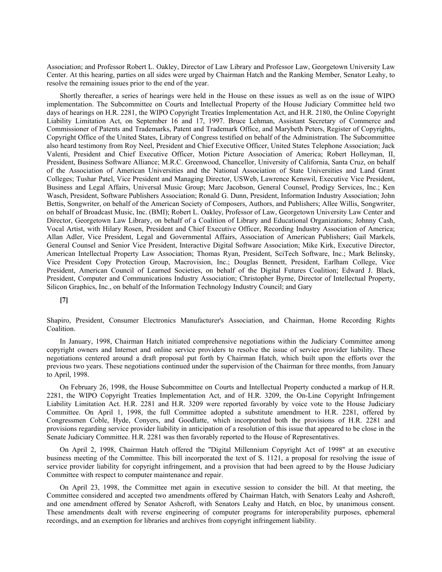Association; and Professor Robert L. Oakley, Director of Law Library and Professor Law, Georgetown University Law Center. At this hearing, parties on all sides were urged by Chairman Hatch and the Ranking Member, Senator Leahy, to resolve the remaining issues prior to the end of the year.

Shortly thereafter, a series of hearings were held in the House on these issues as well as on the issue of WIPO implementation. The Subcommittee on Courts and Intellectual Property of the House Judiciary Committee held two days of hearings on H.R. 2281, the WIPO Copyright Treaties Implementation Act, and H.R. 2180, the Online Copyright Liability Limitation Act, on September 16 and 17, 1997. Bruce Lehman, Assistant Secretary of Commerce and Commissioner of Patents and Trademarks, Patent and Trademark Office, and Marybeth Peters, Register of Copyrights, Copyright Office of the United States, Library of Congress testified on behalf of the Administration. The Subcommittee also heard testimony from Roy Neel, President and Chief Executive Officer, United States Telephone Association; Jack Valenti, President and Chief Executive Officer, Motion Picture Association of America; Robert Holleyman, II, President, Business Software Alliance; M.R.C. Greenwood, Chancellor, University of California, Santa Cruz, on behalf of the Association of American Universities and the National Association of State Universities and Land Grant Colleges; Tushar Patel, Vice President and Managing Director, USWeb, Lawrence Kenswil, Executive Vice President, Business and Legal Affairs, Universal Music Group; Marc Jacobson, General Counsel, Prodigy Services, Inc.; Ken Wasch, President, Software Publishers Association; Ronald G. Dunn, President, Information Industry Association; John Bettis, Songwriter, on behalf of the American Society of Composers, Authors, and Publishers; Allee Willis, Songwriter, on behalf of Broadcast Music, Inc. (BMI); Robert L. Oakley, Professor of Law, Georgetown University Law Center and Director, Georgetown Law Library, on behalf of a Coalition of Library and Educational Organizations; Johnny Cash, Vocal Artist, with Hilary Rosen, President and Chief Executive Officer, Recording Industry Association of America; Allan Adler, Vice President, Legal and Governmental Affairs, Association of American Publishers; Gail Markels, General Counsel and Senior Vice President, Interactive Digital Software Association; Mike Kirk, Executive Director, American Intellectual Property Law Association; Thomas Ryan, President, SciTech Software, Inc.; Mark Belinsky, Vice President Copy Protection Group, Macrovision, Inc.; Douglas Bennett, President, Earlham College, Vice President, American Council of Learned Societies, on behalf of the Digital Futures Coalition; Edward J. Black, President, Computer and Communications Industry Association; Christopher Byrne, Director of Intellectual Property, Silicon Graphics, Inc., on behalf of the Information Technology Industry Council; and Gary

### **[7]**

Shapiro, President, Consumer Electronics Manufacturer's Association, and Chairman, Home Recording Rights Coalition.

In January, 1998, Chairman Hatch initiated comprehensive negotiations within the Judiciary Committee among copyright owners and Internet and online service providers to resolve the issue of service provider liability. These negotiations centered around a draft proposal put forth by Chairman Hatch, which built upon the efforts over the previous two years. These negotiations continued under the supervision of the Chairman for three months, from January to April, 1998.

On February 26, 1998, the House Subcommittee on Courts and Intellectual Property conducted a markup of H.R. 2281, the WIPO Copyright Treaties Implementation Act, and of H.R. 3209, the On-Line Copyright Infringement Liability Limitation Act. H.R. 2281 and H.R. 3209 were reported favorably by voice vote to the House Judiciary Committee. On April 1, 1998, the full Committee adopted a substitute amendment to H.R. 2281, offered by Congressmen Coble, Hyde, Conyers, and Goodlatte, which incorporated both the provisions of H.R. 2281 and provisions regarding service provider liability in anticipation of a resolution of this issue that appeared to be close in the Senate Judiciary Committee. H.R. 2281 was then favorably reported to the House of Representatives.

On April 2, 1998, Chairman Hatch offered the ''Digital Millennium Copyright Act of 1998'' at an executive business meeting of the Committee. This bill incorporated the text of S. 1121, a proposal for resolving the issue of service provider liability for copyright infringement, and a provision that had been agreed to by the House Judiciary Committee with respect to computer maintenance and repair.

On April 23, 1998, the Committee met again in executive session to consider the bill. At that meeting, the Committee considered and accepted two amendments offered by Chairman Hatch, with Senators Leahy and Ashcroft, and one amendment offered by Senator Ashcroft, with Senators Leahy and Hatch, en bloc, by unanimous consent. These amendments dealt with reverse engineering of computer programs for interoperability purposes, ephemeral recordings, and an exemption for libraries and archives from copyright infringement liability.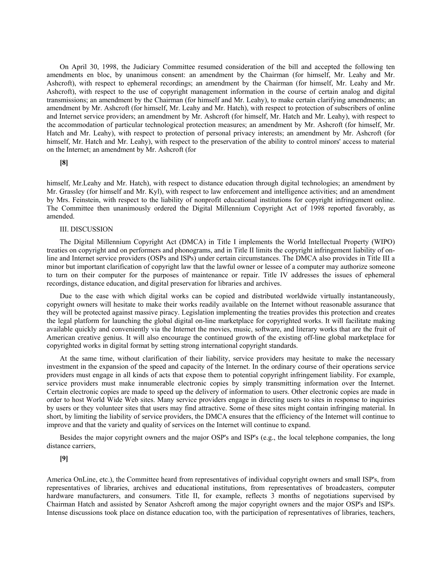On April 30, 1998, the Judiciary Committee resumed consideration of the bill and accepted the following ten amendments en bloc, by unanimous consent: an amendment by the Chairman (for himself, Mr. Leahy and Mr. Ashcroft), with respect to ephemeral recordings; an amendment by the Chairman (for himself, Mr. Leahy and Mr. Ashcroft), with respect to the use of copyright management information in the course of certain analog and digital transmissions; an amendment by the Chairman (for himself and Mr. Leahy), to make certain clarifying amendments; an amendment by Mr. Ashcroft (for himself, Mr. Leahy and Mr. Hatch), with respect to protection of subscribers of online and Internet service providers; an amendment by Mr. Ashcroft (for himself, Mr. Hatch and Mr. Leahy), with respect to the accommodation of particular technological protection measures; an amendment by Mr. Ashcroft (for himself, Mr. Hatch and Mr. Leahy), with respect to protection of personal privacy interests; an amendment by Mr. Ashcroft (for himself, Mr. Hatch and Mr. Leahy), with respect to the preservation of the ability to control minors' access to material on the Internet; an amendment by Mr. Ashcroft (for

## **[8]**

himself, Mr.Leahy and Mr. Hatch), with respect to distance education through digital technologies; an amendment by Mr. Grassley (for himself and Mr. Kyl), with respect to law enforcement and intelligence activities; and an amendment by Mrs. Feinstein, with respect to the liability of nonprofit educational institutions for copyright infringement online. The Committee then unanimously ordered the Digital Millennium Copyright Act of 1998 reported favorably, as amended.

### III. DISCUSSION

The Digital Millennium Copyright Act (DMCA) in Title I implements the World Intellectual Property (WIPO) treaties on copyright and on performers and phonograms, and in Title II limits the copyright infringement liability of online and Internet service providers (OSPs and ISPs) under certain circumstances. The DMCA also provides in Title III a minor but important clarification of copyright law that the lawful owner or lessee of a computer may authorize someone to turn on their computer for the purposes of maintenance or repair. Title IV addresses the issues of ephemeral recordings, distance education, and digital preservation for libraries and archives.

Due to the ease with which digital works can be copied and distributed worldwide virtually instantaneously, copyright owners will hesitate to make their works readily available on the Internet without reasonable assurance that they will be protected against massive piracy. Legislation implementing the treaties provides this protection and creates the legal platform for launching the global digital on-line marketplace for copyrighted works. It will facilitate making available quickly and conveniently via the Internet the movies, music, software, and literary works that are the fruit of American creative genius. It will also encourage the continued growth of the existing off-line global marketplace for copyrighted works in digital format by setting strong international copyright standards.

At the same time, without clarification of their liability, service providers may hesitate to make the necessary investment in the expansion of the speed and capacity of the Internet. In the ordinary course of their operations service providers must engage in all kinds of acts that expose them to potential copyright infringement liability. For example, service providers must make innumerable electronic copies by simply transmitting information over the Internet. Certain electronic copies are made to speed up the delivery of information to users. Other electronic copies are made in order to host World Wide Web sites. Many service providers engage in directing users to sites in response to inquiries by users or they volunteer sites that users may find attractive. Some of these sites might contain infringing material. In short, by limiting the liability of service providers, the DMCA ensures that the efficiency of the Internet will continue to improve and that the variety and quality of services on the Internet will continue to expand.

Besides the major copyright owners and the major OSP's and ISP's (e.g., the local telephone companies, the long distance carriers,

## **[9]**

America OnLine, etc.), the Committee heard from representatives of individual copyright owners and small ISP's, from representatives of libraries, archives and educational institutions, from representatives of broadcasters, computer hardware manufacturers, and consumers. Title II, for example, reflects 3 months of negotiations supervised by Chairman Hatch and assisted by Senator Ashcroft among the major copyright owners and the major OSP's and ISP's. Intense discussions took place on distance education too, with the participation of representatives of libraries, teachers,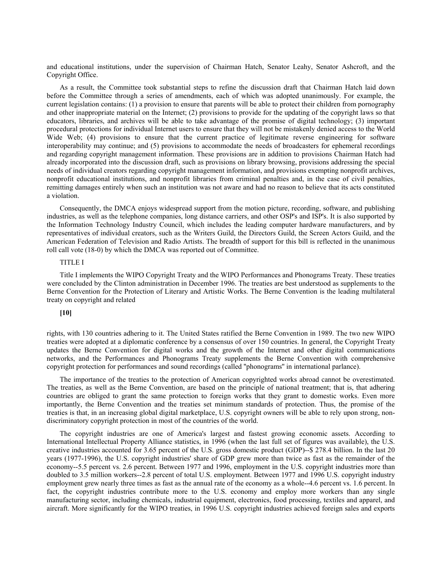and educational institutions, under the supervision of Chairman Hatch, Senator Leahy, Senator Ashcroft, and the Copyright Office.

As a result, the Committee took substantial steps to refine the discussion draft that Chairman Hatch laid down before the Committee through a series of amendments, each of which was adopted unanimously. For example, the current legislation contains: (1) a provision to ensure that parents will be able to protect their children from pornography and other inappropriate material on the Internet; (2) provisions to provide for the updating of the copyright laws so that educators, libraries, and archives will be able to take advantage of the promise of digital technology; (3) important procedural protections for individual Internet users to ensure that they will not be mistakenly denied access to the World Wide Web; (4) provisions to ensure that the current practice of legitimate reverse engineering for software interoperability may continue; and (5) provisions to accommodate the needs of broadcasters for ephemeral recordings and regarding copyright management information. These provisions are in addition to provisions Chairman Hatch had already incorporated into the discussion draft, such as provisions on library browsing, provisions addressing the special needs of individual creators regarding copyright management information, and provisions exempting nonprofit archives, nonprofit educational institutions, and nonprofit libraries from criminal penalties and, in the case of civil penalties, remitting damages entirely when such an institution was not aware and had no reason to believe that its acts constituted a violation.

Consequently, the DMCA enjoys widespread support from the motion picture, recording, software, and publishing industries, as well as the telephone companies, long distance carriers, and other OSP's and ISP's. It is also supported by the Information Technology Industry Council, which includes the leading computer hardware manufacturers, and by representatives of individual creators, such as the Writers Guild, the Directors Guild, the Screen Actors Guild, and the American Federation of Television and Radio Artists. The breadth of support for this bill is reflected in the unanimous roll call vote (18-0) by which the DMCA was reported out of Committee.

## TITLE I

Title I implements the WIPO Copyright Treaty and the WIPO Performances and Phonograms Treaty. These treaties were concluded by the Clinton administration in December 1996. The treaties are best understood as supplements to the Berne Convention for the Protection of Literary and Artistic Works. The Berne Convention is the leading multilateral treaty on copyright and related

# **[10]**

rights, with 130 countries adhering to it. The United States ratified the Berne Convention in 1989. The two new WIPO treaties were adopted at a diplomatic conference by a consensus of over 150 countries. In general, the Copyright Treaty updates the Berne Convention for digital works and the growth of the Internet and other digital communications networks, and the Performances and Phonograms Treaty supplements the Berne Convention with comprehensive copyright protection for performances and sound recordings (called ''phonograms'' in international parlance).

The importance of the treaties to the protection of American copyrighted works abroad cannot be overestimated. The treaties, as well as the Berne Convention, are based on the principle of national treatment; that is, that adhering countries are obliged to grant the same protection to foreign works that they grant to domestic works. Even more importantly, the Berne Convention and the treaties set minimum standards of protection. Thus, the promise of the treaties is that, in an increasing global digital marketplace, U.S. copyright owners will be able to rely upon strong, nondiscriminatory copyright protection in most of the countries of the world.

The copyright industries are one of America's largest and fastest growing economic assets. According to International Intellectual Property Alliance statistics, in 1996 (when the last full set of figures was available), the U.S. creative industries accounted for 3.65 percent of the U.S. gross domestic product (GDP)--\$ 278.4 billion. In the last 20 years (1977-1996), the U.S. copyright industries' share of GDP grew more than twice as fast as the remainder of the economy--5.5 percent vs. 2.6 percent. Between 1977 and 1996, employment in the U.S. copyright industries more than doubled to 3.5 million workers--2.8 percent of total U.S. employment. Between 1977 and 1996 U.S. copyright industry employment grew nearly three times as fast as the annual rate of the economy as a whole--4.6 percent vs. 1.6 percent. In fact, the copyright industries contribute more to the U.S. economy and employ more workers than any single manufacturing sector, including chemicals, industrial equipment, electronics, food processing, textiles and apparel, and aircraft. More significantly for the WIPO treaties, in 1996 U.S. copyright industries achieved foreign sales and exports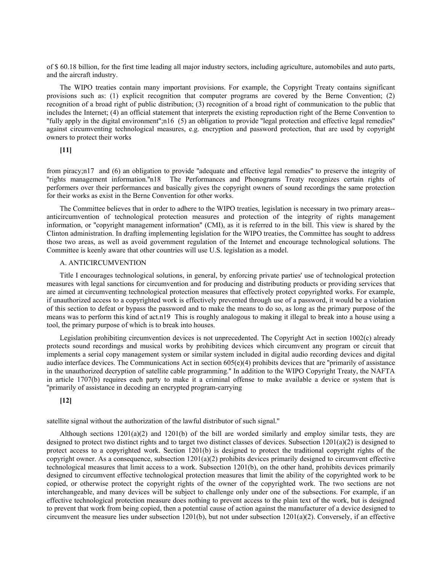of \$ 60.18 billion, for the first time leading all major industry sectors, including agriculture, automobiles and auto parts, and the aircraft industry.

The WIPO treaties contain many important provisions. For example, the Copyright Treaty contains significant provisions such as: (1) explicit recognition that computer programs are covered by the Berne Convention; (2) recognition of a broad right of public distribution; (3) recognition of a broad right of communication to the public that includes the Internet; (4) an official statement that interprets the existing reproduction right of the Berne Convention to ''fully apply in the digital environment'';n16 (5) an obligation to provide ''legal protection and effective legal remedies'' against circumventing technological measures, e.g. encryption and password protection, that are used by copyright owners to protect their works

## **[11]**

from piracy;n17 and (6) an obligation to provide "adequate and effective legal remedies" to preserve the integrity of "rights management information."n18 The Performances and Phonograms Treaty recognizes certain rights of performers over their performances and basically gives the copyright owners of sound recordings the same protection for their works as exist in the Berne Convention for other works.

The Committee believes that in order to adhere to the WIPO treaties, legislation is necessary in two primary areas- anticircumvention of technological protection measures and protection of the integrity of rights management information, or ''copyright management information'' (CMI), as it is referred to in the bill. This view is shared by the Clinton administration. In drafting implementing legislation for the WIPO treaties, the Committee has sought to address those two areas, as well as avoid government regulation of the Internet and encourage technological solutions. The Committee is keenly aware that other countries will use U.S. legislation as a model.

## A. ANTICIRCUMVENTION

Title I encourages technological solutions, in general, by enforcing private parties' use of technological protection measures with legal sanctions for circumvention and for producing and distributing products or providing services that are aimed at circumventing technological protection measures that effectively protect copyrighted works. For example, if unauthorized access to a copyrighted work is effectively prevented through use of a password, it would be a violation of this section to defeat or bypass the password and to make the means to do so, as long as the primary purpose of the means was to perform this kind of act.n19 This is roughly analogous to making it illegal to break into a house using a tool, the primary purpose of which is to break into houses.

Legislation prohibiting circumvention devices is not unprecedented. The Copyright Act in section 1002(c) already protects sound recordings and musical works by prohibiting devices which circumvent any program or circuit that implements a serial copy management system or similar system included in digital audio recording devices and digital audio interface devices. The Communications Act in section  $605(e)(4)$  prohibits devices that are "primarily of assistance in the unauthorized decryption of satellite cable programming.'' In addition to the WIPO Copyright Treaty, the NAFTA in article 1707(b) requires each party to make it a criminal offense to make available a device or system that is ''primarily of assistance in decoding an encrypted program-carrying

## **[12]**

satellite signal without the authorization of the lawful distributor of such signal.''

Although sections  $1201(a)(2)$  and  $1201(b)$  of the bill are worded similarly and employ similar tests, they are designed to protect two distinct rights and to target two distinct classes of devices. Subsection 1201(a)(2) is designed to protect access to a copyrighted work. Section 1201(b) is designed to protect the traditional copyright rights of the copyright owner. As a consequence, subsection  $1201(a)(2)$  prohibits devices primarily designed to circumvent effective technological measures that limit access to a work. Subsection 1201(b), on the other hand, prohibits devices primarily designed to circumvent effective technological protection measures that limit the ability of the copyrighted work to be copied, or otherwise protect the copyright rights of the owner of the copyrighted work. The two sections are not interchangeable, and many devices will be subject to challenge only under one of the subsections. For example, if an effective technological protection measure does nothing to prevent access to the plain text of the work, but is designed to prevent that work from being copied, then a potential cause of action against the manufacturer of a device designed to circumvent the measure lies under subsection  $1201(b)$ , but not under subsection  $1201(a)(2)$ . Conversely, if an effective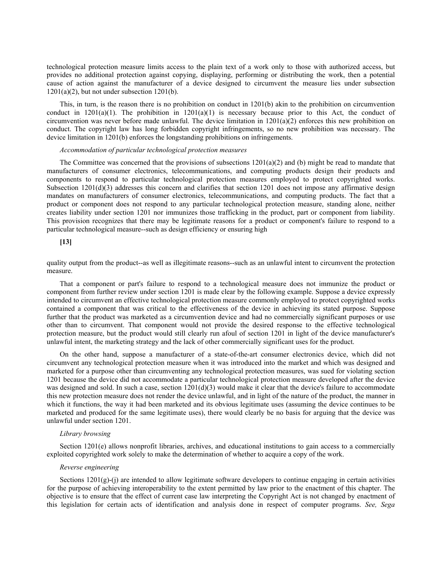technological protection measure limits access to the plain text of a work only to those with authorized access, but provides no additional protection against copying, displaying, performing or distributing the work, then a potential cause of action against the manufacturer of a device designed to circumvent the measure lies under subsection  $1201(a)(2)$ , but not under subsection  $1201(b)$ .

This, in turn, is the reason there is no prohibition on conduct in 1201(b) akin to the prohibition on circumvention conduct in  $1201(a)(1)$ . The prohibition in  $1201(a)(1)$  is necessary because prior to this Act, the conduct of circumvention was never before made unlawful. The device limitation in  $1201(a)(2)$  enforces this new prohibition on conduct. The copyright law has long forbidden copyright infringements, so no new prohibition was necessary. The device limitation in 1201(b) enforces the longstanding prohibitions on infringements.

### *Accommodation of particular technological protection measures*

The Committee was concerned that the provisions of subsections  $1201(a)(2)$  and (b) might be read to mandate that manufacturers of consumer electronics, telecommunications, and computing products design their products and components to respond to particular technological protection measures employed to protect copyrighted works. Subsection 1201(d)(3) addresses this concern and clarifies that section 1201 does not impose any affirmative design mandates on manufacturers of consumer electronics, telecommunications, and computing products. The fact that a product or component does not respond to any particular technological protection measure, standing alone, neither creates liability under section 1201 nor immunizes those trafficking in the product, part or component from liability. This provision recognizes that there may be legitimate reasons for a product or component's failure to respond to a particular technological measure--such as design efficiency or ensuring high

# **[13]**

quality output from the product--as well as illegitimate reasons--such as an unlawful intent to circumvent the protection measure.

That a component or part's failure to respond to a technological measure does not immunize the product or component from further review under section 1201 is made clear by the following example. Suppose a device expressly intended to circumvent an effective technological protection measure commonly employed to protect copyrighted works contained a component that was critical to the effectiveness of the device in achieving its stated purpose. Suppose further that the product was marketed as a circumvention device and had no commercially significant purposes or use other than to circumvent. That component would not provide the desired response to the effective technological protection measure, but the product would still clearly run afoul of section 1201 in light of the device manufacturer's unlawful intent, the marketing strategy and the lack of other commercially significant uses for the product.

On the other hand, suppose a manufacturer of a state-of-the-art consumer electronics device, which did not circumvent any technological protection measure when it was introduced into the market and which was designed and marketed for a purpose other than circumventing any technological protection measures, was sued for violating section 1201 because the device did not accommodate a particular technological protection measure developed after the device was designed and sold. In such a case, section  $1201(d)(3)$  would make it clear that the device's failure to accommodate this new protection measure does not render the device unlawful, and in light of the nature of the product, the manner in which it functions, the way it had been marketed and its obvious legitimate uses (assuming the device continues to be marketed and produced for the same legitimate uses), there would clearly be no basis for arguing that the device was unlawful under section 1201.

#### *Library browsing*

Section 1201(e) allows nonprofit libraries, archives, and educational institutions to gain access to a commercially exploited copyrighted work solely to make the determination of whether to acquire a copy of the work.

#### *Reverse engineering*

Sections 1201(g)-(j) are intended to allow legitimate software developers to continue engaging in certain activities for the purpose of achieving interoperability to the extent permitted by law prior to the enactment of this chapter. The objective is to ensure that the effect of current case law interpreting the Copyright Act is not changed by enactment of this legislation for certain acts of identification and analysis done in respect of computer programs. *See, Sega*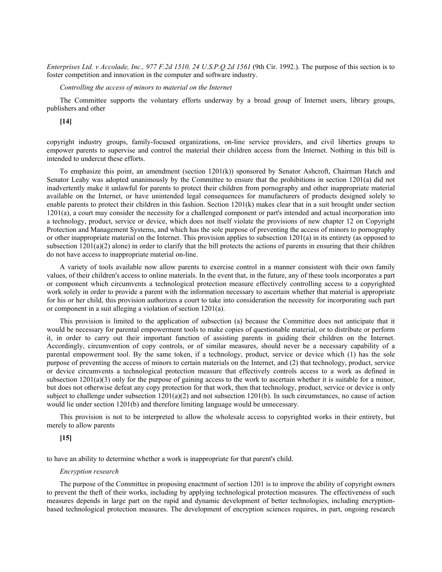*Enterprises Ltd. v Accolade, Inc., 977 F.2d 1510, 24 U.S.P.Q.2d 1561* (9th Cir. 1992.). The purpose of this section is to foster competition and innovation in the computer and software industry.

## *Controlling the access of minors to material on the Internet*

The Committee supports the voluntary efforts underway by a broad group of Internet users, library groups, publishers and other

**[14]**

copyright industry groups, family-focused organizations, on-line service providers, and civil liberties groups to empower parents to supervise and control the material their children access from the Internet. Nothing in this bill is intended to undercut these efforts.

To emphasize this point, an amendment (section 1201(k)) sponsored by Senator Ashcroft, Chairman Hatch and Senator Leahy was adopted unanimously by the Committee to ensure that the prohibitions in section 1201(a) did not inadvertently make it unlawful for parents to protect their children from pornography and other inappropriate material available on the Internet, or have unintended legal consequences for manufacturers of products designed solely to enable parents to protect their children in this fashion. Section 1201(k) makes clear that in a suit brought under section 1201(a), a court may consider the necessity for a challenged component or part's intended and actual incorporation into a technology, product, service or device, which does not itself violate the provisions of new chapter 12 on Copyright Protection and Management Systems, and which has the sole purpose of preventing the access of minors to pornography or other inappropriate material on the Internet. This provision applies to subsection 1201(a) in its entirety (as opposed to subsection  $1201(a)(2)$  alone) in order to clarify that the bill protects the actions of parents in ensuring that their children do not have access to inappropriate material on-line.

A variety of tools available now allow parents to exercise control in a manner consistent with their own family values, of their children's access to online materials. In the event that, in the future, any of these tools incorporates a part or component which circumvents a technological protection measure effectively controlling access to a copyrighted work solely in order to provide a parent with the information necessary to ascertain whether that material is appropriate for his or her child, this provision authorizes a court to take into consideration the necessity for incorporating such part or component in a suit alleging a violation of section 1201(a).

This provision is limited to the application of subsection (a) because the Committee does not anticipate that it would be necessary for parental empowerment tools to make copies of questionable material, or to distribute or perform it, in order to carry out their important function of assisting parents in guiding their children on the Internet. Accordingly, circumvention of copy controls, or of similar measures, should never be a necessary capability of a parental empowerment tool. By the same token, if a technology, product, service or device which (1) has the sole purpose of preventing the access of minors to certain materials on the Internet, and (2) that technology, product, service or device circumvents a technological protection measure that effectively controls access to a work as defined in subsection  $1201(a)(3)$  only for the purpose of gaining access to the work to ascertain whether it is suitable for a minor, but does not otherwise defeat any copy protection for that work, then that technology, product, service or device is only subject to challenge under subsection  $1201(a)(2)$  and not subsection  $1201(b)$ . In such circumstances, no cause of action would lie under section 1201(b) and therefore limiting language would be unnecessary.

This provision is not to be interpreted to allow the wholesale access to copyrighted works in their entirety, but merely to allow parents

# **[15]**

to have an ability to determine whether a work is inappropriate for that parent's child.

### *Encryption research*

The purpose of the Committee in proposing enactment of section 1201 is to improve the ability of copyright owners to prevent the theft of their works, including by applying technological protection measures. The effectiveness of such measures depends in large part on the rapid and dynamic development of better technologies, including encryptionbased technological protection measures. The development of encryption sciences requires, in part, ongoing research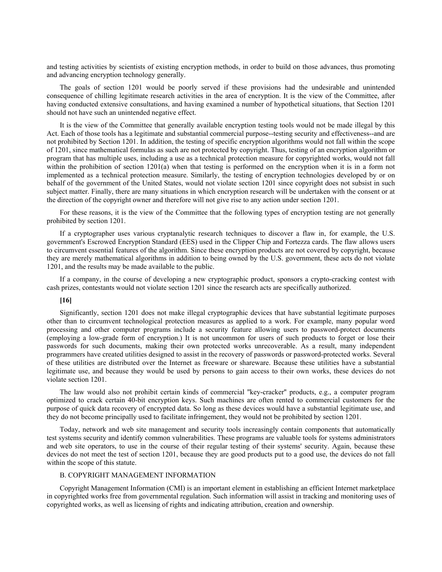and testing activities by scientists of existing encryption methods, in order to build on those advances, thus promoting and advancing encryption technology generally.

The goals of section 1201 would be poorly served if these provisions had the undesirable and unintended consequence of chilling legitimate research activities in the area of encryption. It is the view of the Committee, after having conducted extensive consultations, and having examined a number of hypothetical situations, that Section 1201 should not have such an unintended negative effect.

It is the view of the Committee that generally available encryption testing tools would not be made illegal by this Act. Each of those tools has a legitimate and substantial commercial purpose--testing security and effectiveness--and are not prohibited by Section 1201. In addition, the testing of specific encryption algorithms would not fall within the scope of 1201, since mathematical formulas as such are not protected by copyright. Thus, testing of an encryption algorithm or program that has multiple uses, including a use as a technical protection measure for copyrighted works, would not fall within the prohibition of section 1201(a) when that testing is performed on the encryption when it is in a form not implemented as a technical protection measure. Similarly, the testing of encryption technologies developed by or on behalf of the government of the United States, would not violate section 1201 since copyright does not subsist in such subject matter. Finally, there are many situations in which encryption research will be undertaken with the consent or at the direction of the copyright owner and therefore will not give rise to any action under section 1201.

For these reasons, it is the view of the Committee that the following types of encryption testing are not generally prohibited by section 1201.

If a cryptographer uses various cryptanalytic research techniques to discover a flaw in, for example, the U.S. government's Escrowed Encryption Standard (EES) used in the Clipper Chip and Fortezza cards. The flaw allows users to circumvent essential features of the algorithm. Since these encryption products are not covered by copyright, because they are merely mathematical algorithms in addition to being owned by the U.S. government, these acts do not violate 1201, and the results may be made available to the public.

If a company, in the course of developing a new cryptographic product, sponsors a crypto-cracking contest with cash prizes, contestants would not violate section 1201 since the research acts are specifically authorized.

## **[16]**

Significantly, section 1201 does not make illegal cryptographic devices that have substantial legitimate purposes other than to circumvent technological protection measures as applied to a work. For example, many popular word processing and other computer programs include a security feature allowing users to password-protect documents (employing a low-grade form of encryption.) It is not uncommon for users of such products to forget or lose their passwords for such documents, making their own protected works unrecoverable. As a result, many independent programmers have created utilities designed to assist in the recovery of passwords or password-protected works. Several of these utilities are distributed over the Internet as freeware or shareware. Because these utilities have a substantial legitimate use, and because they would be used by persons to gain access to their own works, these devices do not violate section 1201.

The law would also not prohibit certain kinds of commercial ''key-cracker'' products, e.g., a computer program optimized to crack certain 40-bit encryption keys. Such machines are often rented to commercial customers for the purpose of quick data recovery of encrypted data. So long as these devices would have a substantial legitimate use, and they do not become principally used to facilitate infringement, they would not be prohibited by section 1201.

Today, network and web site management and security tools increasingly contain components that automatically test systems security and identify common vulnerabilities. These programs are valuable tools for systems administrators and web site operators, to use in the course of their regular testing of their systems' security. Again, because these devices do not meet the test of section 1201, because they are good products put to a good use, the devices do not fall within the scope of this statute.

### B. COPYRIGHT MANAGEMENT INFORMATION

Copyright Management Information (CMI) is an important element in establishing an efficient Internet marketplace in copyrighted works free from governmental regulation. Such information will assist in tracking and monitoring uses of copyrighted works, as well as licensing of rights and indicating attribution, creation and ownership.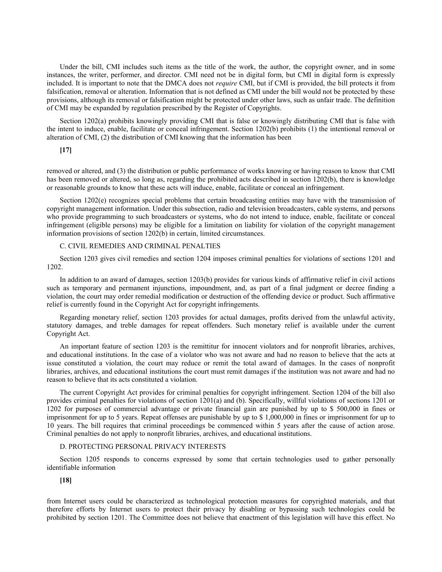Under the bill, CMI includes such items as the title of the work, the author, the copyright owner, and in some instances, the writer, performer, and director. CMI need not be in digital form, but CMI in digital form is expressly included. It is important to note that the DMCA does not *require* CMI, but if CMI is provided, the bill protects it from falsification, removal or alteration. Information that is not defined as CMI under the bill would not be protected by these provisions, although its removal or falsification might be protected under other laws, such as unfair trade. The definition of CMI may be expanded by regulation prescribed by the Register of Copyrights.

Section 1202(a) prohibits knowingly providing CMI that is false or knowingly distributing CMI that is false with the intent to induce, enable, facilitate or conceal infringement. Section 1202(b) prohibits (1) the intentional removal or alteration of CMI, (2) the distribution of CMI knowing that the information has been

## **[17]**

removed or altered, and (3) the distribution or public performance of works knowing or having reason to know that CMI has been removed or altered, so long as, regarding the prohibited acts described in section 1202(b), there is knowledge or reasonable grounds to know that these acts will induce, enable, facilitate or conceal an infringement.

Section 1202(e) recognizes special problems that certain broadcasting entities may have with the transmission of copyright management information. Under this subsection, radio and television broadcasters, cable systems, and persons who provide programming to such broadcasters or systems, who do not intend to induce, enable, facilitate or conceal infringement (eligible persons) may be eligible for a limitation on liability for violation of the copyright management information provisions of section 1202(b) in certain, limited circumstances.

## C. CIVIL REMEDIES AND CRIMINAL PENALTIES

Section 1203 gives civil remedies and section 1204 imposes criminal penalties for violations of sections 1201 and 1202.

In addition to an award of damages, section 1203(b) provides for various kinds of affirmative relief in civil actions such as temporary and permanent injunctions, impoundment, and, as part of a final judgment or decree finding a violation, the court may order remedial modification or destruction of the offending device or product. Such affirmative relief is currently found in the Copyright Act for copyright infringements.

Regarding monetary relief, section 1203 provides for actual damages, profits derived from the unlawful activity, statutory damages, and treble damages for repeat offenders. Such monetary relief is available under the current Copyright Act.

An important feature of section 1203 is the remittitur for innocent violators and for nonprofit libraries, archives, and educational institutions. In the case of a violator who was not aware and had no reason to believe that the acts at issue constituted a violation, the court may reduce or remit the total award of damages. In the cases of nonprofit libraries, archives, and educational institutions the court must remit damages if the institution was not aware and had no reason to believe that its acts constituted a violation.

The current Copyright Act provides for criminal penalties for copyright infringement. Section 1204 of the bill also provides criminal penalties for violations of section 1201(a) and (b). Specifically, willful violations of sections 1201 or 1202 for purposes of commercial advantage or private financial gain are punished by up to \$ 500,000 in fines or imprisonment for up to 5 years. Repeat offenses are punishable by up to \$ 1,000,000 in fines or imprisonment for up to 10 years. The bill requires that criminal proceedings be commenced within 5 years after the cause of action arose. Criminal penalties do not apply to nonprofit libraries, archives, and educational institutions.

## D. PROTECTING PERSONAL PRIVACY INTERESTS

Section 1205 responds to concerns expressed by some that certain technologies used to gather personally identifiable information

# **[18]**

from Internet users could be characterized as technological protection measures for copyrighted materials, and that therefore efforts by Internet users to protect their privacy by disabling or bypassing such technologies could be prohibited by section 1201. The Committee does not believe that enactment of this legislation will have this effect. No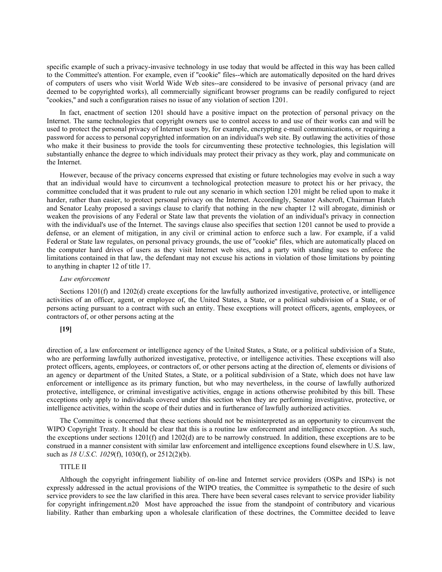specific example of such a privacy-invasive technology in use today that would be affected in this way has been called to the Committee's attention. For example, even if ''cookie'' files--which are automatically deposited on the hard drives of computers of users who visit World Wide Web sites--are considered to be invasive of personal privacy (and are deemed to be copyrighted works), all commercially significant browser programs can be readily configured to reject "cookies," and such a configuration raises no issue of any violation of section 1201.

In fact, enactment of section 1201 should have a positive impact on the protection of personal privacy on the Internet. The same technologies that copyright owners use to control access to and use of their works can and will be used to protect the personal privacy of Internet users by, for example, encrypting e-mail communications, or requiring a password for access to personal copyrighted information on an individual's web site. By outlawing the activities of those who make it their business to provide the tools for circumventing these protective technologies, this legislation will substantially enhance the degree to which individuals may protect their privacy as they work, play and communicate on the Internet.

However, because of the privacy concerns expressed that existing or future technologies may evolve in such a way that an individual would have to circumvent a technological protection measure to protect his or her privacy, the committee concluded that it was prudent to rule out any scenario in which section 1201 might be relied upon to make it harder, rather than easier, to protect personal privacy on the Internet. Accordingly, Senator Ashcroft, Chairman Hatch and Senator Leahy proposed a savings clause to clarify that nothing in the new chapter 12 will abrogate, diminish or weaken the provisions of any Federal or State law that prevents the violation of an individual's privacy in connection with the individual's use of the Internet. The savings clause also specifies that section 1201 cannot be used to provide a defense, or an element of mitigation, in any civil or criminal action to enforce such a law. For example, if a valid Federal or State law regulates, on personal privacy grounds, the use of ''cookie'' files, which are automatically placed on the computer hard drives of users as they visit Internet web sites, and a party with standing sues to enforce the limitations contained in that law, the defendant may not excuse his actions in violation of those limitations by pointing to anything in chapter 12 of title 17.

### *Law enforcement*

Sections 1201(f) and 1202(d) create exceptions for the lawfully authorized investigative, protective, or intelligence activities of an officer, agent, or employee of, the United States, a State, or a political subdivision of a State, or of persons acting pursuant to a contract with such an entity. These exceptions will protect officers, agents, employees, or contractors of, or other persons acting at the

## **[19]**

direction of, a law enforcement or intelligence agency of the United States, a State, or a political subdivision of a State, who are performing lawfully authorized investigative, protective, or intelligence activities. These exceptions will also protect officers, agents, employees, or contractors of, or other persons acting at the direction of, elements or divisions of an agency or department of the United States, a State, or a political subdivision of a State, which does not have law enforcement or intelligence as its primary function, but who may nevertheless, in the course of lawfully authorized protective, intelligence, or criminal investigative activities, engage in actions otherwise prohibited by this bill. These exceptions only apply to individuals covered under this section when they are performing investigative, protective, or intelligence activities, within the scope of their duties and in furtherance of lawfully authorized activities.

The Committee is concerned that these sections should not be misinterpreted as an opportunity to circumvent the WIPO Copyright Treaty. It should be clear that this is a routine law enforcement and intelligence exception. As such, the exceptions under sections 1201(f) and 1202(d) are to be narrowly construed. In addition, these exceptions are to be construed in a manner consistent with similar law enforcement and intelligence exceptions found elsewhere in U.S. law, such as *18 U.S.C. 1029*(f), 1030(f), or 2512(2)(b).

## TITLE II

Although the copyright infringement liability of on-line and Internet service providers (OSPs and ISPs) is not expressly addressed in the actual provisions of the WIPO treaties, the Committee is sympathetic to the desire of such service providers to see the law clarified in this area. There have been several cases relevant to service provider liability for copyright infringement.n20 Most have approached the issue from the standpoint of contributory and vicarious liability. Rather than embarking upon a wholesale clarification of these doctrines, the Committee decided to leave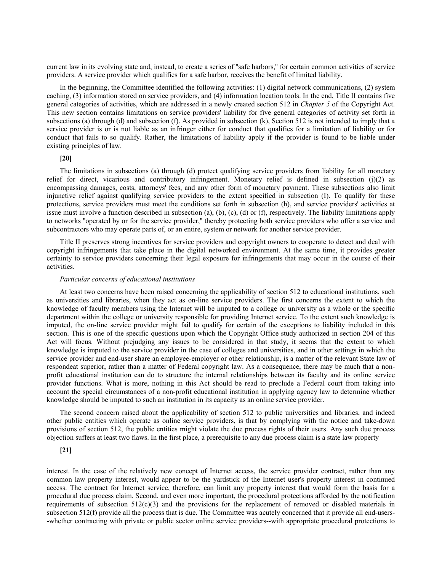current law in its evolving state and, instead, to create a series of ''safe harbors,'' for certain common activities of service providers. A service provider which qualifies for a safe harbor, receives the benefit of limited liability.

In the beginning, the Committee identified the following activities: (1) digital network communications, (2) system caching, (3) information stored on service providers, and (4) information location tools. In the end, Title II contains five general categories of activities, which are addressed in a newly created section 512 in *Chapter 5* of the Copyright Act. This new section contains limitations on service providers' liability for five general categories of activity set forth in subsections (a) through (d) and subsection (f). As provided in subsection (k), Section 512 is not intended to imply that a service provider is or is not liable as an infringer either for conduct that qualifies for a limitation of liability or for conduct that fails to so qualify. Rather, the limitations of liability apply if the provider is found to be liable under existing principles of law.

# **[20]**

The limitations in subsections (a) through (d) protect qualifying service providers from liability for all monetary relief for direct, vicarious and contributory infringement. Monetary relief is defined in subsection (j)(2) as encompassing damages, costs, attorneys' fees, and any other form of monetary payment. These subsections also limit injunctive relief against qualifying service providers to the extent specified in subsection (I). To qualify for these protections, service providers must meet the conditions set forth in subsection (h), and service providers' activities at issue must involve a function described in subsection (a), (b), (c), (d) or (f), respectively. The liability limitations apply to networks ''operated by or for the service provider,'' thereby protecting both service providers who offer a service and subcontractors who may operate parts of, or an entire, system or network for another service provider.

Title II preserves strong incentives for service providers and copyright owners to cooperate to detect and deal with copyright infringements that take place in the digital networked environment. At the same time, it provides greater certainty to service providers concerning their legal exposure for infringements that may occur in the course of their activities.

#### *Particular concerns of educational institutions*

At least two concerns have been raised concerning the applicability of section 512 to educational institutions, such as universities and libraries, when they act as on-line service providers. The first concerns the extent to which the knowledge of faculty members using the Internet will be imputed to a college or university as a whole or the specific department within the college or university responsible for providing Internet service. To the extent such knowledge is imputed, the on-line service provider might fail to qualify for certain of the exceptions to liability included in this section. This is one of the specific questions upon which the Copyright Office study authorized in section 204 of this Act will focus. Without prejudging any issues to be considered in that study, it seems that the extent to which knowledge is imputed to the service provider in the case of colleges and universities, and in other settings in which the service provider and end-user share an employee-employer or other relationship, is a matter of the relevant State law of respondeat superior, rather than a matter of Federal copyright law. As a consequence, there may be much that a nonprofit educational institution can do to structure the internal relationships between its faculty and its online service provider functions. What is more, nothing in this Act should be read to preclude a Federal court from taking into account the special circumstances of a non-profit educational institution in applying agency law to determine whether knowledge should be imputed to such an institution in its capacity as an online service provider.

The second concern raised about the applicability of section 512 to public universities and libraries, and indeed other public entities which operate as online service providers, is that by complying with the notice and take-down provisions of section 512, the public entities might violate the due process rights of their users. Any such due process objection suffers at least two flaws. In the first place, a prerequisite to any due process claim is a state law property

#### **[21]**

interest. In the case of the relatively new concept of Internet access, the service provider contract, rather than any common law property interest, would appear to be the yardstick of the Internet user's property interest in continued access. The contract for Internet service, therefore, can limit any property interest that would form the basis for a procedural due process claim. Second, and even more important, the procedural protections afforded by the notification requirements of subsection 512(c)(3) and the provisions for the replacement of removed or disabled materials in subsection 512(f) provide all the process that is due. The Committee was acutely concerned that it provide all end-users- -whether contracting with private or public sector online service providers--with appropriate procedural protections to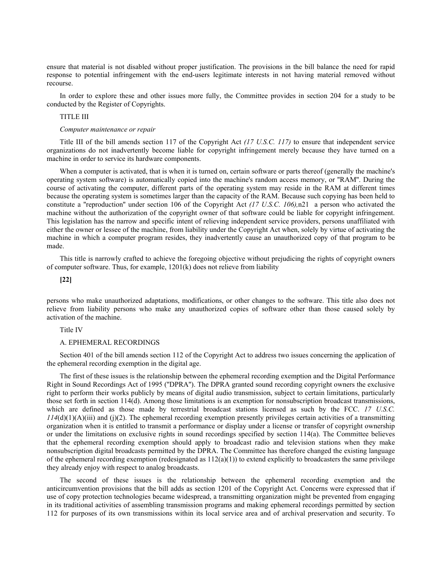ensure that material is not disabled without proper justification. The provisions in the bill balance the need for rapid response to potential infringement with the end-users legitimate interests in not having material removed without recourse.

In order to explore these and other issues more fully, the Committee provides in section 204 for a study to be conducted by the Register of Copyrights.

#### TITLE III

#### *Computer maintenance or repair*

Title III of the bill amends section 117 of the Copyright Act *(17 U.S.C. 117)* to ensure that independent service organizations do not inadvertently become liable for copyright infringement merely because they have turned on a machine in order to service its hardware components.

When a computer is activated, that is when it is turned on, certain software or parts thereof (generally the machine's operating system software) is automatically copied into the machine's random access memory, or ''RAM''. During the course of activating the computer, different parts of the operating system may reside in the RAM at different times because the operating system is sometimes larger than the capacity of the RAM. Because such copying has been held to constitute a ''reproduction'' under section 106 of the Copyright Act *(17 U.S.C. 106),*n21 a person who activated the machine without the authorization of the copyright owner of that software could be liable for copyright infringement. This legislation has the narrow and specific intent of relieving independent service providers, persons unaffiliated with either the owner or lessee of the machine, from liability under the Copyright Act when, solely by virtue of activating the machine in which a computer program resides, they inadvertently cause an unauthorized copy of that program to be made.

This title is narrowly crafted to achieve the foregoing objective without prejudicing the rights of copyright owners of computer software. Thus, for example, 1201(k) does not relieve from liability

#### **[22]**

persons who make unauthorized adaptations, modifications, or other changes to the software. This title also does not relieve from liability persons who make any unauthorized copies of software other than those caused solely by activation of the machine.

Title IV

#### A. EPHEMERAL RECORDINGS

Section 401 of the bill amends section 112 of the Copyright Act to address two issues concerning the application of the ephemeral recording exemption in the digital age.

The first of these issues is the relationship between the ephemeral recording exemption and the Digital Performance Right in Sound Recordings Act of 1995 (''DPRA''). The DPRA granted sound recording copyright owners the exclusive right to perform their works publicly by means of digital audio transmission, subject to certain limitations, particularly those set forth in section 114(d). Among those limitations is an exemption for nonsubscription broadcast transmissions, which are defined as those made by terrestrial broadcast stations licensed as such by the FCC. *17 U.S.C.*   $114(d)(1)(A)(iii)$  and (j)(2). The ephemeral recording exemption presently privileges certain activities of a transmitting organization when it is entitled to transmit a performance or display under a license or transfer of copyright ownership or under the limitations on exclusive rights in sound recordings specified by section 114(a). The Committee believes that the ephemeral recording exemption should apply to broadcast radio and television stations when they make nonsubscription digital broadcasts permitted by the DPRA. The Committee has therefore changed the existing language of the ephemeral recording exemption (redesignated as  $112(a)(1)$ ) to extend explicitly to broadcasters the same privilege they already enjoy with respect to analog broadcasts.

The second of these issues is the relationship between the ephemeral recording exemption and the anticircumvention provisions that the bill adds as section 1201 of the Copyright Act. Concerns were expressed that if use of copy protection technologies became widespread, a transmitting organization might be prevented from engaging in its traditional activities of assembling transmission programs and making ephemeral recordings permitted by section 112 for purposes of its own transmissions within its local service area and of archival preservation and security. To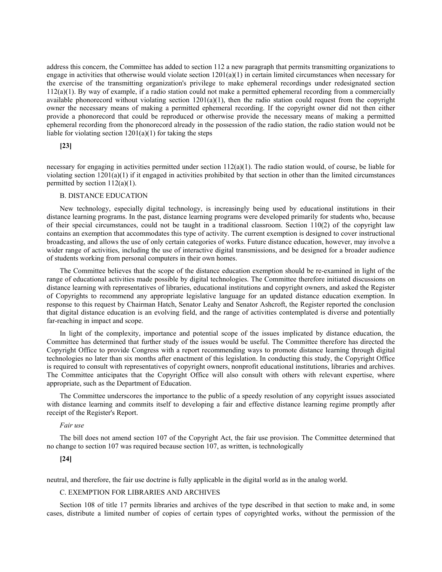address this concern, the Committee has added to section 112 a new paragraph that permits transmitting organizations to engage in activities that otherwise would violate section  $1201(a)(1)$  in certain limited circumstances when necessary for the exercise of the transmitting organization's privilege to make ephemeral recordings under redesignated section  $112(a)(1)$ . By way of example, if a radio station could not make a permitted ephemeral recording from a commercially available phonorecord without violating section  $1201(a)(1)$ , then the radio station could request from the copyright owner the necessary means of making a permitted ephemeral recording. If the copyright owner did not then either provide a phonorecord that could be reproduced or otherwise provide the necessary means of making a permitted ephemeral recording from the phonorecord already in the possession of the radio station, the radio station would not be liable for violating section  $1201(a)(1)$  for taking the steps

## **[23]**

necessary for engaging in activities permitted under section  $112(a)(1)$ . The radio station would, of course, be liable for violating section  $1201(a)(1)$  if it engaged in activities prohibited by that section in other than the limited circumstances permitted by section  $112(a)(1)$ .

## B. DISTANCE EDUCATION

New technology, especially digital technology, is increasingly being used by educational institutions in their distance learning programs. In the past, distance learning programs were developed primarily for students who, because of their special circumstances, could not be taught in a traditional classroom. Section  $110(2)$  of the copyright law contains an exemption that accommodates this type of activity. The current exemption is designed to cover instructional broadcasting, and allows the use of only certain categories of works. Future distance education, however, may involve a wider range of activities, including the use of interactive digital transmissions, and be designed for a broader audience of students working from personal computers in their own homes.

The Committee believes that the scope of the distance education exemption should be re-examined in light of the range of educational activities made possible by digital technologies. The Committee therefore initiated discussions on distance learning with representatives of libraries, educational institutions and copyright owners, and asked the Register of Copyrights to recommend any appropriate legislative language for an updated distance education exemption. In response to this request by Chairman Hatch, Senator Leahy and Senator Ashcroft, the Register reported the conclusion that digital distance education is an evolving field, and the range of activities contemplated is diverse and potentially far-reaching in impact and scope.

In light of the complexity, importance and potential scope of the issues implicated by distance education, the Committee has determined that further study of the issues would be useful. The Committee therefore has directed the Copyright Office to provide Congress with a report recommending ways to promote distance learning through digital technologies no later than six months after enactment of this legislation. In conducting this study, the Copyright Office is required to consult with representatives of copyright owners, nonprofit educational institutions, libraries and archives. The Committee anticipates that the Copyright Office will also consult with others with relevant expertise, where appropriate, such as the Department of Education.

The Committee underscores the importance to the public of a speedy resolution of any copyright issues associated with distance learning and commits itself to developing a fair and effective distance learning regime promptly after receipt of the Register's Report.

### *Fair use*

The bill does not amend section 107 of the Copyright Act, the fair use provision. The Committee determined that no change to section 107 was required because section 107, as written, is technologically

## **[24]**

neutral, and therefore, the fair use doctrine is fully applicable in the digital world as in the analog world.

## C. EXEMPTION FOR LIBRARIES AND ARCHIVES

Section 108 of title 17 permits libraries and archives of the type described in that section to make and, in some cases, distribute a limited number of copies of certain types of copyrighted works, without the permission of the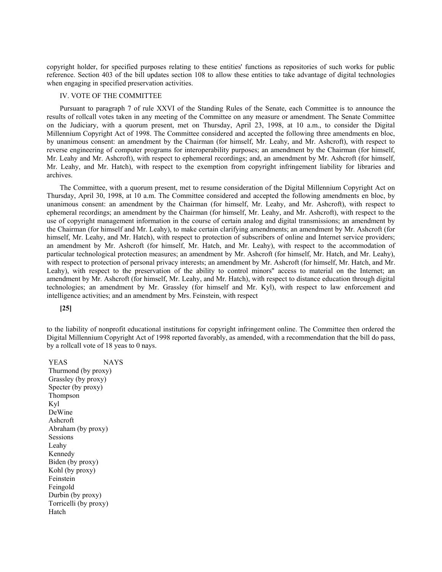copyright holder, for specified purposes relating to these entities' functions as repositories of such works for public reference. Section 403 of the bill updates section 108 to allow these entities to take advantage of digital technologies when engaging in specified preservation activities.

## IV. VOTE OF THE COMMITTEE

Pursuant to paragraph 7 of rule XXVI of the Standing Rules of the Senate, each Committee is to announce the results of rollcall votes taken in any meeting of the Committee on any measure or amendment. The Senate Committee on the Judiciary, with a quorum present, met on Thursday, April 23, 1998, at 10 a.m., to consider the Digital Millennium Copyright Act of 1998. The Committee considered and accepted the following three amendments en bloc, by unanimous consent: an amendment by the Chairman (for himself, Mr. Leahy, and Mr. Ashcroft), with respect to reverse engineering of computer programs for interoperability purposes; an amendment by the Chairman (for himself, Mr. Leahy and Mr. Ashcroft), with respect to ephemeral recordings; and, an amendment by Mr. Ashcroft (for himself, Mr. Leahy, and Mr. Hatch), with respect to the exemption from copyright infringement liability for libraries and archives.

The Committee, with a quorum present, met to resume consideration of the Digital Millennium Copyright Act on Thursday, April 30, 1998, at 10 a.m. The Committee considered and accepted the following amendments en bloc, by unanimous consent: an amendment by the Chairman (for himself, Mr. Leahy, and Mr. Ashcroft), with respect to ephemeral recordings; an amendment by the Chairman (for himself, Mr. Leahy, and Mr. Ashcroft), with respect to the use of copyright management information in the course of certain analog and digital transmissions; an amendment by the Chairman (for himself and Mr. Leahy), to make certain clarifying amendments; an amendment by Mr. Ashcroft (for himself, Mr. Leahy, and Mr. Hatch), with respect to protection of subscribers of online and Internet service providers; an amendment by Mr. Ashcroft (for himself, Mr. Hatch, and Mr. Leahy), with respect to the accommodation of particular technological protection measures; an amendment by Mr. Ashcroft (for himself, Mr. Hatch, and Mr. Leahy), with respect to protection of personal privacy interests; an amendment by Mr. Ashcroft (for himself, Mr. Hatch, and Mr. Leahy), with respect to the preservation of the ability to control minors'' access to material on the Internet; an amendment by Mr. Ashcroft (for himself, Mr. Leahy, and Mr. Hatch), with respect to distance education through digital technologies; an amendment by Mr. Grassley (for himself and Mr. Kyl), with respect to law enforcement and intelligence activities; and an amendment by Mrs. Feinstein, with respect

**[25]**

to the liability of nonprofit educational institutions for copyright infringement online. The Committee then ordered the Digital Millennium Copyright Act of 1998 reported favorably, as amended, with a recommendation that the bill do pass, by a rollcall vote of 18 yeas to 0 nays.

YEAS NAYS Thurmond (by proxy) Grassley (by proxy) Specter (by proxy) Thompson Kyl DeWine Ashcroft Abraham (by proxy) Sessions Leahy Kennedy Biden (by proxy) Kohl (by proxy) Feinstein Feingold Durbin (by proxy) Torricelli (by proxy) Hatch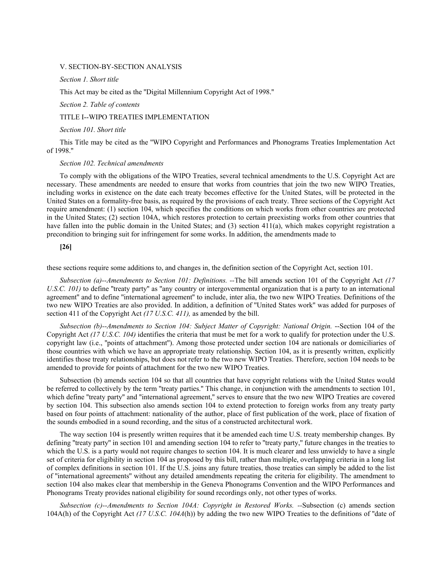### V. SECTION-BY-SECTION ANALYSIS

*Section 1. Short title*

This Act may be cited as the ''Digital Millennium Copyright Act of 1998.''

*Section 2. Table of contents*

TITLE I--WIPO TREATIES IMPLEMENTATION

*Section 101. Short title*

This Title may be cited as the ''WIPO Copyright and Performances and Phonograms Treaties Implementation Act of 1998.''

## *Section 102. Technical amendments*

To comply with the obligations of the WIPO Treaties, several technical amendments to the U.S. Copyright Act are necessary. These amendments are needed to ensure that works from countries that join the two new WIPO Treaties, including works in existence on the date each treaty becomes effective for the United States, will be protected in the United States on a formality-free basis, as required by the provisions of each treaty. Three sections of the Copyright Act require amendment: (1) section 104, which specifies the conditions on which works from other countries are protected in the United States; (2) section 104A, which restores protection to certain preexisting works from other countries that have fallen into the public domain in the United States; and (3) section 411(a), which makes copyright registration a precondition to bringing suit for infringement for some works. In addition, the amendments made to

## **[26]**

these sections require some additions to, and changes in, the definition section of the Copyright Act, section 101.

*Subsection (a)--Amendments to Section 101: Definitions. --*The bill amends section 101 of the Copyright Act *(17 U.S.C. 101)* to define ''treaty party'' as ''any country or intergovernmental organization that is a party to an international agreement'' and to define ''international agreement'' to include, inter alia, the two new WIPO Treaties. Definitions of the two new WIPO Treaties are also provided. In addition, a definition of ''United States work'' was added for purposes of section 411 of the Copyright Act *(17 U.S.C. 411),* as amended by the bill.

*Subsection (b)--Amendments to Section 104: Subject Matter of Copyright: National Origin.* --Section 104 of the Copyright Act *(17 U.S.C. 104)* identifies the criteria that must be met for a work to qualify for protection under the U.S. copyright law (i.e., ''points of attachment''). Among those protected under section 104 are nationals or domiciliaries of those countries with which we have an appropriate treaty relationship. Section 104, as it is presently written, explicitly identifies those treaty relationships, but does not refer to the two new WIPO Treaties. Therefore, section 104 needs to be amended to provide for points of attachment for the two new WIPO Treaties.

Subsection (b) amends section 104 so that all countries that have copyright relations with the United States would be referred to collectively by the term ''treaty parties.'' This change, in conjunction with the amendments to section 101, which define "treaty party" and "international agreement," serves to ensure that the two new WIPO Treaties are covered by section 104. This subsection also amends section 104 to extend protection to foreign works from any treaty party based on four points of attachment: nationality of the author, place of first publication of the work, place of fixation of the sounds embodied in a sound recording, and the situs of a constructed architectural work.

The way section 104 is presently written requires that it be amended each time U.S. treaty membership changes. By defining ''treaty party'' in section 101 and amending section 104 to refer to ''treaty party,'' future changes in the treaties to which the U.S. is a party would not require changes to section 104. It is much clearer and less unwieldy to have a single set of criteria for eligibility in section 104 as proposed by this bill, rather than multiple, overlapping criteria in a long list of complex definitions in section 101. If the U.S. joins any future treaties, those treaties can simply be added to the list of ''international agreements'' without any detailed amendments repeating the criteria for eligibility. The amendment to section 104 also makes clear that membership in the Geneva Phonograms Convention and the WIPO Performances and Phonograms Treaty provides national eligibility for sound recordings only, not other types of works.

*Subsection (c)--Amendments to Section 104A: Copyright in Restored Works. --*Subsection (c) amends section 104A(h) of the Copyright Act *(17 U.S.C. 104A*(h)) by adding the two new WIPO Treaties to the definitions of ''date of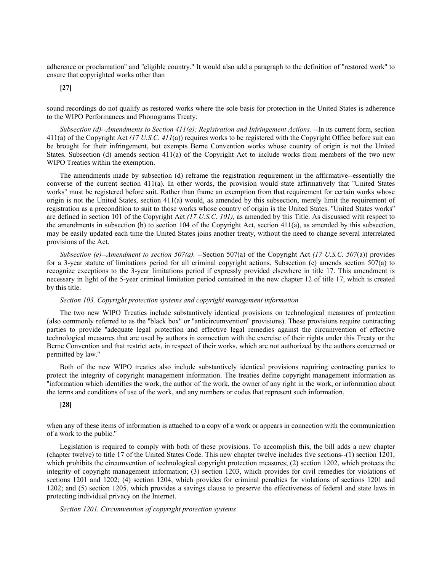adherence or proclamation'' and ''eligible country.'' It would also add a paragraph to the definition of ''restored work'' to ensure that copyrighted works other than

**[27]**

sound recordings do not qualify as restored works where the sole basis for protection in the United States is adherence to the WIPO Performances and Phonograms Treaty.

*Subsection (d)--Amendments to Section 411(a): Registration and Infringement Actions. --*In its current form, section 411(a) of the Copyright Act *(17 U.S.C. 411*(a)) requires works to be registered with the Copyright Office before suit can be brought for their infringement, but exempts Berne Convention works whose country of origin is not the United States. Subsection (d) amends section 411(a) of the Copyright Act to include works from members of the two new WIPO Treaties within the exemption.

The amendments made by subsection (d) reframe the registration requirement in the affirmative--essentially the converse of the current section 411(a). In other words, the provision would state affirmatively that ''United States works'' must be registered before suit. Rather than frame an exemption from that requirement for certain works whose origin is not the United States, section 411(a) would, as amended by this subsection, merely limit the requirement of registration as a precondition to suit to those works whose country of origin is the United States. ''United States works'' are defined in section 101 of the Copyright Act *(17 U.S.C. 101),* as amended by this Title. As discussed with respect to the amendments in subsection (b) to section 104 of the Copyright Act, section 411(a), as amended by this subsection, may be easily updated each time the United States joins another treaty, without the need to change several interrelated provisions of the Act.

*Subsection (e)--Amendment to section 507(a). --*Section 507(a) of the Copyright Act *(17 U.S.C. 507*(a)) provides for a 3-year statute of limitations period for all criminal copyright actions. Subsection (e) amends section 507(a) to recognize exceptions to the 3-year limitations period if expressly provided elsewhere in title 17. This amendment is necessary in light of the 5-year criminal limitation period contained in the new chapter 12 of title 17, which is created by this title.

#### *Section 103. Copyright protection systems and copyright management information*

The two new WIPO Treaties include substantively identical provisions on technological measures of protection (also commonly referred to as the ''black box'' or ''anticircumvention'' provisions). These provisions require contracting parties to provide ''adequate legal protection and effective legal remedies against the circumvention of effective technological measures that are used by authors in connection with the exercise of their rights under this Treaty or the Berne Convention and that restrict acts, in respect of their works, which are not authorized by the authors concerned or permitted by law.''

Both of the new WIPO treaties also include substantively identical provisions requiring contracting parties to protect the integrity of copyright management information. The treaties define copyright management information as ''information which identifies the work, the author of the work, the owner of any right in the work, or information about the terms and conditions of use of the work, and any numbers or codes that represent such information,

# **[28]**

when any of these items of information is attached to a copy of a work or appears in connection with the communication of a work to the public.''

Legislation is required to comply with both of these provisions. To accomplish this, the bill adds a new chapter (chapter twelve) to title 17 of the United States Code. This new chapter twelve includes five sections--(1) section 1201, which prohibits the circumvention of technological copyright protection measures; (2) section 1202, which protects the integrity of copyright management information; (3) section 1203, which provides for civil remedies for violations of sections 1201 and 1202; (4) section 1204, which provides for criminal penalties for violations of sections 1201 and 1202; and (5) section 1205, which provides a savings clause to preserve the effectiveness of federal and state laws in protecting individual privacy on the Internet.

*Section 1201. Circumvention of copyright protection systems*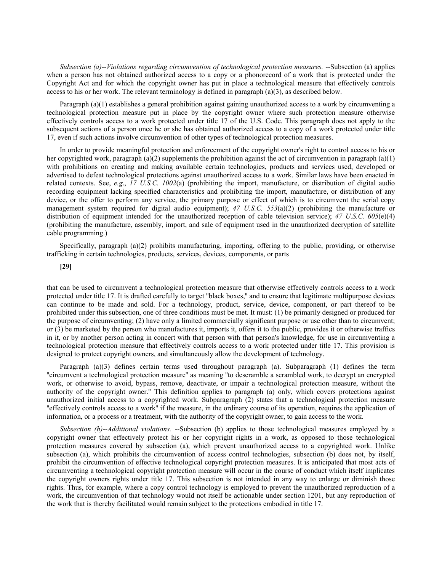*Subsection (a)--Violations regarding circumvention of technological protection measures. --*Subsection (a) applies when a person has not obtained authorized access to a copy or a phonorecord of a work that is protected under the Copyright Act and for which the copyright owner has put in place a technological measure that effectively controls access to his or her work. The relevant terminology is defined in paragraph  $(a)(3)$ , as described below.

Paragraph (a)(1) establishes a general prohibition against gaining unauthorized access to a work by circumventing a technological protection measure put in place by the copyright owner where such protection measure otherwise effectively controls access to a work protected under title 17 of the U.S. Code. This paragraph does not apply to the subsequent actions of a person once he or she has obtained authorized access to a copy of a work protected under title 17, even if such actions involve circumvention of other types of technological protection measures.

In order to provide meaningful protection and enforcement of the copyright owner's right to control access to his or her copyrighted work, paragraph (a)(2) supplements the prohibition against the act of circumvention in paragraph (a)(1) with prohibitions on creating and making available certain technologies, products and services used, developed or advertised to defeat technological protections against unauthorized access to a work. Similar laws have been enacted in related contexts. See, *e.g*., *17 U.S.C. 1002*(a) (prohibiting the import, manufacture, or distribution of digital audio recording equipment lacking specified characteristics and prohibiting the import, manufacture, or distribution of any device, or the offer to perform any service, the primary purpose or effect of which is to circumvent the serial copy management system required for digital audio equipment); *47 U.S.C. 553*(a)(2) (prohibiting the manufacture or distribution of equipment intended for the unauthorized reception of cable television service); 47 U.S.C. 605(e)(4) (prohibiting the manufacture, assembly, import, and sale of equipment used in the unauthorized decryption of satellite cable programming.)

Specifically, paragraph (a)(2) prohibits manufacturing, importing, offering to the public, providing, or otherwise trafficking in certain technologies, products, services, devices, components, or parts

## **[29]**

that can be used to circumvent a technological protection measure that otherwise effectively controls access to a work protected under title 17. It is drafted carefully to target ''black boxes,'' and to ensure that legitimate multipurpose devices can continue to be made and sold. For a technology, product, service, device, component, or part thereof to be prohibited under this subsection, one of three conditions must be met. It must: (1) be primarily designed or produced for the purpose of circumventing; (2) have only a limited commercially significant purpose or use other than to circumvent; or (3) be marketed by the person who manufactures it, imports it, offers it to the public, provides it or otherwise traffics in it, or by another person acting in concert with that person with that person's knowledge, for use in circumventing a technological protection measure that effectively controls access to a work protected under title 17. This provision is designed to protect copyright owners, and simultaneously allow the development of technology.

Paragraph (a)(3) defines certain terms used throughout paragraph (a). Subparagraph (1) defines the term ''circumvent a technological protection measure'' as meaning ''to descramble a scrambled work, to decrypt an encrypted work, or otherwise to avoid, bypass, remove, deactivate, or impair a technological protection measure, without the authority of the copyright owner.'' This definition applies to paragraph (a) only, which covers protections against unauthorized initial access to a copyrighted work. Subparagraph (2) states that a technological protection measure ''effectively controls access to a work'' if the measure, in the ordinary course of its operation, requires the application of information, or a process or a treatment, with the authority of the copyright owner, to gain access to the work.

*Subsection (b)--Additional violations. --*Subsection (b) applies to those technological measures employed by a copyright owner that effectively protect his or her copyright rights in a work, as opposed to those technological protection measures covered by subsection (a), which prevent unauthorized access to a copyrighted work. Unlike subsection (a), which prohibits the circumvention of access control technologies, subsection (b) does not, by itself, prohibit the circumvention of effective technological copyright protection measures. It is anticipated that most acts of circumventing a technological copyright protection measure will occur in the course of conduct which itself implicates the copyright owners rights under title 17. This subsection is not intended in any way to enlarge or diminish those rights. Thus, for example, where a copy control technology is employed to prevent the unauthorized reproduction of a work, the circumvention of that technology would not itself be actionable under section 1201, but any reproduction of the work that is thereby facilitated would remain subject to the protections embodied in title 17.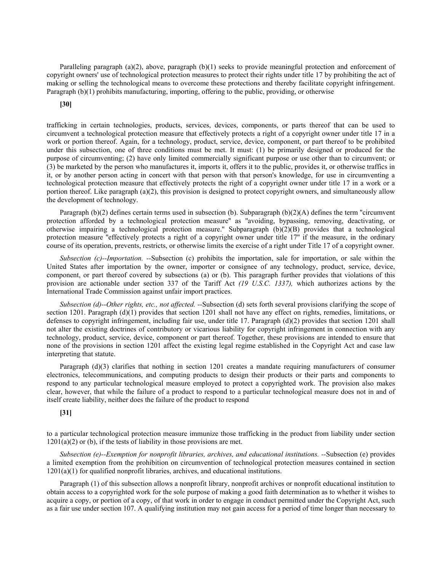Paralleling paragraph (a)(2), above, paragraph (b)(1) seeks to provide meaningful protection and enforcement of copyright owners' use of technological protection measures to protect their rights under title 17 by prohibiting the act of making or selling the technological means to overcome these protections and thereby facilitate copyright infringement. Paragraph (b)(1) prohibits manufacturing, importing, offering to the public, providing, or otherwise

**[30]**

trafficking in certain technologies, products, services, devices, components, or parts thereof that can be used to circumvent a technological protection measure that effectively protects a right of a copyright owner under title 17 in a work or portion thereof. Again, for a technology, product, service, device, component, or part thereof to be prohibited under this subsection, one of three conditions must be met. It must: (1) be primarily designed or produced for the purpose of circumventing; (2) have only limited commercially significant purpose or use other than to circumvent; or (3) be marketed by the person who manufactures it, imports it, offers it to the public, provides it, or otherwise traffics in it, or by another person acting in concert with that person with that person's knowledge, for use in circumventing a technological protection measure that effectively protects the right of a copyright owner under title 17 in a work or a portion thereof. Like paragraph (a)(2), this provision is designed to protect copyright owners, and simultaneously allow the development of technology.

Paragraph  $(b)(2)$  defines certain terms used in subsection (b). Subparagraph  $(b)(2)(A)$  defines the term "circumvent" protection afforded by a technological protection measure'' as ''avoiding, bypassing, removing, deactivating, or otherwise impairing a technological protection measure.'' Subparagraph (b)(2)(B) provides that a technological protection measure "effectively protects a right of a copyright owner under title 17" if the measure, in the ordinary course of its operation, prevents, restricts, or otherwise limits the exercise of a right under Title 17 of a copyright owner.

*Subsection (c)--Importation. --*Subsection (c) prohibits the importation, sale for importation, or sale within the United States after importation by the owner, importer or consignee of any technology, product, service, device, component, or part thereof covered by subsections (a) or (b). This paragraph further provides that violations of this provision are actionable under section 337 of the Tariff Act *(19 U.S.C. 1337),* which authorizes actions by the International Trade Commission against unfair import practices.

*Subsection (d)--Other rights, etc., not affected. --*Subsection (d) sets forth several provisions clarifying the scope of section 1201. Paragraph (d)(1) provides that section 1201 shall not have any effect on rights, remedies, limitations, or defenses to copyright infringement, including fair use, under title 17. Paragraph (d)(2) provides that section 1201 shall not alter the existing doctrines of contributory or vicarious liability for copyright infringement in connection with any technology, product, service, device, component or part thereof. Together, these provisions are intended to ensure that none of the provisions in section 1201 affect the existing legal regime established in the Copyright Act and case law interpreting that statute.

Paragraph (d)(3) clarifies that nothing in section 1201 creates a mandate requiring manufacturers of consumer electronics, telecommunications, and computing products to design their products or their parts and components to respond to any particular technological measure employed to protect a copyrighted work. The provision also makes clear, however, that while the failure of a product to respond to a particular technological measure does not in and of itself create liability, neither does the failure of the product to respond

## **[31]**

to a particular technological protection measure immunize those trafficking in the product from liability under section  $1201(a)(2)$  or (b), if the tests of liability in those provisions are met.

*Subsection (e)--Exemption for nonprofit libraries, archives, and educational institutions. --*Subsection (e) provides a limited exemption from the prohibition on circumvention of technological protection measures contained in section  $1201(a)(1)$  for qualified nonprofit libraries, archives, and educational institutions.

Paragraph (1) of this subsection allows a nonprofit library, nonprofit archives or nonprofit educational institution to obtain access to a copyrighted work for the sole purpose of making a good faith determination as to whether it wishes to acquire a copy, or portion of a copy, of that work in order to engage in conduct permitted under the Copyright Act, such as a fair use under section 107. A qualifying institution may not gain access for a period of time longer than necessary to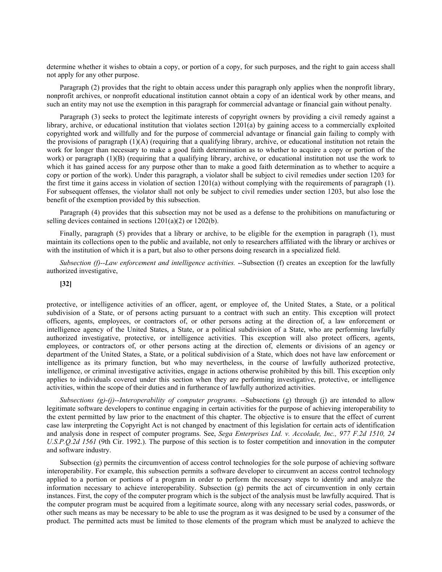determine whether it wishes to obtain a copy, or portion of a copy, for such purposes, and the right to gain access shall not apply for any other purpose.

Paragraph (2) provides that the right to obtain access under this paragraph only applies when the nonprofit library, nonprofit archives, or nonprofit educational institution cannot obtain a copy of an identical work by other means, and such an entity may not use the exemption in this paragraph for commercial advantage or financial gain without penalty.

Paragraph (3) seeks to protect the legitimate interests of copyright owners by providing a civil remedy against a library, archive, or educational institution that violates section 1201(a) by gaining access to a commercially exploited copyrighted work and willfully and for the purpose of commercial advantage or financial gain failing to comply with the provisions of paragraph (1)(A) (requiring that a qualifying library, archive, or educational institution not retain the work for longer than necessary to make a good faith determination as to whether to acquire a copy or portion of the work) or paragraph (1)(B) (requiring that a qualifying library, archive, or educational institution not use the work to which it has gained access for any purpose other than to make a good faith determination as to whether to acquire a copy or portion of the work). Under this paragraph, a violator shall be subject to civil remedies under section 1203 for the first time it gains access in violation of section  $1201(a)$  without complying with the requirements of paragraph (1). For subsequent offenses, the violator shall not only be subject to civil remedies under section 1203, but also lose the benefit of the exemption provided by this subsection.

Paragraph (4) provides that this subsection may not be used as a defense to the prohibitions on manufacturing or selling devices contained in sections  $1201(a)(2)$  or  $1202(b)$ .

Finally, paragraph (5) provides that a library or archive, to be eligible for the exemption in paragraph (1), must maintain its collections open to the public and available, not only to researchers affiliated with the library or archives or with the institution of which it is a part, but also to other persons doing research in a specialized field.

*Subsection (f)--Law enforcement and intelligence activities.* --Subsection (f) creates an exception for the lawfully authorized investigative,

**[32]**

protective, or intelligence activities of an officer, agent, or employee of, the United States, a State, or a political subdivision of a State, or of persons acting pursuant to a contract with such an entity. This exception will protect officers, agents, employees, or contractors of, or other persons acting at the direction of, a law enforcement or intelligence agency of the United States, a State, or a political subdivision of a State, who are performing lawfully authorized investigative, protective, or intelligence activities. This exception will also protect officers, agents, employees, or contractors of, or other persons acting at the direction of, elements or divisions of an agency or department of the United States, a State, or a political subdivision of a State, which does not have law enforcement or intelligence as its primary function, but who may nevertheless, in the course of lawfully authorized protective, intelligence, or criminal investigative activities, engage in actions otherwise prohibited by this bill. This exception only applies to individuals covered under this section when they are performing investigative, protective, or intelligence activities, within the scope of their duties and in furtherance of lawfully authorized activities.

*Subsections (g)-(j)--Interoperability of computer programs.* --Subsections (g) through (j) are intended to allow legitimate software developers to continue engaging in certain activities for the purpose of achieving interoperability to the extent permitted by law prior to the enactment of this chapter. The objective is to ensure that the effect of current case law interpreting the Copyright Act is not changed by enactment of this legislation for certain acts of identification and analysis done in respect of computer programs. See, *Sega Enterprises Ltd. v. Accolade, Inc., 977 F.2d 1510, 24 U.S.P.Q.2d 1561* (9th Cir. 1992.). The purpose of this section is to foster competition and innovation in the computer and software industry.

Subsection (g) permits the circumvention of access control technologies for the sole purpose of achieving software interoperability. For example, this subsection permits a software developer to circumvent an access control technology applied to a portion or portions of a program in order to perform the necessary steps to identify and analyze the information necessary to achieve interoperability. Subsection (g) permits the act of circumvention in only certain instances. First, the copy of the computer program which is the subject of the analysis must be lawfully acquired. That is the computer program must be acquired from a legitimate source, along with any necessary serial codes, passwords, or other such means as may be necessary to be able to use the program as it was designed to be used by a consumer of the product. The permitted acts must be limited to those elements of the program which must be analyzed to achieve the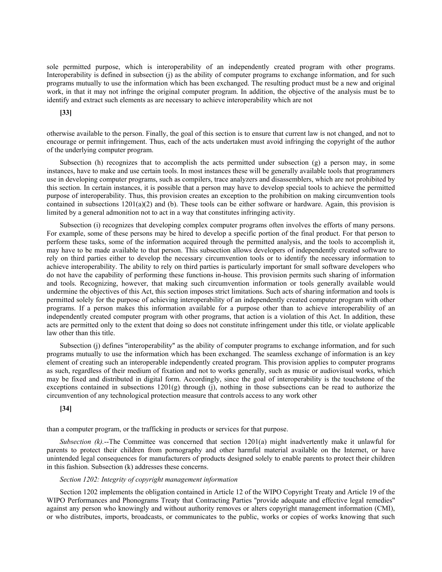sole permitted purpose, which is interoperability of an independently created program with other programs. Interoperability is defined in subsection (j) as the ability of computer programs to exchange information, and for such programs mutually to use the information which has been exchanged. The resulting product must be a new and original work, in that it may not infringe the original computer program. In addition, the objective of the analysis must be to identify and extract such elements as are necessary to achieve interoperability which are not

### **[33]**

otherwise available to the person. Finally, the goal of this section is to ensure that current law is not changed, and not to encourage or permit infringement. Thus, each of the acts undertaken must avoid infringing the copyright of the author of the underlying computer program.

Subsection (h) recognizes that to accomplish the acts permitted under subsection (g) a person may, in some instances, have to make and use certain tools. In most instances these will be generally available tools that programmers use in developing computer programs, such as compilers, trace analyzers and disassemblers, which are not prohibited by this section. In certain instances, it is possible that a person may have to develop special tools to achieve the permitted purpose of interoperability. Thus, this provision creates an exception to the prohibition on making circumvention tools contained in subsections  $1201(a)(2)$  and (b). These tools can be either software or hardware. Again, this provision is limited by a general admonition not to act in a way that constitutes infringing activity.

Subsection (i) recognizes that developing complex computer programs often involves the efforts of many persons. For example, some of these persons may be hired to develop a specific portion of the final product. For that person to perform these tasks, some of the information acquired through the permitted analysis, and the tools to accomplish it, may have to be made available to that person. This subsection allows developers of independently created software to rely on third parties either to develop the necessary circumvention tools or to identify the necessary information to achieve interoperability. The ability to rely on third parties is particularly important for small software developers who do not have the capability of performing these functions in-house. This provision permits such sharing of information and tools. Recognizing, however, that making such circumvention information or tools generally available would undermine the objectives of this Act, this section imposes strict limitations. Such acts of sharing information and tools is permitted solely for the purpose of achieving interoperability of an independently created computer program with other programs. If a person makes this information available for a purpose other than to achieve interoperability of an independently created computer program with other programs, that action is a violation of this Act. In addition, these acts are permitted only to the extent that doing so does not constitute infringement under this title, or violate applicable law other than this title.

Subsection (j) defines "interoperability" as the ability of computer programs to exchange information, and for such programs mutually to use the information which has been exchanged. The seamless exchange of information is an key element of creating such an interoperable independently created program. This provision applies to computer programs as such, regardless of their medium of fixation and not to works generally, such as music or audiovisual works, which may be fixed and distributed in digital form. Accordingly, since the goal of interoperability is the touchstone of the exceptions contained in subsections  $1201(g)$  through (j), nothing in those subsections can be read to authorize the circumvention of any technological protection measure that controls access to any work other

# **[34]**

than a computer program, or the trafficking in products or services for that purpose.

*Subsection (k).*--The Committee was concerned that section 1201(a) might inadvertently make it unlawful for parents to protect their children from pornography and other harmful material available on the Internet, or have unintended legal consequences for manufacturers of products designed solely to enable parents to protect their children in this fashion. Subsection (k) addresses these concerns.

#### *Section 1202: Integrity of copyright management information*

Section 1202 implements the obligation contained in Article 12 of the WIPO Copyright Treaty and Article 19 of the WIPO Performances and Phonograms Treaty that Contracting Parties ''provide adequate and effective legal remedies'' against any person who knowingly and without authority removes or alters copyright management information (CMI), or who distributes, imports, broadcasts, or communicates to the public, works or copies of works knowing that such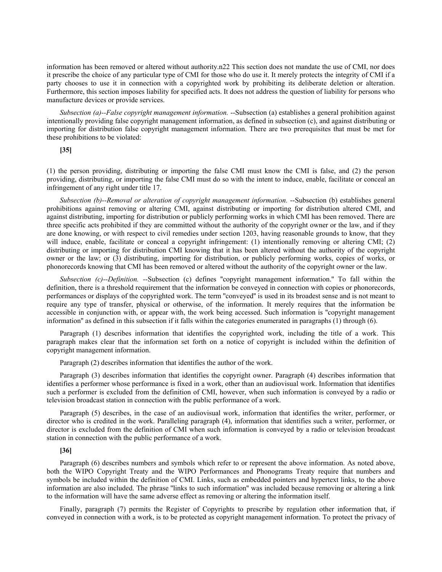information has been removed or altered without authority.n22 This section does not mandate the use of CMI, nor does it prescribe the choice of any particular type of CMI for those who do use it. It merely protects the integrity of CMI if a party chooses to use it in connection with a copyrighted work by prohibiting its deliberate deletion or alteration. Furthermore, this section imposes liability for specified acts. It does not address the question of liability for persons who manufacture devices or provide services.

*Subsection (a)--False copyright management information.* --Subsection (a) establishes a general prohibition against intentionally providing false copyright management information, as defined in subsection (c), and against distributing or importing for distribution false copyright management information. There are two prerequisites that must be met for these prohibitions to be violated:

## **[35]**

(1) the person providing, distributing or importing the false CMI must know the CMI is false, and (2) the person providing, distributing, or importing the false CMI must do so with the intent to induce, enable, facilitate or conceal an infringement of any right under title 17.

*Subsection (b)--Removal or alteration of copyright management information.* --Subsection (b) establishes general prohibitions against removing or altering CMI, against distributing or importing for distribution altered CMI, and against distributing, importing for distribution or publicly performing works in which CMI has been removed. There are three specific acts prohibited if they are committed without the authority of the copyright owner or the law, and if they are done knowing, or with respect to civil remedies under section 1203, having reasonable grounds to know, that they will induce, enable, facilitate or conceal a copyright infringement: (1) intentionally removing or altering CMI; (2) distributing or importing for distribution CMI knowing that it has been altered without the authority of the copyright owner or the law; or (3) distributing, importing for distribution, or publicly performing works, copies of works, or phonorecords knowing that CMI has been removed or altered without the authority of the copyright owner or the law.

*Subsection (c)--Definition. --*Subsection (c) defines ''copyright management information.'' To fall within the definition, there is a threshold requirement that the information be conveyed in connection with copies or phonorecords, performances or displays of the copyrighted work. The term ''conveyed'' is used in its broadest sense and is not meant to require any type of transfer, physical or otherwise, of the information. It merely requires that the information be accessible in conjunction with, or appear with, the work being accessed. Such information is ''copyright management information'' as defined in this subsection if it falls within the categories enumerated in paragraphs (1) through (6).

Paragraph (1) describes information that identifies the copyrighted work, including the title of a work. This paragraph makes clear that the information set forth on a notice of copyright is included within the definition of copyright management information.

Paragraph (2) describes information that identifies the author of the work.

Paragraph (3) describes information that identifies the copyright owner. Paragraph (4) describes information that identifies a performer whose performance is fixed in a work, other than an audiovisual work. Information that identifies such a performer is excluded from the definition of CMI, however, when such information is conveyed by a radio or television broadcast station in connection with the public performance of a work.

Paragraph (5) describes, in the case of an audiovisual work, information that identifies the writer, performer, or director who is credited in the work. Paralleling paragraph (4), information that identifies such a writer, performer, or director is excluded from the definition of CMI when such information is conveyed by a radio or television broadcast station in connection with the public performance of a work.

#### **[36]**

Paragraph (6) describes numbers and symbols which refer to or represent the above information. As noted above, both the WIPO Copyright Treaty and the WIPO Performances and Phonograms Treaty require that numbers and symbols be included within the definition of CMI. Links, such as embedded pointers and hypertext links, to the above information are also included. The phrase ''links to such information'' was included because removing or altering a link to the information will have the same adverse effect as removing or altering the information itself.

Finally, paragraph (7) permits the Register of Copyrights to prescribe by regulation other information that, if conveyed in connection with a work, is to be protected as copyright management information. To protect the privacy of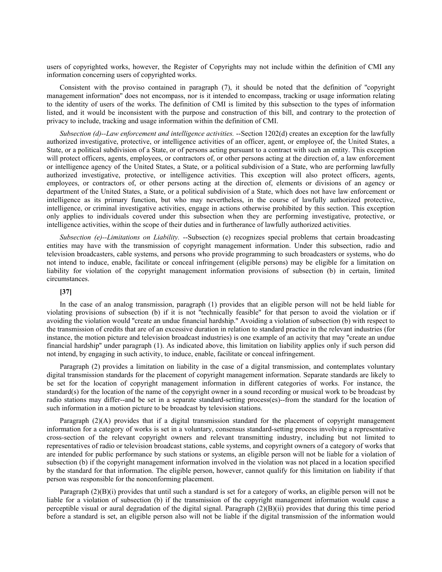users of copyrighted works, however, the Register of Copyrights may not include within the definition of CMI any information concerning users of copyrighted works.

Consistent with the proviso contained in paragraph (7), it should be noted that the definition of ''copyright management information'' does not encompass, nor is it intended to encompass, tracking or usage information relating to the identity of users of the works. The definition of CMI is limited by this subsection to the types of information listed, and it would be inconsistent with the purpose and construction of this bill, and contrary to the protection of privacy to include, tracking and usage information within the definition of CMI.

*Subsection (d)--Law enforcement and intelligence activities.* --Section 1202(d) creates an exception for the lawfully authorized investigative, protective, or intelligence activities of an officer, agent, or employee of, the United States, a State, or a political subdivision of a State, or of persons acting pursuant to a contract with such an entity. This exception will protect officers, agents, employees, or contractors of, or other persons acting at the direction of, a law enforcement or intelligence agency of the United States, a State, or a political subdivision of a State, who are performing lawfully authorized investigative, protective, or intelligence activities. This exception will also protect officers, agents, employees, or contractors of, or other persons acting at the direction of, elements or divisions of an agency or department of the United States, a State, or a political subdivision of a State, which does not have law enforcement or intelligence as its primary function, but who may nevertheless, in the course of lawfully authorized protective, intelligence, or criminal investigative activities, engage in actions otherwise prohibited by this section. This exception only applies to individuals covered under this subsection when they are performing investigative, protective, or intelligence activities, within the scope of their duties and in furtherance of lawfully authorized activities.

*Subsection (e)--Limitations on Liability.* --Subsection (e) recognizes special problems that certain broadcasting entities may have with the transmission of copyright management information. Under this subsection, radio and television broadcasters, cable systems, and persons who provide programming to such broadcasters or systems, who do not intend to induce, enable, facilitate or conceal infringement (eligible persons) may be eligible for a limitation on liability for violation of the copyright management information provisions of subsection (b) in certain, limited circumstances.

## **[37]**

In the case of an analog transmission, paragraph (1) provides that an eligible person will not be held liable for violating provisions of subsection (b) if it is not ''technically feasible'' for that person to avoid the violation or if avoiding the violation would ''create an undue financial hardship.'' Avoiding a violation of subsection (b) with respect to the transmission of credits that are of an excessive duration in relation to standard practice in the relevant industries (for instance, the motion picture and television broadcast industries) is one example of an activity that may ''create an undue financial hardship'' under paragraph (1). As indicated above, this limitation on liability applies only if such person did not intend, by engaging in such activity, to induce, enable, facilitate or conceal infringement.

Paragraph (2) provides a limitation on liability in the case of a digital transmission, and contemplates voluntary digital transmission standards for the placement of copyright management information. Separate standards are likely to be set for the location of copyright management information in different categories of works. For instance, the standard(s) for the location of the name of the copyright owner in a sound recording or musical work to be broadcast by radio stations may differ--and be set in a separate standard-setting process(es)--from the standard for the location of such information in a motion picture to be broadcast by television stations.

Paragraph (2)(A) provides that if a digital transmission standard for the placement of copyright management information for a category of works is set in a voluntary, consensus standard-setting process involving a representative cross-section of the relevant copyright owners and relevant transmitting industry, including but not limited to representatives of radio or television broadcast stations, cable systems, and copyright owners of a category of works that are intended for public performance by such stations or systems, an eligible person will not be liable for a violation of subsection (b) if the copyright management information involved in the violation was not placed in a location specified by the standard for that information. The eligible person, however, cannot qualify for this limitation on liability if that person was responsible for the nonconforming placement.

Paragraph (2)(B)(i) provides that until such a standard is set for a category of works, an eligible person will not be liable for a violation of subsection (b) if the transmission of the copyright management information would cause a perceptible visual or aural degradation of the digital signal. Paragraph (2)(B)(ii) provides that during this time period before a standard is set, an eligible person also will not be liable if the digital transmission of the information would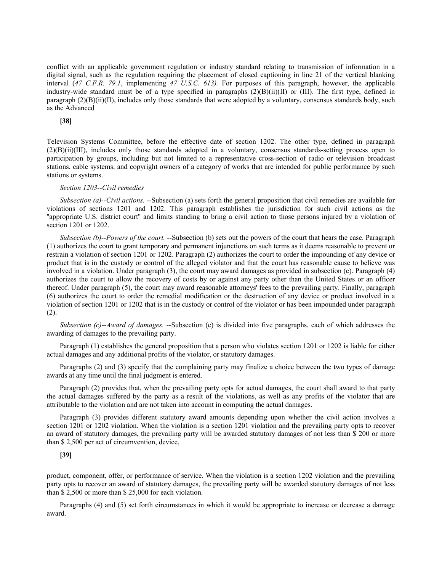conflict with an applicable government regulation or industry standard relating to transmission of information in a digital signal, such as the regulation requiring the placement of closed captioning in line 21 of the vertical blanking interval (*47 C.F.R. 79.1*, implementing *47 U.S.C. 613).* For purposes of this paragraph, however, the applicable industry-wide standard must be of a type specified in paragraphs  $(2)(B)(ii)(II)$  or (III). The first type, defined in paragraph  $(2)(B)(ii)(II)$ , includes only those standards that were adopted by a voluntary, consensus standards body, such as the Advanced

## **[38]**

Television Systems Committee, before the effective date of section 1202. The other type, defined in paragraph (2)(B)(ii)(III), includes only those standards adopted in a voluntary, consensus standards-setting process open to participation by groups, including but not limited to a representative cross-section of radio or television broadcast stations, cable systems, and copyright owners of a category of works that are intended for public performance by such stations or systems.

# *Section 1203--Civil remedies*

*Subsection (a)--Civil actions. --*Subsection (a) sets forth the general proposition that civil remedies are available for violations of sections 1201 and 1202. This paragraph establishes the jurisdiction for such civil actions as the ''appropriate U.S. district court'' and limits standing to bring a civil action to those persons injured by a violation of section 1201 or 1202.

*Subsection (b)--Powers of the court.* --Subsection (b) sets out the powers of the court that hears the case. Paragraph (1) authorizes the court to grant temporary and permanent injunctions on such terms as it deems reasonable to prevent or restrain a violation of section 1201 or 1202. Paragraph (2) authorizes the court to order the impounding of any device or product that is in the custody or control of the alleged violator and that the court has reasonable cause to believe was involved in a violation. Under paragraph (3), the court may award damages as provided in subsection (c). Paragraph (4) authorizes the court to allow the recovery of costs by or against any party other than the United States or an officer thereof. Under paragraph (5), the court may award reasonable attorneys' fees to the prevailing party. Finally, paragraph (6) authorizes the court to order the remedial modification or the destruction of any device or product involved in a violation of section 1201 or 1202 that is in the custody or control of the violator or has been impounded under paragraph (2).

*Subsection (c)--Award of damages. --*Subsection (c) is divided into five paragraphs, each of which addresses the awarding of damages to the prevailing party.

Paragraph (1) establishes the general proposition that a person who violates section 1201 or 1202 is liable for either actual damages and any additional profits of the violator, or statutory damages.

Paragraphs (2) and (3) specify that the complaining party may finalize a choice between the two types of damage awards at any time until the final judgment is entered.

Paragraph (2) provides that, when the prevailing party opts for actual damages, the court shall award to that party the actual damages suffered by the party as a result of the violations, as well as any profits of the violator that are attributable to the violation and are not taken into account in computing the actual damages.

Paragraph (3) provides different statutory award amounts depending upon whether the civil action involves a section 1201 or 1202 violation. When the violation is a section 1201 violation and the prevailing party opts to recover an award of statutory damages, the prevailing party will be awarded statutory damages of not less than \$ 200 or more than \$ 2,500 per act of circumvention, device,

## **[39]**

product, component, offer, or performance of service. When the violation is a section 1202 violation and the prevailing party opts to recover an award of statutory damages, the prevailing party will be awarded statutory damages of not less than \$ 2,500 or more than \$ 25,000 for each violation.

Paragraphs (4) and (5) set forth circumstances in which it would be appropriate to increase or decrease a damage award.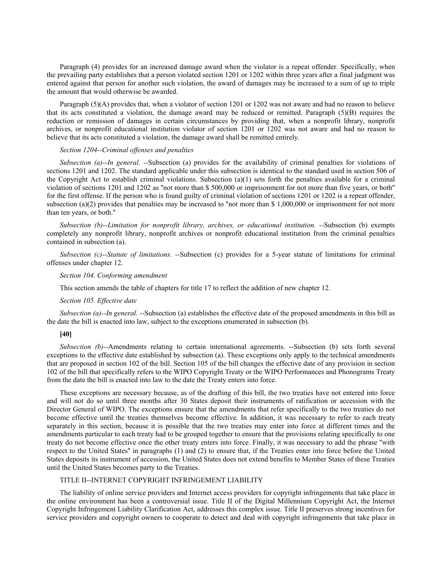Paragraph (4) provides for an increased damage award when the violator is a repeat offender. Specifically, when the prevailing party establishes that a person violated section 1201 or 1202 within three years after a final judgment was entered against that person for another such violation, the award of damages may be increased to a sum of up to triple the amount that would otherwise be awarded.

Paragraph (5)(A) provides that, when a violator of section 1201 or 1202 was not aware and had no reason to believe that its acts constituted a violation, the damage award may be reduced or remitted. Paragraph (5)(B) requires the reduction or remission of damages in certain circumstances by providing that, when a nonprofit library, nonprofit archives, or nonprofit educational institution violator of section 1201 or 1202 was not aware and had no reason to believe that its acts constituted a violation, the damage award shall be remitted entirely.

### *Section 1204--Criminal offenses and penalties*

*Subsection (a)--In general. --*Subsection (a) provides for the availability of criminal penalties for violations of sections 1201 and 1202. The standard applicable under this subsection is identical to the standard used in section 506 of the Copyright Act to establish criminal violations. Subsection (a)(1) sets forth the penalties available for a criminal violation of sections 1201 and 1202 as ''not more than \$ 500,000 or imprisonment for not more than five years, or both'' for the first offense. If the person who is found guilty of criminal violation of sections 1201 or 1202 is a repeat offender, subsection (a)(2) provides that penalties may be increased to "not more than \$ 1,000,000 or imprisonment for not more than ten years, or both.''

*Subsection (b)--Limitation for nonprofit library, archives, or educational institution. --*Subsection (b) exempts completely any nonprofit library, nonprofit archives or nonprofit educational institution from the criminal penalties contained in subsection (a).

*Subsection (c)--Statute of limitations. --*Subsection (c) provides for a 5-year statute of limitations for criminal offenses under chapter 12.

*Section 104. Conforming amendment*

This section amends the table of chapters for title 17 to reflect the addition of new chapter 12.

*Section 105. Effective date*

*Subsection (a)--In general. --*Subsection (a) establishes the effective date of the proposed amendments in this bill as the date the bill is enacted into law, subject to the exceptions enumerated in subsection (b).

## **[40]**

*Subsection (b)--*Amendments relating to certain international agreements. --Subsection (b) sets forth several exceptions to the effective date established by subsection (a). These exceptions only apply to the technical amendments that are proposed in section 102 of the bill. Section 105 of the bill changes the effective date of any provision in section 102 of the bill that specifically refers to the WIPO Copyright Treaty or the WIPO Performances and Phonograms Treaty from the date the bill is enacted into law to the date the Treaty enters into force.

These exceptions are necessary because, as of the drafting of this bill, the two treaties have not entered into force and will not do so until three months after 30 States deposit their instruments of ratification or accession with the Director General of WIPO. The exceptions ensure that the amendments that refer specifically to the two treaties do not become effective until the treaties themselves become effective. In addition, it was necessary to refer to each treaty separately in this section, because it is possible that the two treaties may enter into force at different times and the amendments particular to each treaty had to be grouped together to ensure that the provisions relating specifically to one treaty do not become effective once the other treaty enters into force. Finally, it was necessary to add the phrase ''with respect to the United States'' in paragraphs (1) and (2) to ensure that, if the Treaties enter into force before the United States deposits its instrument of accession, the United States does not extend benefits to Member States of these Treaties until the United States becomes party to the Treaties.

## TITLE II--INTERNET COPYRIGHT INFRINGEMENT LIABILITY

The liability of online service providers and Internet access providers for copyright infringements that take place in the online environment has been a controversial issue. Title II of the Digital Millennium Copyright Act, the Internet Copyright Infringement Liability Clarification Act, addresses this complex issue. Title II preserves strong incentives for service providers and copyright owners to cooperate to detect and deal with copyright infringements that take place in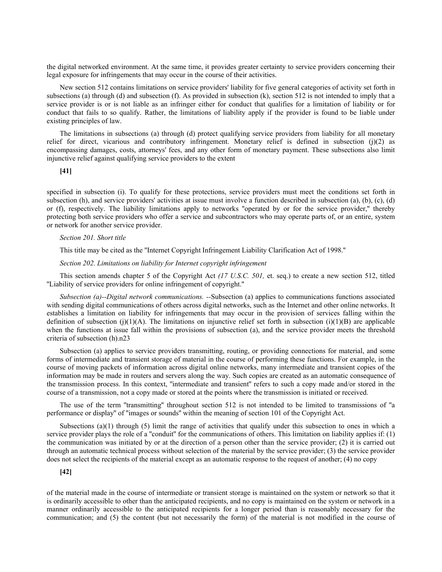the digital networked environment. At the same time, it provides greater certainty to service providers concerning their legal exposure for infringements that may occur in the course of their activities.

New section 512 contains limitations on service providers' liability for five general categories of activity set forth in subsections (a) through (d) and subsection (f). As provided in subsection (k), section 512 is not intended to imply that a service provider is or is not liable as an infringer either for conduct that qualifies for a limitation of liability or for conduct that fails to so qualify. Rather, the limitations of liability apply if the provider is found to be liable under existing principles of law.

The limitations in subsections (a) through (d) protect qualifying service providers from liability for all monetary relief for direct, vicarious and contributory infringement. Monetary relief is defined in subsection (j)(2) as encompassing damages, costs, attorneys' fees, and any other form of monetary payment. These subsections also limit injunctive relief against qualifying service providers to the extent

## **[41]**

specified in subsection (i). To qualify for these protections, service providers must meet the conditions set forth in subsection (h), and service providers' activities at issue must involve a function described in subsection (a), (b), (c), (d) or (f), respectively. The liability limitations apply to networks ''operated by or for the service provider,'' thereby protecting both service providers who offer a service and subcontractors who may operate parts of, or an entire, system or network for another service provider.

## *Section 201. Short title*

This title may be cited as the ''Internet Copyright Infringement Liability Clarification Act of 1998.''

*Section 202. Limitations on liability for Internet copyright infringement*

This section amends chapter 5 of the Copyright Act *(17 U.S.C. 501,* et. seq.) to create a new section 512, titled ''Liability of service providers for online infringement of copyright.''

*Subsection (a)--Digital network communications. --*Subsection (a) applies to communications functions associated with sending digital communications of others across digital networks, such as the Internet and other online networks. It establishes a limitation on liability for infringements that may occur in the provision of services falling within the definition of subsection  $(j)(1)(A)$ . The limitations on injunctive relief set forth in subsection  $(i)(1)(B)$  are applicable when the functions at issue fall within the provisions of subsection (a), and the service provider meets the threshold criteria of subsection (h).n23

Subsection (a) applies to service providers transmitting, routing, or providing connections for material, and some forms of intermediate and transient storage of material in the course of performing these functions. For example, in the course of moving packets of information across digital online networks, many intermediate and transient copies of the information may be made in routers and servers along the way. Such copies are created as an automatic consequence of the transmission process. In this context, ''intermediate and transient'' refers to such a copy made and/or stored in the course of a transmission, not a copy made or stored at the points where the transmission is initiated or received.

The use of the term "transmitting" throughout section 512 is not intended to be limited to transmissions of "a performance or display'' of ''images or sounds'' within the meaning of section 101 of the Copyright Act.

Subsections (a)(1) through (5) limit the range of activities that qualify under this subsection to ones in which a service provider plays the role of a ''conduit'' for the communications of others. This limitation on liability applies if: (1) the communication was initiated by or at the direction of a person other than the service provider; (2) it is carried out through an automatic technical process without selection of the material by the service provider; (3) the service provider does not select the recipients of the material except as an automatic response to the request of another; (4) no copy

### **[42]**

of the material made in the course of intermediate or transient storage is maintained on the system or network so that it is ordinarily accessible to other than the anticipated recipients, and no copy is maintained on the system or network in a manner ordinarily accessible to the anticipated recipients for a longer period than is reasonably necessary for the communication; and (5) the content (but not necessarily the form) of the material is not modified in the course of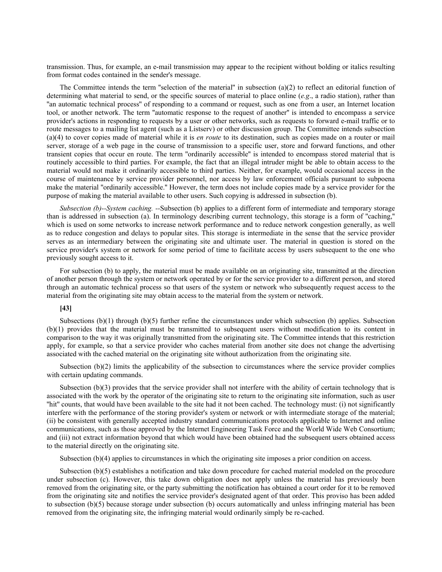transmission. Thus, for example, an e-mail transmission may appear to the recipient without bolding or italics resulting from format codes contained in the sender's message.

The Committee intends the term "selection of the material" in subsection  $(a)(2)$  to reflect an editorial function of determining what material to send, or the specific sources of material to place online (*e.g*., a radio station), rather than ''an automatic technical process'' of responding to a command or request, such as one from a user, an Internet location tool, or another network. The term ''automatic response to the request of another'' is intended to encompass a service provider's actions in responding to requests by a user or other networks, such as requests to forward e-mail traffic or to route messages to a mailing list agent (such as a Listserv) or other discussion group. The Committee intends subsection (a)(4) to cover copies made of material while it is *en route* to its destination, such as copies made on a router or mail server, storage of a web page in the course of transmission to a specific user, store and forward functions, and other transient copies that occur en route. The term ''ordinarily accessible'' is intended to encompass stored material that is routinely accessible to third parties. For example, the fact that an illegal intruder might be able to obtain access to the material would not make it ordinarily accessible to third parties. Neither, for example, would occasional access in the course of maintenance by service provider personnel, nor access by law enforcement officials pursuant to subpoena make the material ''ordinarily accessible.'' However, the term does not include copies made by a service provider for the purpose of making the material available to other users. Such copying is addressed in subsection (b).

*Subsection (b)--System caching. --*Subsection (b) applies to a different form of intermediate and temporary storage than is addressed in subsection (a). In terminology describing current technology, this storage is a form of ''caching,'' which is used on some networks to increase network performance and to reduce network congestion generally, as well as to reduce congestion and delays to popular sites. This storage is intermediate in the sense that the service provider serves as an intermediary between the originating site and ultimate user. The material in question is stored on the service provider's system or network for some period of time to facilitate access by users subsequent to the one who previously sought access to it.

For subsection (b) to apply, the material must be made available on an originating site, transmitted at the direction of another person through the system or network operated by or for the service provider to a different person, and stored through an automatic technical process so that users of the system or network who subsequently request access to the material from the originating site may obtain access to the material from the system or network.

## **[43]**

Subsections (b)(1) through (b)(5) further refine the circumstances under which subsection (b) applies. Subsection (b)(1) provides that the material must be transmitted to subsequent users without modification to its content in comparison to the way it was originally transmitted from the originating site. The Committee intends that this restriction apply, for example, so that a service provider who caches material from another site does not change the advertising associated with the cached material on the originating site without authorization from the originating site.

Subsection (b)(2) limits the applicability of the subsection to circumstances where the service provider complies with certain updating commands.

Subsection (b)(3) provides that the service provider shall not interfere with the ability of certain technology that is associated with the work by the operator of the originating site to return to the originating site information, such as user ''hit'' counts, that would have been available to the site had it not been cached. The technology must: (i) not significantly interfere with the performance of the storing provider's system or network or with intermediate storage of the material; (ii) be consistent with generally accepted industry standard communications protocols applicable to Internet and online communications, such as those approved by the Internet Engineering Task Force and the World Wide Web Consortium; and (iii) not extract information beyond that which would have been obtained had the subsequent users obtained access to the material directly on the originating site.

Subsection (b)(4) applies to circumstances in which the originating site imposes a prior condition on access.

Subsection (b)(5) establishes a notification and take down procedure for cached material modeled on the procedure under subsection (c). However, this take down obligation does not apply unless the material has previously been removed from the originating site, or the party submitting the notification has obtained a court order for it to be removed from the originating site and notifies the service provider's designated agent of that order. This proviso has been added to subsection (b)(5) because storage under subsection (b) occurs automatically and unless infringing material has been removed from the originating site, the infringing material would ordinarily simply be re-cached.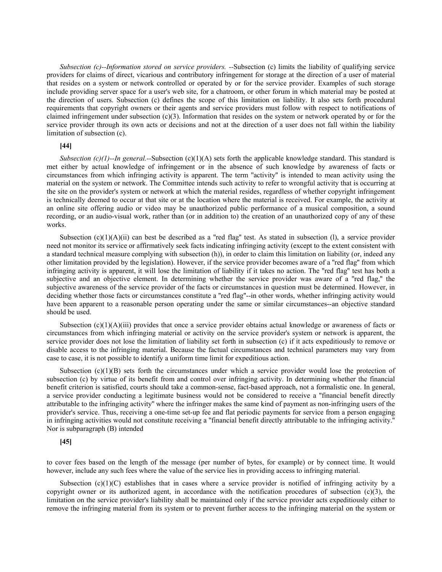*Subsection (c)--Information stored on service providers. --*Subsection (c) limits the liability of qualifying service providers for claims of direct, vicarious and contributory infringement for storage at the direction of a user of material that resides on a system or network controlled or operated by or for the service provider. Examples of such storage include providing server space for a user's web site, for a chatroom, or other forum in which material may be posted at the direction of users. Subsection (c) defines the scope of this limitation on liability. It also sets forth procedural requirements that copyright owners or their agents and service providers must follow with respect to notifications of claimed infringement under subsection  $(c)(3)$ . Information that resides on the system or network operated by or for the service provider through its own acts or decisions and not at the direction of a user does not fall within the liability limitation of subsection (c).

# **[44]**

*Subsection (c)(1)--In general.*--Subsection (c)(1)(A) sets forth the applicable knowledge standard. This standard is met either by actual knowledge of infringement or in the absence of such knowledge by awareness of facts or circumstances from which infringing activity is apparent. The term ''activity'' is intended to mean activity using the material on the system or network. The Committee intends such activity to refer to wrongful activity that is occurring at the site on the provider's system or network at which the material resides, regardless of whether copyright infringement is technically deemed to occur at that site or at the location where the material is received. For example, the activity at an online site offering audio or video may be unauthorized public performance of a musical composition, a sound recording, or an audio-visual work, rather than (or in addition to) the creation of an unauthorized copy of any of these works.

Subsection  $(c)(1)(A)(ii)$  can best be described as a "red flag" test. As stated in subsection (1), a service provider need not monitor its service or affirmatively seek facts indicating infringing activity (except to the extent consistent with a standard technical measure complying with subsection (h)), in order to claim this limitation on liability (or, indeed any other limitation provided by the legislation). However, if the service provider becomes aware of a ''red flag'' from which infringing activity is apparent, it will lose the limitation of liability if it takes no action. The ''red flag'' test has both a subjective and an objective element. In determining whether the service provider was aware of a ''red flag,'' the subjective awareness of the service provider of the facts or circumstances in question must be determined. However, in deciding whether those facts or circumstances constitute a ''red flag''--in other words, whether infringing activity would have been apparent to a reasonable person operating under the same or similar circumstances--an objective standard should be used.

Subsection  $(c)(1)(A)(iii)$  provides that once a service provider obtains actual knowledge or awareness of facts or circumstances from which infringing material or activity on the service provider's system or network is apparent, the service provider does not lose the limitation of liability set forth in subsection (c) if it acts expeditiously to remove or disable access to the infringing material. Because the factual circumstances and technical parameters may vary from case to case, it is not possible to identify a uniform time limit for expeditious action.

Subsection  $(c)(1)(B)$  sets forth the circumstances under which a service provider would lose the protection of subsection (c) by virtue of its benefit from and control over infringing activity. In determining whether the financial benefit criterion is satisfied, courts should take a common-sense, fact-based approach, not a formalistic one. In general, a service provider conducting a legitimate business would not be considered to receive a ''financial benefit directly attributable to the infringing activity'' where the infringer makes the same kind of payment as non-infringing users of the provider's service. Thus, receiving a one-time set-up fee and flat periodic payments for service from a person engaging in infringing activities would not constitute receiving a ''financial benefit directly attributable to the infringing activity.'' Nor is subparagraph (B) intended

# **[45]**

to cover fees based on the length of the message (per number of bytes, for example) or by connect time. It would however, include any such fees where the value of the service lies in providing access to infringing material.

Subsection  $(c)(1)(C)$  establishes that in cases where a service provider is notified of infringing activity by a copyright owner or its authorized agent, in accordance with the notification procedures of subsection  $(c)(3)$ , the limitation on the service provider's liability shall be maintained only if the service provider acts expeditiously either to remove the infringing material from its system or to prevent further access to the infringing material on the system or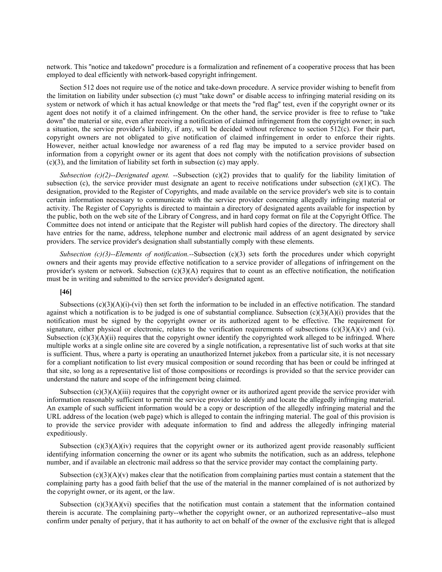network. This ''notice and takedown'' procedure is a formalization and refinement of a cooperative process that has been employed to deal efficiently with network-based copyright infringement.

Section 512 does not require use of the notice and take-down procedure. A service provider wishing to benefit from the limitation on liability under subsection (c) must ''take down'' or disable access to infringing material residing on its system or network of which it has actual knowledge or that meets the ''red flag'' test, even if the copyright owner or its agent does not notify it of a claimed infringement. On the other hand, the service provider is free to refuse to ''take down'' the material or site, even after receiving a notification of claimed infringement from the copyright owner; in such a situation, the service provider's liability, if any, will be decided without reference to section 512(c). For their part, copyright owners are not obligated to give notification of claimed infringement in order to enforce their rights. However, neither actual knowledge nor awareness of a red flag may be imputed to a service provider based on information from a copyright owner or its agent that does not comply with the notification provisions of subsection (c)(3), and the limitation of liability set forth in subsection (c) may apply.

*Subsection (c)(2)--Designated agent. --*Subsection (c)(2) provides that to qualify for the liability limitation of subsection (c), the service provider must designate an agent to receive notifications under subsection (c)(1)(C). The designation, provided to the Register of Copyrights, and made available on the service provider's web site is to contain certain information necessary to communicate with the service provider concerning allegedly infringing material or activity. The Register of Copyrights is directed to maintain a directory of designated agents available for inspection by the public, both on the web site of the Library of Congress, and in hard copy format on file at the Copyright Office. The Committee does not intend or anticipate that the Register will publish hard copies of the directory. The directory shall have entries for the name, address, telephone number and electronic mail address of an agent designated by service providers. The service provider's designation shall substantially comply with these elements.

*Subsection (c)(3)--Elements of notification.*--Subsection (c)(3) sets forth the procedures under which copyright owners and their agents may provide effective notification to a service provider of allegations of infringement on the provider's system or network. Subsection  $(c)(3)(A)$  requires that to count as an effective notification, the notification must be in writing and submitted to the service provider's designated agent.

## **[46]**

Subsections  $(c)(3)(A)(i)-(vi)$  then set forth the information to be included in an effective notification. The standard against which a notification is to be judged is one of substantial compliance. Subsection  $(c)(3)(A)(i)$  provides that the notification must be signed by the copyright owner or its authorized agent to be effective. The requirement for signature, either physical or electronic, relates to the verification requirements of subsections  $(c)(3)(A)(v)$  and (vi). Subsection  $(c)(3)(A)(ii)$  requires that the copyright owner identify the copyrighted work alleged to be infringed. Where multiple works at a single online site are covered by a single notification, a representative list of such works at that site is sufficient. Thus, where a party is operating an unauthorized Internet jukebox from a particular site, it is not necessary for a compliant notification to list every musical composition or sound recording that has been or could be infringed at that site, so long as a representative list of those compositions or recordings is provided so that the service provider can understand the nature and scope of the infringement being claimed.

Subsection  $(c)(3)(A)(iii)$  requires that the copyright owner or its authorized agent provide the service provider with information reasonably sufficient to permit the service provider to identify and locate the allegedly infringing material. An example of such sufficient information would be a copy or description of the allegedly infringing material and the URL address of the location (web page) which is alleged to contain the infringing material. The goal of this provision is to provide the service provider with adequate information to find and address the allegedly infringing material expeditiously.

Subsection  $(c)(3)(A)(iv)$  requires that the copyright owner or its authorized agent provide reasonably sufficient identifying information concerning the owner or its agent who submits the notification, such as an address, telephone number, and if available an electronic mail address so that the service provider may contact the complaining party.

Subsection  $(c)(3)(A)(v)$  makes clear that the notification from complaining parties must contain a statement that the complaining party has a good faith belief that the use of the material in the manner complained of is not authorized by the copyright owner, or its agent, or the law.

Subsection  $(c)(3)(A)(vi)$  specifies that the notification must contain a statement that the information contained therein is accurate. The complaining party--whether the copyright owner, or an authorized representative--also must confirm under penalty of perjury, that it has authority to act on behalf of the owner of the exclusive right that is alleged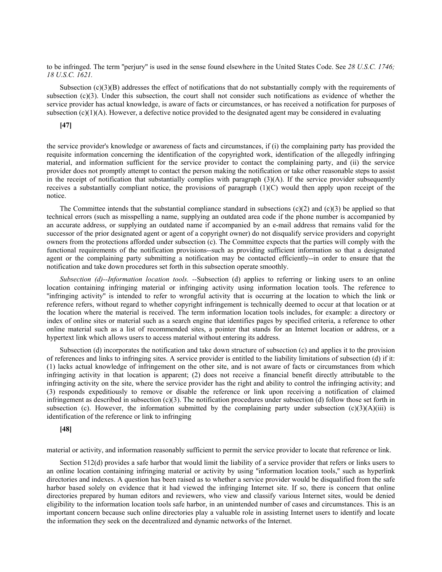to be infringed. The term ''perjury'' is used in the sense found elsewhere in the United States Code. See *28 U.S.C. 1746; 18 U.S.C. 1621.*

Subsection  $(c)(3)(B)$  addresses the effect of notifications that do not substantially comply with the requirements of subsection (c)(3). Under this subsection, the court shall not consider such notifications as evidence of whether the service provider has actual knowledge, is aware of facts or circumstances, or has received a notification for purposes of subsection  $(c)(1)(A)$ . However, a defective notice provided to the designated agent may be considered in evaluating

### **[47]**

the service provider's knowledge or awareness of facts and circumstances, if (i) the complaining party has provided the requisite information concerning the identification of the copyrighted work, identification of the allegedly infringing material, and information sufficient for the service provider to contact the complaining party, and (ii) the service provider does not promptly attempt to contact the person making the notification or take other reasonable steps to assist in the receipt of notification that substantially complies with paragraph  $(3)(A)$ . If the service provider subsequently receives a substantially compliant notice, the provisions of paragraph  $(1)(C)$  would then apply upon receipt of the notice.

The Committee intends that the substantial compliance standard in subsections  $(c)(2)$  and  $(c)(3)$  be applied so that technical errors (such as misspelling a name, supplying an outdated area code if the phone number is accompanied by an accurate address, or supplying an outdated name if accompanied by an e-mail address that remains valid for the successor of the prior designated agent or agent of a copyright owner) do not disqualify service providers and copyright owners from the protections afforded under subsection (c). The Committee expects that the parties will comply with the functional requirements of the notification provisions--such as providing sufficient information so that a designated agent or the complaining party submitting a notification may be contacted efficiently--in order to ensure that the notification and take down procedures set forth in this subsection operate smoothly.

*Subsection (d)--Information location tools. --*Subsection (d) applies to referring or linking users to an online location containing infringing material or infringing activity using information location tools. The reference to ''infringing activity'' is intended to refer to wrongful activity that is occurring at the location to which the link or reference refers, without regard to whether copyright infringement is technically deemed to occur at that location or at the location where the material is received. The term information location tools includes, for example: a directory or index of online sites or material such as a search engine that identifies pages by specified criteria, a reference to other online material such as a list of recommended sites, a pointer that stands for an Internet location or address, or a hypertext link which allows users to access material without entering its address.

Subsection (d) incorporates the notification and take down structure of subsection (c) and applies it to the provision of references and links to infringing sites. A service provider is entitled to the liability limitations of subsection (d) if it: (1) lacks actual knowledge of infringement on the other site, and is not aware of facts or circumstances from which infringing activity in that location is apparent; (2) does not receive a financial benefit directly attributable to the infringing activity on the site, where the service provider has the right and ability to control the infringing activity; and (3) responds expeditiously to remove or disable the reference or link upon receiving a notification of claimed infringement as described in subsection  $(c)(3)$ . The notification procedures under subsection (d) follow those set forth in subsection (c). However, the information submitted by the complaining party under subsection  $(c)(3)(A)(iii)$  is identification of the reference or link to infringing

# **[48]**

material or activity, and information reasonably sufficient to permit the service provider to locate that reference or link.

Section 512(d) provides a safe harbor that would limit the liability of a service provider that refers or links users to an online location containing infringing material or activity by using ''information location tools,'' such as hyperlink directories and indexes. A question has been raised as to whether a service provider would be disqualified from the safe harbor based solely on evidence that it had viewed the infringing Internet site. If so, there is concern that online directories prepared by human editors and reviewers, who view and classify various Internet sites, would be denied eligibility to the information location tools safe harbor, in an unintended number of cases and circumstances. This is an important concern because such online directories play a valuable role in assisting Internet users to identify and locate the information they seek on the decentralized and dynamic networks of the Internet.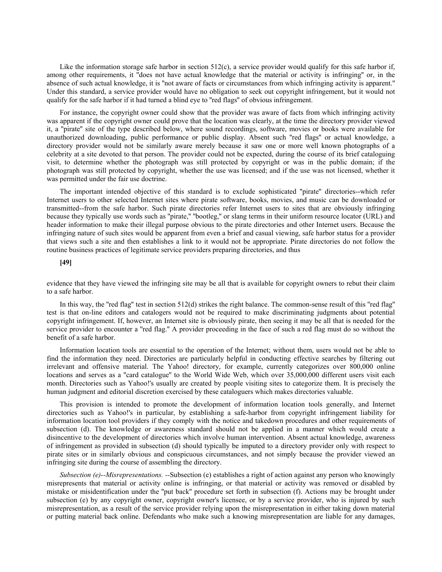Like the information storage safe harbor in section  $512(c)$ , a service provider would qualify for this safe harbor if, among other requirements, it ''does not have actual knowledge that the material or activity is infringing'' or, in the absence of such actual knowledge, it is ''not aware of facts or circumstances from which infringing activity is apparent.'' Under this standard, a service provider would have no obligation to seek out copyright infringement, but it would not qualify for the safe harbor if it had turned a blind eye to ''red flags'' of obvious infringement.

For instance, the copyright owner could show that the provider was aware of facts from which infringing activity was apparent if the copyright owner could prove that the location was clearly, at the time the directory provider viewed it, a ''pirate'' site of the type described below, where sound recordings, software, movies or books were available for unauthorized downloading, public performance or public display. Absent such ''red flags'' or actual knowledge, a directory provider would not be similarly aware merely because it saw one or more well known photographs of a celebrity at a site devoted to that person. The provider could not be expected, during the course of its brief cataloguing visit, to determine whether the photograph was still protected by copyright or was in the public domain; if the photograph was still protected by copyright, whether the use was licensed; and if the use was not licensed, whether it was permitted under the fair use doctrine.

The important intended objective of this standard is to exclude sophisticated ''pirate'' directories--which refer Internet users to other selected Internet sites where pirate software, books, movies, and music can be downloaded or transmitted--from the safe harbor. Such pirate directories refer Internet users to sites that are obviously infringing because they typically use words such as ''pirate,'' ''bootleg,'' or slang terms in their uniform resource locator (URL) and header information to make their illegal purpose obvious to the pirate directories and other Internet users. Because the infringing nature of such sites would be apparent from even a brief and casual viewing, safe harbor status for a provider that views such a site and then establishes a link to it would not be appropriate. Pirate directories do not follow the routine business practices of legitimate service providers preparing directories, and thus

## **[49]**

evidence that they have viewed the infringing site may be all that is available for copyright owners to rebut their claim to a safe harbor.

In this way, the "red flag" test in section  $512(d)$  strikes the right balance. The common-sense result of this "red flag" test is that on-line editors and catalogers would not be required to make discriminating judgments about potential copyright infringement. If, however, an Internet site is obviously pirate, then seeing it may be all that is needed for the service provider to encounter a ''red flag.'' A provider proceeding in the face of such a red flag must do so without the benefit of a safe harbor.

Information location tools are essential to the operation of the Internet; without them, users would not be able to find the information they need. Directories are particularly helpful in conducting effective searches by filtering out irrelevant and offensive material. The Yahoo! directory, for example, currently categorizes over 800,000 online locations and serves as a ''card catalogue'' to the World Wide Web, which over 35,000,000 different users visit each month. Directories such as Yahoo!'s usually are created by people visiting sites to categorize them. It is precisely the human judgment and editorial discretion exercised by these cataloguers which makes directories valuable.

This provision is intended to promote the development of information location tools generally, and Internet directories such as Yahoo!'s in particular, by establishing a safe-harbor from copyright infringement liability for information location tool providers if they comply with the notice and takedown procedures and other requirements of subsection (d). The knowledge or awareness standard should not be applied in a manner which would create a disincentive to the development of directories which involve human intervention. Absent actual knowledge, awareness of infringement as provided in subsection (d) should typically be imputed to a directory provider only with respect to pirate sites or in similarly obvious and conspicuous circumstances, and not simply because the provider viewed an infringing site during the course of assembling the directory.

*Subsection (e)--Misrepresentations. --*Subsection (e) establishes a right of action against any person who knowingly misrepresents that material or activity online is infringing, or that material or activity was removed or disabled by mistake or misidentification under the ''put back'' procedure set forth in subsection (f). Actions may be brought under subsection (e) by any copyright owner, copyright owner's licensee, or by a service provider, who is injured by such misrepresentation, as a result of the service provider relying upon the misrepresentation in either taking down material or putting material back online. Defendants who make such a knowing misrepresentation are liable for any damages,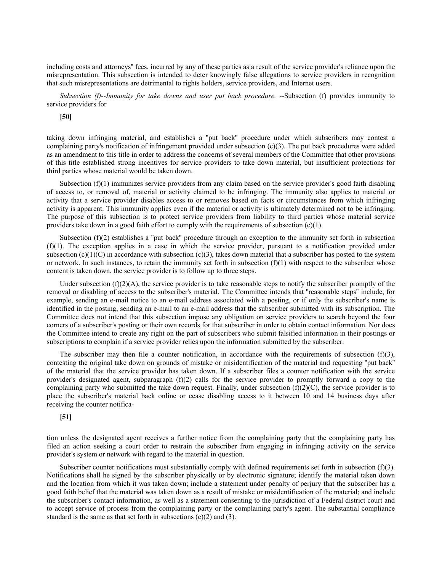including costs and attorneys'' fees, incurred by any of these parties as a result of the service provider's reliance upon the misrepresentation. This subsection is intended to deter knowingly false allegations to service providers in recognition that such misrepresentations are detrimental to rights holders, service providers, and Internet users.

*Subsection (f)--Immunity for take downs and user put back procedure. --*Subsection (f) provides immunity to service providers for

**[50]**

taking down infringing material, and establishes a ''put back'' procedure under which subscribers may contest a complaining party's notification of infringement provided under subsection (c)(3). The put back procedures were added as an amendment to this title in order to address the concerns of several members of the Committee that other provisions of this title established strong incentives for service providers to take down material, but insufficient protections for third parties whose material would be taken down.

Subsection  $(f)(1)$  immunizes service providers from any claim based on the service provider's good faith disabling of access to, or removal of, material or activity claimed to be infringing. The immunity also applies to material or activity that a service provider disables access to or removes based on facts or circumstances from which infringing activity is apparent. This immunity applies even if the material or activity is ultimately determined not to be infringing. The purpose of this subsection is to protect service providers from liability to third parties whose material service providers take down in a good faith effort to comply with the requirements of subsection  $(c)(1)$ .

Subsection  $(f)(2)$  establishes a "put back" procedure through an exception to the immunity set forth in subsection  $(f)(1)$ . The exception applies in a case in which the service provider, pursuant to a notification provided under subsection  $(c)(1)(C)$  in accordance with subsection  $(c)(3)$ , takes down material that a subscriber has posted to the system or network. In such instances, to retain the immunity set forth in subsection  $(f)(1)$  with respect to the subscriber whose content is taken down, the service provider is to follow up to three steps.

Under subsection  $(f)(2)(A)$ , the service provider is to take reasonable steps to notify the subscriber promptly of the removal or disabling of access to the subscriber's material. The Committee intends that ''reasonable steps'' include, for example, sending an e-mail notice to an e-mail address associated with a posting, or if only the subscriber's name is identified in the posting, sending an e-mail to an e-mail address that the subscriber submitted with its subscription. The Committee does not intend that this subsection impose any obligation on service providers to search beyond the four corners of a subscriber's posting or their own records for that subscriber in order to obtain contact information. Nor does the Committee intend to create any right on the part of subscribers who submit falsified information in their postings or subscriptions to complain if a service provider relies upon the information submitted by the subscriber.

The subscriber may then file a counter notification, in accordance with the requirements of subsection  $(f)(3)$ , contesting the original take down on grounds of mistake or misidentification of the material and requesting ''put back'' of the material that the service provider has taken down. If a subscriber files a counter notification with the service provider's designated agent, subparagraph  $(f)(2)$  calls for the service provider to promptly forward a copy to the complaining party who submitted the take down request. Finally, under subsection  $(f)(2)(C)$ , the service provider is to place the subscriber's material back online or cease disabling access to it between 10 and 14 business days after receiving the counter notifica-

# **[51]**

tion unless the designated agent receives a further notice from the complaining party that the complaining party has filed an action seeking a court order to restrain the subscriber from engaging in infringing activity on the service provider's system or network with regard to the material in question.

Subscriber counter notifications must substantially comply with defined requirements set forth in subsection  $(f)(3)$ . Notifications shall he signed by the subscriber physically or by electronic signature; identify the material taken down and the location from which it was taken down; include a statement under penalty of perjury that the subscriber has a good faith belief that the material was taken down as a result of mistake or misidentification of the material; and include the subscriber's contact information, as well as a statement consenting to the jurisdiction of a Federal district court and to accept service of process from the complaining party or the complaining party's agent. The substantial compliance standard is the same as that set forth in subsections  $(c)(2)$  and  $(3)$ .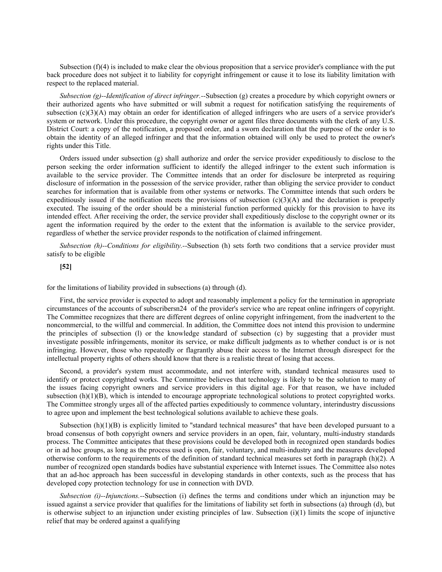Subsection (f)(4) is included to make clear the obvious proposition that a service provider's compliance with the put back procedure does not subject it to liability for copyright infringement or cause it to lose its liability limitation with respect to the replaced material.

*Subsection (g)--Identification of direct infringer.--*Subsection (g) creates a procedure by which copyright owners or their authorized agents who have submitted or will submit a request for notification satisfying the requirements of subsection (c)(3)(A) may obtain an order for identification of alleged infringers who are users of a service provider's system or network. Under this procedure, the copyright owner or agent files three documents with the clerk of any U.S. District Court: a copy of the notification, a proposed order, and a sworn declaration that the purpose of the order is to obtain the identity of an alleged infringer and that the information obtained will only be used to protect the owner's rights under this Title.

Orders issued under subsection (g) shall authorize and order the service provider expeditiously to disclose to the person seeking the order information sufficient to identify the alleged infringer to the extent such information is available to the service provider. The Committee intends that an order for disclosure be interpreted as requiring disclosure of information in the possession of the service provider, rather than obliging the service provider to conduct searches for information that is available from other systems or networks. The Committee intends that such orders be expeditiously issued if the notification meets the provisions of subsection  $(c)(3)(A)$  and the declaration is properly executed. The issuing of the order should be a ministerial function performed quickly for this provision to have its intended effect. After receiving the order, the service provider shall expeditiously disclose to the copyright owner or its agent the information required by the order to the extent that the information is available to the service provider, regardless of whether the service provider responds to the notification of claimed infringement.

*Subsection (h)--Conditions for eligibility.--*Subsection (h) sets forth two conditions that a service provider must satisfy to be eligible

# **[52]**

for the limitations of liability provided in subsections (a) through (d).

First, the service provider is expected to adopt and reasonably implement a policy for the termination in appropriate circumstances of the accounts of subscribersn24 of the provider's service who are repeat online infringers of copyright. The Committee recognizes that there are different degrees of online copyright infringement, from the inadvertent to the noncommercial, to the willful and commercial. In addition, the Committee does not intend this provision to undermine the principles of subsection (l) or the knowledge standard of subsection (c) by suggesting that a provider must investigate possible infringements, monitor its service, or make difficult judgments as to whether conduct is or is not infringing. However, those who repeatedly or flagrantly abuse their access to the Internet through disrespect for the intellectual property rights of others should know that there is a realistic threat of losing that access.

Second, a provider's system must accommodate, and not interfere with, standard technical measures used to identify or protect copyrighted works. The Committee believes that technology is likely to be the solution to many of the issues facing copyright owners and service providers in this digital age. For that reason, we have included subsection  $(h)(1)(B)$ , which is intended to encourage appropriate technological solutions to protect copyrighted works. The Committee strongly urges all of the affected parties expeditiously to commence voluntary, interindustry discussions to agree upon and implement the best technological solutions available to achieve these goals.

Subsection  $(h)(1)(B)$  is explicitly limited to "standard technical measures" that have been developed pursuant to a broad consensus of both copyright owners and service providers in an open, fair, voluntary, multi-industry standards process. The Committee anticipates that these provisions could be developed both in recognized open standards bodies or in ad hoc groups, as long as the process used is open, fair, voluntary, and multi-industry and the measures developed otherwise conform to the requirements of the definition of standard technical measures set forth in paragraph (h)(2). A number of recognized open standards bodies have substantial experience with Internet issues. The Committee also notes that an ad-hoc approach has been successful in developing standards in other contexts, such as the process that has developed copy protection technology for use in connection with DVD.

*Subsection (i)--Injunctions.--*Subsection (i) defines the terms and conditions under which an injunction may be issued against a service provider that qualifies for the limitations of liability set forth in subsections (a) through (d), but is otherwise subject to an injunction under existing principles of law. Subsection  $(i)(1)$  limits the scope of injunctive relief that may be ordered against a qualifying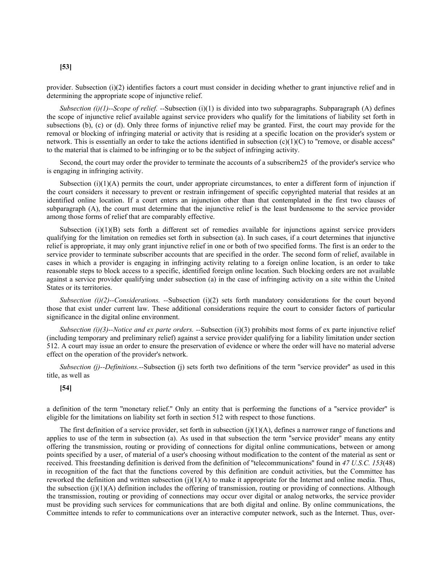# provider. Subsection (i)(2) identifies factors a court must consider in deciding whether to grant injunctive relief and in determining the appropriate scope of injunctive relief.

*Subsection (i)(1)--Scope of relief.* --Subsection (i)(1) is divided into two subparagraphs. Subparagraph (A) defines the scope of injunctive relief available against service providers who qualify for the limitations of liability set forth in subsections (b), (c) or (d). Only three forms of injunctive relief may be granted. First, the court may provide for the removal or blocking of infringing material or activity that is residing at a specific location on the provider's system or network. This is essentially an order to take the actions identified in subsection (c)(1)(C) to ''remove, or disable access'' to the material that is claimed to be infringing or to be the subject of infringing activity.

Second, the court may order the provider to terminate the accounts of a subscribern25 of the provider's service who is engaging in infringing activity.

Subsection  $(i)(1)(A)$  permits the court, under appropriate circumstances, to enter a different form of injunction if the court considers it necessary to prevent or restrain infringement of specific copyrighted material that resides at an identified online location. If a court enters an injunction other than that contemplated in the first two clauses of subparagraph (A), the court must determine that the injunctive relief is the least burdensome to the service provider among those forms of relief that are comparably effective.

Subsection  $(i)(1)(B)$  sets forth a different set of remedies available for injunctions against service providers qualifying for the limitation on remedies set forth in subsection (a). In such cases, if a court determines that injunctive relief is appropriate, it may only grant injunctive relief in one or both of two specified forms. The first is an order to the service provider to terminate subscriber accounts that are specified in the order. The second form of relief, available in cases in which a provider is engaging in infringing activity relating to a foreign online location, is an order to take reasonable steps to block access to a specific, identified foreign online location. Such blocking orders are not available against a service provider qualifying under subsection (a) in the case of infringing activity on a site within the United States or its territories.

*Subsection (i)(2)--Considerations. --*Subsection (i)(2) sets forth mandatory considerations for the court beyond those that exist under current law. These additional considerations require the court to consider factors of particular significance in the digital online environment.

*Subsection (i)(3)--Notice and ex parte orders. --*Subsection (i)(3) prohibits most forms of ex parte injunctive relief (including temporary and preliminary relief) against a service provider qualifying for a liability limitation under section 512. A court may issue an order to ensure the preservation of evidence or where the order will have no material adverse effect on the operation of the provider's network.

*Subsection (j)--Definitions.*--Subsection (j) sets forth two definitions of the term "service provider" as used in this title, as well as

# **[54]**

a definition of the term ''monetary relief.'' Only an entity that is performing the functions of a ''service provider'' is eligible for the limitations on liability set forth in section 512 with respect to those functions.

The first definition of a service provider, set forth in subsection  $(j)(1)(A)$ , defines a narrower range of functions and applies to use of the term in subsection (a). As used in that subsection the term ''service provider'' means any entity offering the transmission, routing or providing of connections for digital online communications, between or among points specified by a user, of material of a user's choosing without modification to the content of the material as sent or received. This freestanding definition is derived from the definition of ''telecommunications'' found in *47 U.S.C. 153*(48) in recognition of the fact that the functions covered by this definition are conduit activities, but the Committee has reworked the definition and written subsection  $(j)(1)(A)$  to make it appropriate for the Internet and online media. Thus, the subsection  $(j)(1)(A)$  definition includes the offering of transmission, routing or providing of connections. Although the transmission, routing or providing of connections may occur over digital or analog networks, the service provider must be providing such services for communications that are both digital and online. By online communications, the Committee intends to refer to communications over an interactive computer network, such as the Internet. Thus, over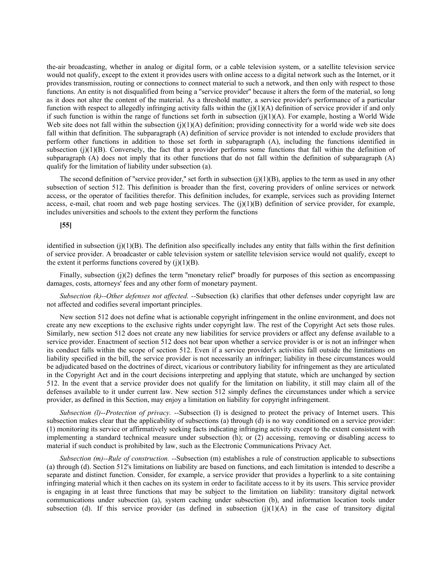the-air broadcasting, whether in analog or digital form, or a cable television system, or a satellite television service would not qualify, except to the extent it provides users with online access to a digital network such as the Internet, or it provides transmission, routing or connections to connect material to such a network, and then only with respect to those functions. An entity is not disqualified from being a ''service provider'' because it alters the form of the material, so long as it does not alter the content of the material. As a threshold matter, a service provider's performance of a particular function with respect to allegedly infringing activity falls within the  $(j)(1)(A)$  definition of service provider if and only if such function is within the range of functions set forth in subsection (j)(1)(A). For example, hosting a World Wide Web site does not fall within the subsection  $(j)(1)(A)$  definition; providing connectivity for a world wide web site does fall within that definition. The subparagraph (A) definition of service provider is not intended to exclude providers that perform other functions in addition to those set forth in subparagraph (A), including the functions identified in subsection  $(j)(1)(B)$ . Conversely, the fact that a provider performs some functions that fall within the definition of subparagraph (A) does not imply that its other functions that do not fall within the definition of subparagraph (A) qualify for the limitation of liability under subsection (a).

The second definition of "service provider," set forth in subsection  $(j)(1)(B)$ , applies to the term as used in any other subsection of section 512. This definition is broader than the first, covering providers of online services or network access, or the operator of facilities therefor. This definition includes, for example, services such as providing Internet access, e-mail, chat room and web page hosting services. The (j)(1)(B) definition of service provider, for example, includes universities and schools to the extent they perform the functions

**[55]**

identified in subsection  $(j)(1)(B)$ . The definition also specifically includes any entity that falls within the first definition of service provider. A broadcaster or cable television system or satellite television service would not qualify, except to the extent it performs functions covered by  $(j)(1)(B)$ .

Finally, subsection (j)(2) defines the term "monetary relief" broadly for purposes of this section as encompassing damages, costs, attorneys' fees and any other form of monetary payment.

*Subsection (k)--Other defenses not affected. --*Subsection (k) clarifies that other defenses under copyright law are not affected and codifies several important principles.

New section 512 does not define what is actionable copyright infringement in the online environment, and does not create any new exceptions to the exclusive rights under copyright law. The rest of the Copyright Act sets those rules. Similarly, new section 512 does not create any new liabilities for service providers or affect any defense available to a service provider. Enactment of section 512 does not bear upon whether a service provider is or is not an infringer when its conduct falls within the scope of section 512. Even if a service provider's activities fall outside the limitations on liability specified in the bill, the service provider is not necessarily an infringer; liability in these circumstances would be adjudicated based on the doctrines of direct, vicarious or contributory liability for infringement as they are articulated in the Copyright Act and in the court decisions interpreting and applying that statute, which are unchanged by section 512. In the event that a service provider does not qualify for the limitation on liability, it still may claim all of the defenses available to it under current law. New section 512 simply defines the circumstances under which a service provider, as defined in this Section, may enjoy a limitation on liability for copyright infringement.

*Subsection (l)--Protection of privacy. --*Subsection (l) is designed to protect the privacy of Internet users. This subsection makes clear that the applicability of subsections (a) through (d) is no way conditioned on a service provider: (1) monitoring its service or affirmatively seeking facts indicating infringing activity except to the extent consistent with implementing a standard technical measure under subsection (h); or (2) accessing, removing or disabling access to material if such conduct is prohibited by law, such as the Electronic Communications Privacy Act.

*Subsection (m)--Rule of construction. --*Subsection (m) establishes a rule of construction applicable to subsections (a) through (d). Section 512's limitations on liability are based on functions, and each limitation is intended to describe a separate and distinct function. Consider, for example, a service provider that provides a hyperlink to a site containing infringing material which it then caches on its system in order to facilitate access to it by its users. This service provider is engaging in at least three functions that may be subject to the limitation on liability: transitory digital network communications under subsection (a), system caching under subsection (b), and information location tools under subsection (d). If this service provider (as defined in subsection  $(j)(1)(A)$  in the case of transitory digital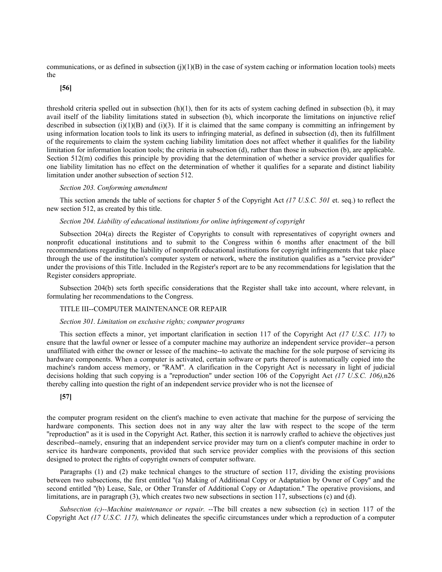communications, or as defined in subsection  $(i)(1)(B)$  in the case of system caching or information location tools) meets the

## **[56]**

threshold criteria spelled out in subsection  $(h)(1)$ , then for its acts of system caching defined in subsection  $(b)$ , it may avail itself of the liability limitations stated in subsection (b), which incorporate the limitations on injunctive relief described in subsection  $(i)(1)(B)$  and  $(i)(3)$ . If it is claimed that the same company is committing an infringement by using information location tools to link its users to infringing material, as defined in subsection (d), then its fulfillment of the requirements to claim the system caching liability limitation does not affect whether it qualifies for the liability limitation for information location tools; the criteria in subsection (d), rather than those in subsection (b), are applicable. Section 512(m) codifies this principle by providing that the determination of whether a service provider qualifies for one liability limitation has no effect on the determination of whether it qualifies for a separate and distinct liability limitation under another subsection of section 512.

#### *Section 203. Conforming amendment*

This section amends the table of sections for chapter 5 of the Copyright Act *(17 U.S.C. 501* et. seq.) to reflect the new section 512, as created by this title.

#### *Section 204. Liability of educational institutions for online infringement of copyright*

Subsection 204(a) directs the Register of Copyrights to consult with representatives of copyright owners and nonprofit educational institutions and to submit to the Congress within 6 months after enactment of the bill recommendations regarding the liability of nonprofit educational institutions for copyright infringements that take place through the use of the institution's computer system or network, where the institution qualifies as a ''service provider'' under the provisions of this Title. Included in the Register's report are to be any recommendations for legislation that the Register considers appropriate.

Subsection 204(b) sets forth specific considerations that the Register shall take into account, where relevant, in formulating her recommendations to the Congress.

### TITLE III--COMPUTER MAINTENANCE OR REPAIR

### *Section 301. Limitation on exclusive rights; computer programs*

This section effects a minor, yet important clarification in section 117 of the Copyright Act *(17 U.S.C. 117)* to ensure that the lawful owner or lessee of a computer machine may authorize an independent service provider--a person unaffiliated with either the owner or lessee of the machine--to activate the machine for the sole purpose of servicing its hardware components. When a computer is activated, certain software or parts thereof is automatically copied into the machine's random access memory, or ''RAM''. A clarification in the Copyright Act is necessary in light of judicial decisions holding that such copying is a ''reproduction'' under section 106 of the Copyright Act *(17 U.S.C. 106),*n26 thereby calling into question the right of an independent service provider who is not the licensee of

## **[57]**

the computer program resident on the client's machine to even activate that machine for the purpose of servicing the hardware components. This section does not in any way alter the law with respect to the scope of the term ''reproduction'' as it is used in the Copyright Act. Rather, this section it is narrowly crafted to achieve the objectives just described--namely, ensuring that an independent service provider may turn on a client's computer machine in order to service its hardware components, provided that such service provider complies with the provisions of this section designed to protect the rights of copyright owners of computer software.

Paragraphs (1) and (2) make technical changes to the structure of section 117, dividing the existing provisions between two subsections, the first entitled ''(a) Making of Additional Copy or Adaptation by Owner of Copy'' and the second entitled "(b) Lease, Sale, or Other Transfer of Additional Copy or Adaptation." The operative provisions, and limitations, are in paragraph (3), which creates two new subsections in section 117, subsections (c) and (d).

*Subsection (c)--Machine maintenance or repair.* --The bill creates a new subsection (c) in section 117 of the Copyright Act *(17 U.S.C. 117),* which delineates the specific circumstances under which a reproduction of a computer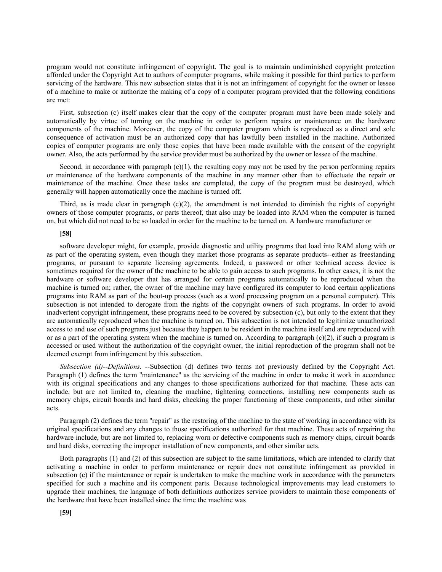program would not constitute infringement of copyright. The goal is to maintain undiminished copyright protection afforded under the Copyright Act to authors of computer programs, while making it possible for third parties to perform servicing of the hardware. This new subsection states that it is not an infringement of copyright for the owner or lessee of a machine to make or authorize the making of a copy of a computer program provided that the following conditions are met:

First, subsection (c) itself makes clear that the copy of the computer program must have been made solely and automatically by virtue of turning on the machine in order to perform repairs or maintenance on the hardware components of the machine. Moreover, the copy of the computer program which is reproduced as a direct and sole consequence of activation must be an authorized copy that has lawfully been installed in the machine. Authorized copies of computer programs are only those copies that have been made available with the consent of the copyright owner. Also, the acts performed by the service provider must be authorized by the owner or lessee of the machine.

Second, in accordance with paragraph  $(c)(1)$ , the resulting copy may not be used by the person performing repairs or maintenance of the hardware components of the machine in any manner other than to effectuate the repair or maintenance of the machine. Once these tasks are completed, the copy of the program must be destroyed, which generally will happen automatically once the machine is turned off.

Third, as is made clear in paragraph  $(c)(2)$ , the amendment is not intended to diminish the rights of copyright owners of those computer programs, or parts thereof, that also may be loaded into RAM when the computer is turned on, but which did not need to be so loaded in order for the machine to be turned on. A hardware manufacturer or

### **[58]**

software developer might, for example, provide diagnostic and utility programs that load into RAM along with or as part of the operating system, even though they market those programs as separate products--either as freestanding programs, or pursuant to separate licensing agreements. Indeed, a password or other technical access device is sometimes required for the owner of the machine to be able to gain access to such programs. In other cases, it is not the hardware or software developer that has arranged for certain programs automatically to be reproduced when the machine is turned on; rather, the owner of the machine may have configured its computer to load certain applications programs into RAM as part of the boot-up process (such as a word processing program on a personal computer). This subsection is not intended to derogate from the rights of the copyright owners of such programs. In order to avoid inadvertent copyright infringement, these programs need to be covered by subsection (c), but only to the extent that they are automatically reproduced when the machine is turned on. This subsection is not intended to legitimize unauthorized access to and use of such programs just because they happen to be resident in the machine itself and are reproduced with or as a part of the operating system when the machine is turned on. According to paragraph  $(c)(2)$ , if such a program is accessed or used without the authorization of the copyright owner, the initial reproduction of the program shall not be deemed exempt from infringement by this subsection.

*Subsection (d)--Definitions. --*Subsection (d) defines two terms not previously defined by the Copyright Act. Paragraph (1) defines the term ''maintenance'' as the servicing of the machine in order to make it work in accordance with its original specifications and any changes to those specifications authorized for that machine. These acts can include, but are not limited to, cleaning the machine, tightening connections, installing new components such as memory chips, circuit boards and hard disks, checking the proper functioning of these components, and other similar acts.

Paragraph (2) defines the term "repair" as the restoring of the machine to the state of working in accordance with its original specifications and any changes to those specifications authorized for that machine. These acts of repairing the hardware include, but are not limited to, replacing worn or defective components such as memory chips, circuit boards and hard disks, correcting the improper installation of new components, and other similar acts.

Both paragraphs (1) and (2) of this subsection are subject to the same limitations, which are intended to clarify that activating a machine in order to perform maintenance or repair does not constitute infringement as provided in subsection (c) if the maintenance or repair is undertaken to make the machine work in accordance with the parameters specified for such a machine and its component parts. Because technological improvements may lead customers to upgrade their machines, the language of both definitions authorizes service providers to maintain those components of the hardware that have been installed since the time the machine was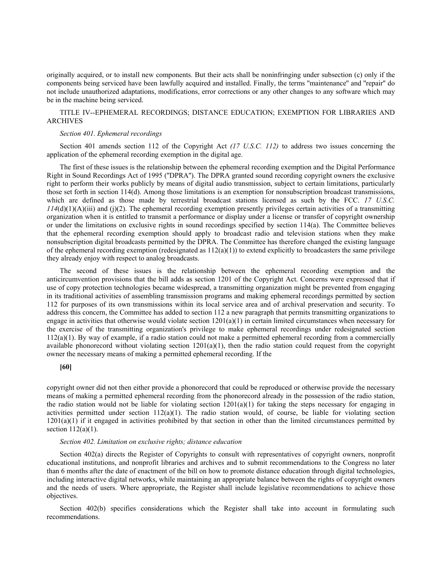originally acquired, or to install new components. But their acts shall be noninfringing under subsection (c) only if the components being serviced have been lawfully acquired and installed. Finally, the terms ''maintenance'' and ''repair'' do not include unauthorized adaptations, modifications, error corrections or any other changes to any software which may be in the machine being serviced.

## TITLE IV--EPHEMERAL RECORDINGS; DISTANCE EDUCATION; EXEMPTION FOR LIBRARIES AND ARCHIVES

#### *Section 401. Ephemeral recordings*

Section 401 amends section 112 of the Copyright Act *(17 U.S.C. 112)* to address two issues concerning the application of the ephemeral recording exemption in the digital age.

The first of these issues is the relationship between the ephemeral recording exemption and the Digital Performance Right in Sound Recordings Act of 1995 (''DPRA''). The DPRA granted sound recording copyright owners the exclusive right to perform their works publicly by means of digital audio transmission, subject to certain limitations, particularly those set forth in section 114(d). Among those limitations is an exemption for nonsubscription broadcast transmissions, which are defined as those made by terrestrial broadcast stations licensed as such by the FCC. *17 U.S.C.*   $114(d)(1)(A)(iii)$  and (j)(2). The ephemeral recording exemption presently privileges certain activities of a transmitting organization when it is entitled to transmit a performance or display under a license or transfer of copyright ownership or under the limitations on exclusive rights in sound recordings specified by section 114(a). The Committee believes that the ephemeral recording exemption should apply to broadcast radio and television stations when they make nonsubscription digital broadcasts permitted by the DPRA. The Committee has therefore changed the existing language of the ephemeral recording exemption (redesignated as  $112(a)(1)$ ) to extend explicitly to broadcasters the same privilege they already enjoy with respect to analog broadcasts.

The second of these issues is the relationship between the ephemeral recording exemption and the anticircumvention provisions that the bill adds as section 1201 of the Copyright Act. Concerns were expressed that if use of copy protection technologies became widespread, a transmitting organization might be prevented from engaging in its traditional activities of assembling transmission programs and making ephemeral recordings permitted by section 112 for purposes of its own transmissions within its local service area and of archival preservation and security. To address this concern, the Committee has added to section 112 a new paragraph that permits transmitting organizations to engage in activities that otherwise would violate section  $1201(a)(1)$  in certain limited circumstances when necessary for the exercise of the transmitting organization's privilege to make ephemeral recordings under redesignated section  $112(a)(1)$ . By way of example, if a radio station could not make a permitted ephemeral recording from a commercially available phonorecord without violating section 1201(a)(1), then the radio station could request from the copyright owner the necessary means of making a permitted ephemeral recording. If the

## **[60]**

copyright owner did not then either provide a phonorecord that could be reproduced or otherwise provide the necessary means of making a permitted ephemeral recording from the phonorecord already in the possession of the radio station, the radio station would not be liable for violating section  $1201(a)(1)$  for taking the steps necessary for engaging in activities permitted under section  $112(a)(1)$ . The radio station would, of course, be liable for violating section  $1201(a)(1)$  if it engaged in activities prohibited by that section in other than the limited circumstances permitted by section  $112(a)(1)$ .

## *Section 402. Limitation on exclusive rights; distance education*

Section 402(a) directs the Register of Copyrights to consult with representatives of copyright owners, nonprofit educational institutions, and nonprofit libraries and archives and to submit recommendations to the Congress no later than 6 months after the date of enactment of the bill on how to promote distance education through digital technologies, including interactive digital networks, while maintaining an appropriate balance between the rights of copyright owners and the needs of users. Where appropriate, the Register shall include legislative recommendations to achieve those objectives.

Section 402(b) specifies considerations which the Register shall take into account in formulating such recommendations.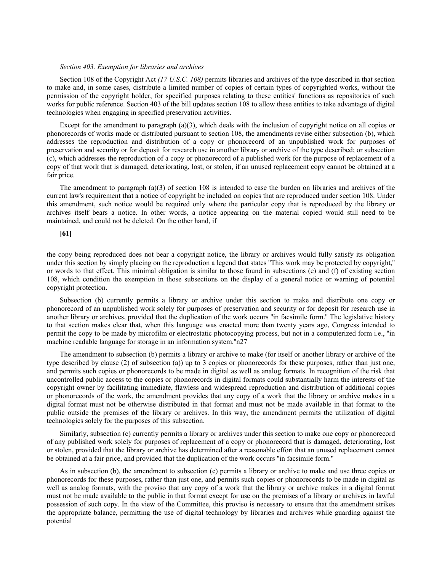#### *Section 403. Exemption for libraries and archives*

Section 108 of the Copyright Act *(17 U.S.C. 108)* permits libraries and archives of the type described in that section to make and, in some cases, distribute a limited number of copies of certain types of copyrighted works, without the permission of the copyright holder, for specified purposes relating to these entities' functions as repositories of such works for public reference. Section 403 of the bill updates section 108 to allow these entities to take advantage of digital technologies when engaging in specified preservation activities.

Except for the amendment to paragraph (a)(3), which deals with the inclusion of copyright notice on all copies or phonorecords of works made or distributed pursuant to section 108, the amendments revise either subsection (b), which addresses the reproduction and distribution of a copy or phonorecord of an unpublished work for purposes of preservation and security or for deposit for research use in another library or archive of the type described; or subsection (c), which addresses the reproduction of a copy or phonorecord of a published work for the purpose of replacement of a copy of that work that is damaged, deteriorating, lost, or stolen, if an unused replacement copy cannot be obtained at a fair price.

The amendment to paragraph (a)(3) of section 108 is intended to ease the burden on libraries and archives of the current law's requirement that a notice of copyright be included on copies that are reproduced under section 108. Under this amendment, such notice would be required only where the particular copy that is reproduced by the library or archives itself bears a notice. In other words, a notice appearing on the material copied would still need to be maintained, and could not be deleted. On the other hand, if

## **[61]**

the copy being reproduced does not bear a copyright notice, the library or archives would fully satisfy its obligation under this section by simply placing on the reproduction a legend that states ''This work may be protected by copyright,'' or words to that effect. This minimal obligation is similar to those found in subsections (e) and (f) of existing section 108, which condition the exemption in those subsections on the display of a general notice or warning of potential copyright protection.

Subsection (b) currently permits a library or archive under this section to make and distribute one copy or phonorecord of an unpublished work solely for purposes of preservation and security or for deposit for research use in another library or archives, provided that the duplication of the work occurs ''in facsimile form.'' The legislative history to that section makes clear that, when this language was enacted more than twenty years ago, Congress intended to permit the copy to be made by microfilm or electrostatic photocopying process, but not in a computerized form i.e., ''in machine readable language for storage in an information system.''n27

The amendment to subsection (b) permits a library or archive to make (for itself or another library or archive of the type described by clause (2) of subsection (a)) up to 3 copies or phonorecords for these purposes, rather than just one, and permits such copies or phonorecords to be made in digital as well as analog formats. In recognition of the risk that uncontrolled public access to the copies or phonorecords in digital formats could substantially harm the interests of the copyright owner by facilitating immediate, flawless and widespread reproduction and distribution of additional copies or phonorecords of the work, the amendment provides that any copy of a work that the library or archive makes in a digital format must not be otherwise distributed in that format and must not be made available in that format to the public outside the premises of the library or archives. In this way, the amendment permits the utilization of digital technologies solely for the purposes of this subsection.

Similarly, subsection (c) currently permits a library or archives under this section to make one copy or phonorecord of any published work solely for purposes of replacement of a copy or phonorecord that is damaged, deteriorating, lost or stolen, provided that the library or archive has determined after a reasonable effort that an unused replacement cannot be obtained at a fair price, and provided that the duplication of the work occurs ''in facsimile form.''

As in subsection (b), the amendment to subsection (c) permits a library or archive to make and use three copies or phonorecords for these purposes, rather than just one, and permits such copies or phonorecords to be made in digital as well as analog formats, with the proviso that any copy of a work that the library or archive makes in a digital format must not be made available to the public in that format except for use on the premises of a library or archives in lawful possession of such copy. In the view of the Committee, this proviso is necessary to ensure that the amendment strikes the appropriate balance, permitting the use of digital technology by libraries and archives while guarding against the potential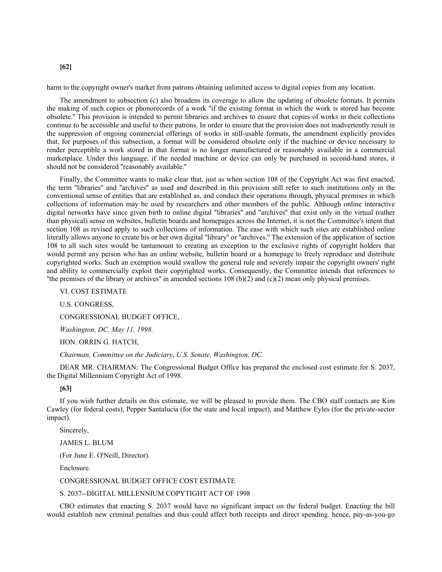harm to the copyright owner's market from patrons obtaining unlimited access to digital copies from any location.

The amendment to subsection (c) also broadens its coverage to allow the updating of obsolete formats. It permits the making of such copies or phonorecords of a work ''if the existing format in which the work is stored has become obsolete.'' This provision is intended to permit libraries and archives to ensure that copies of works in their collections continue to be accessible and useful to their patrons. In order to ensure that the provision does not inadvertently result in the suppression of ongoing commercial offerings of works in still-usable formats, the amendment explicitly provides that, for purposes of this subsection, a format will be considered obsolete only if the machine or device necessary to render perceptible a work stored in that format is no longer manufactured or reasonably available in a commercial marketplace. Under this language, if the needed machine or device can only be purchased in second-hand stores, it should not be considered ''reasonably available.''

Finally, the Committee wants to make clear that, just as when section 108 of the Copyright Act was first enacted, the term ''libraries'' and ''archives'' as used and described in this provision still refer to such institutions only in the conventional sense of entities that are established as, and conduct their operations through, physical premises in which collections of information may be used by researchers and other members of the public. Although online interactive digital networks have since given birth to online digital ''libraries'' and ''archives'' that exist only in the virtual (rather than physical) sense on websites, bulletin boards and homepages across the Internet, it is not the Committee's intent that section 108 as revised apply to such collections of information. The ease with which such sites are established online literally allows anyone to create his or her own digital ''library'' or ''archives.'' The extension of the application of section 108 to all such sites would be tantamount to creating an exception to the exclusive rights of copyright holders that would permit any person who has an online website, bulletin board or a homepage to freely reproduce and distribute copyrighted works. Such an exemption would swallow the general rule and severely impair the copyright owners' right and ability to commercially exploit their copyrighted works. Consequently, the Committee intends that references to ''the premises of the library or archives'' in amended sections 108 (b)(2) and (c)(2) mean only physical premises.

VI. COST ESTIMATE

U.S. CONGRESS,

CONGRESSIONAL BUDGET OFFICE,

*Washington, DC, May 11, 1998.*

HON. ORRIN G. HATCH,

*Chairman, Committee on the Judiciary, U.S. Senate, Washington, DC.*

DEAR MR. CHAIRMAN: The Congressional Budget Office has prepared the enclosed cost estimate for S. 2037, the Digital Millennium Copyright Act of 1998.

## **[63]**

If you wish further details on this estimate, we will be pleased to provide them. The CBO staff contacts are Kim Cawley (for federal costs), Pepper Santalucia (for the state and local impact), and Matthew Eyles (for the private-sector impact).

Sincerely,

JAMES L. BLUM

(For June E. O'Neill, Director).

Enclosure.

CONGRESSIONAL BUDGET OFFICE COST ESTIMATE

S. 2037--DIGITAL MILLENNIUM COPYTIGHT ACT OF 1998

CBO estimates that enacting S. 2037 would have no significant impact on the federal budget. Enacting the bill would establish new criminal penalties and thus could affect both receipts and direct spending. hence, pay-as-you-go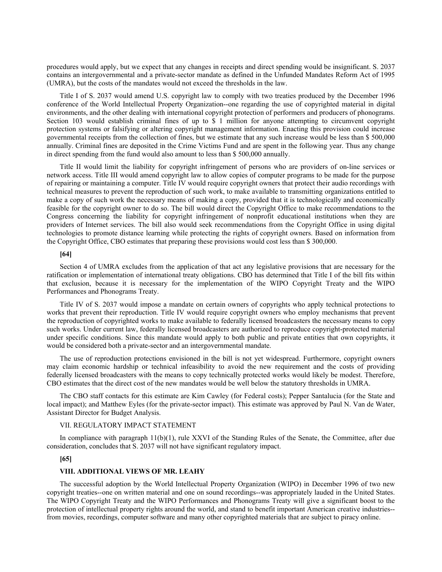procedures would apply, but we expect that any changes in receipts and direct spending would be insignificant. S. 2037 contains an intergovernmental and a private-sector mandate as defined in the Unfunded Mandates Reform Act of 1995 (UMRA), but the costs of the mandates would not exceed the thresholds in the law.

Title I of S. 2037 would amend U.S. copyright law to comply with two treaties produced by the December 1996 conference of the World Intellectual Property Organization--one regarding the use of copyrighted material in digital environments, and the other dealing with international copyright protection of performers and producers of phonograms. Section 103 would establish criminal fines of up to \$ 1 million for anyone attempting to circumvent copyright protection systems or falsifying or altering copyright management information. Enacting this provision could increase governmental receipts from the collection of fines, but we estimate that any such increase would be less than \$ 500,000 annually. Criminal fines are deposited in the Crime Victims Fund and are spent in the following year. Thus any change in direct spending from the fund would also amount to less than \$ 500,000 annually.

Title II would limit the liability for copyright infringement of persons who are providers of on-line services or network access. Title III would amend copyright law to allow copies of computer programs to be made for the purpose of repairing or maintaining a computer. Title IV would require copyright owners that protect their audio recordings with technical measures to prevent the reproduction of such work, to make available to transmitting organizations entitled to make a copy of such work the necessary means of making a copy, provided that it is technologically and economically feasible for the copyright owner to do so. The bill would direct the Copyright Office to make recommendations to the Congress concerning the liability for copyright infringement of nonprofit educational institutions when they are providers of Internet services. The bill also would seek recommendations from the Copyright Office in using digital technologies to promote distance learning while protecting the rights of copyright owners. Based on information from the Copyright Office, CBO estimates that preparing these provisions would cost less than \$ 300,000.

## **[64]**

Section 4 of UMRA excludes from the application of that act any legislative provisions that are necessary for the ratification or implementation of international treaty obligations. CBO has determined that Title I of the bill fits within that exclusion, because it is necessary for the implementation of the WIPO Copyright Treaty and the WIPO Performances and Phonograms Treaty.

Title IV of S. 2037 would impose a mandate on certain owners of copyrights who apply technical protections to works that prevent their reproduction. Title IV would require copyright owners who employ mechanisms that prevent the reproduction of copyrighted works to make available to federally licensed broadcasters the necessary means to copy such works. Under current law, federally licensed broadcasters are authorized to reproduce copyright-protected material under specific conditions. Since this mandate would apply to both public and private entities that own copyrights, it would be considered both a private-sector and an intergovernmental mandate.

The use of reproduction protections envisioned in the bill is not yet widespread. Furthermore, copyright owners may claim economic hardship or technical infeasibility to avoid the new requirement and the costs of providing federally licensed broadcasters with the means to copy technically protected works would likely be modest. Therefore, CBO estimates that the direct cost of the new mandates would be well below the statutory thresholds in UMRA.

The CBO staff contacts for this estimate are Kim Cawley (for Federal costs); Pepper Santalucia (for the State and local impact); and Matthew Eyles (for the private-sector impact). This estimate was approved by Paul N. Van de Water, Assistant Director for Budget Analysis.

## VII. REGULATORY IMPACT STATEMENT

In compliance with paragraph 11(b)(1), rule XXVI of the Standing Rules of the Senate, the Committee, after due consideration, concludes that S. 2037 will not have significant regulatory impact.

### **[65]**

## **VIII. ADDITIONAL VIEWS OF MR. LEAHY**

The successful adoption by the World Intellectual Property Organization (WIPO) in December 1996 of two new copyright treaties--one on written material and one on sound recordings--was appropriately lauded in the United States. The WIPO Copyright Treaty and the WIPO Performances and Phonograms Treaty will give a significant boost to the protection of intellectual property rights around the world, and stand to benefit important American creative industries- from movies, recordings, computer software and many other copyrighted materials that are subject to piracy online.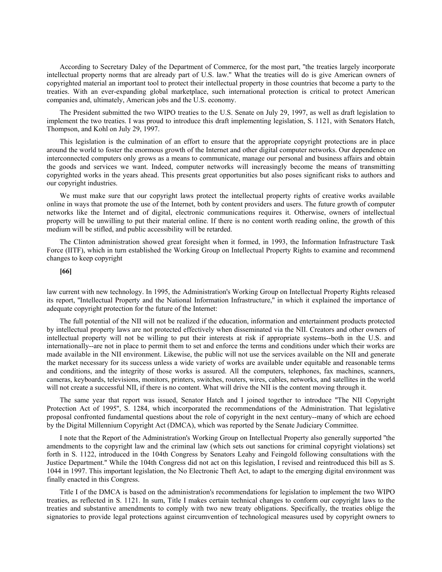According to Secretary Daley of the Department of Commerce, for the most part, ''the treaties largely incorporate intellectual property norms that are already part of U.S. law.'' What the treaties will do is give American owners of copyrighted material an important tool to protect their intellectual property in those countries that become a party to the treaties. With an ever-expanding global marketplace, such international protection is critical to protect American companies and, ultimately, American jobs and the U.S. economy.

The President submitted the two WIPO treaties to the U.S. Senate on July 29, 1997, as well as draft legislation to implement the two treaties. I was proud to introduce this draft implementing legislation, S. 1121, with Senators Hatch, Thompson, and Kohl on July 29, 1997.

This legislation is the culmination of an effort to ensure that the appropriate copyright protections are in place around the world to foster the enormous growth of the Internet and other digital computer networks. Our dependence on interconnected computers only grows as a means to communicate, manage our personal and business affairs and obtain the goods and services we want. Indeed, computer networks will increasingly become the means of transmitting copyrighted works in the years ahead. This presents great opportunities but also poses significant risks to authors and our copyright industries.

We must make sure that our copyright laws protect the intellectual property rights of creative works available online in ways that promote the use of the Internet, both by content providers and users. The future growth of computer networks like the Internet and of digital, electronic communications requires it. Otherwise, owners of intellectual property will be unwilling to put their material online. If there is no content worth reading online, the growth of this medium will be stifled, and public accessibility will be retarded.

The Clinton administration showed great foresight when it formed, in 1993, the Information Infrastructure Task Force (IITF), which in turn established the Working Group on Intellectual Property Rights to examine and recommend changes to keep copyright

## **[66]**

law current with new technology. In 1995, the Administration's Working Group on Intellectual Property Rights released its report, ''Intellectual Property and the National Information Infrastructure,'' in which it explained the importance of adequate copyright protection for the future of the Internet:

The full potential of the NII will not be realized if the education, information and entertainment products protected by intellectual property laws are not protected effectively when disseminated via the NII. Creators and other owners of intellectual property will not be willing to put their interests at risk if appropriate systems--both in the U.S. and internationally--are not in place to permit them to set and enforce the terms and conditions under which their works are made available in the NII environment. Likewise, the public will not use the services available on the NII and generate the market necessary for its success unless a wide variety of works are available under equitable and reasonable terms and conditions, and the integrity of those works is assured. All the computers, telephones, fax machines, scanners, cameras, keyboards, televisions, monitors, printers, switches, routers, wires, cables, networks, and satellites in the world will not create a successful NII, if there is no content. What will drive the NII is the content moving through it.

The same year that report was issued, Senator Hatch and I joined together to introduce ''The NII Copyright Protection Act of 1995'', S. 1284, which incorporated the recommendations of the Administration. That legislative proposal confronted fundamental questions about the role of copyright in the next century--many of which are echoed by the Digital Millennium Copyright Act (DMCA), which was reported by the Senate Judiciary Committee.

I note that the Report of the Administration's Working Group on Intellectual Property also generally supported ''the amendments to the copyright law and the criminal law (which sets out sanctions for criminal copyright violations) set forth in S. 1122, introduced in the 104th Congress by Senators Leahy and Feingold following consultations with the Justice Department.'' While the 104th Congress did not act on this legislation, I revised and reintroduced this bill as S. 1044 in 1997. This important legislation, the No Electronic Theft Act, to adapt to the emerging digital environment was finally enacted in this Congress.

Title I of the DMCA is based on the administration's recommendations for legislation to implement the two WIPO treaties, as reflected in S. 1121. In sum, Title I makes certain technical changes to conform our copyright laws to the treaties and substantive amendments to comply with two new treaty obligations. Specifically, the treaties oblige the signatories to provide legal protections against circumvention of technological measures used by copyright owners to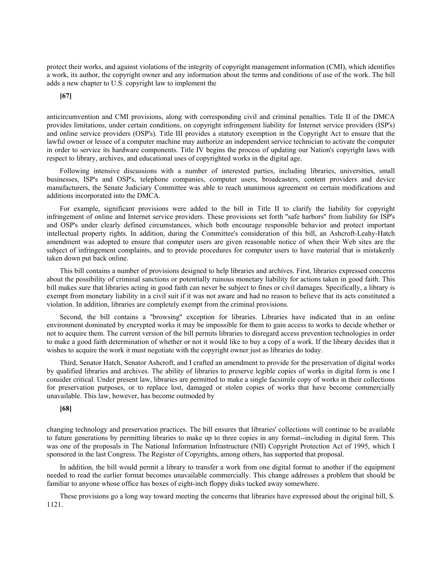protect their works, and against violations of the integrity of copyright management information (CMI), which identifies a work, its author, the copyright owner and any information about the terms and conditions of use of the work. The bill adds a new chapter to U.S. copyright law to implement the

## **[67]**

anticircumvention and CMI provisions, along with corresponding civil and criminal penalties. Title II of the DMCA provides limitations, under certain conditions, on copyright infringement liability for Internet service providers (ISP's) and online service providers (OSP's). Title III provides a statutory exemption in the Copyright Act to ensure that the lawful owner or lessee of a computer machine may authorize an independent service technician to activate the computer in order to service its hardware components. Title IV begins the process of updating our Nation's copyright laws with respect to library, archives, and educational uses of copyrighted works in the digital age.

Following intensive discussions with a number of interested parties, including libraries, universities, small businesses, ISP's and OSP's, telephone companies, computer users, broadcasters, content providers and device manufacturers, the Senate Judiciary Committee was able to reach unanimous agreement on certain modifications and additions incorporated into the DMCA.

For example, significant provisions were added to the bill in Title II to clarify the liability for copyright infringement of online and Internet service providers. These provisions set forth ''safe harbors'' from liability for ISP's and OSP's under clearly defined circumstances, which both encourage responsible behavior and protect important intellectual property rights. In addition, during the Committee's consideration of this bill, an Ashcroft-Leahy-Hatch amendment was adopted to ensure that computer users are given reasonable notice of when their Web sites are the subject of infringement complaints, and to provide procedures for computer users to have material that is mistakenly taken down put back online.

This bill contains a number of provisions designed to help libraries and archives. First, libraries expressed concerns about the possibility of criminal sanctions or potentially ruinous monetary liability for actions taken in good faith. This bill makes sure that libraries acting in good faith can never be subject to fines or civil damages. Specifically, a library is exempt from monetary liability in a civil suit if it was not aware and had no reason to believe that its acts constituted a violation. In addition, libraries are completely exempt from the criminal provisions.

Second, the bill contains a ''browsing'' exception for libraries. Libraries have indicated that in an online environment dominated by encrypted works it may be impossible for them to gain access to works to decide whether or not to acquire them. The current version of the bill permits libraries to disregard access prevention technologies in order to make a good faith determination of whether or not it would like to buy a copy of a work. If the library decides that it wishes to acquire the work it must negotiate with the copyright owner just as libraries do today.

Third, Senator Hatch, Senator Ashcroft, and I crafted an amendment to provide for the preservation of digital works by qualified libraries and archives. The ability of libraries to preserve legible copies of works in digital form is one I consider critical. Under present law, libraries are permitted to make a single facsimile copy of works in their collections for preservation purposes, or to replace lost, damaged or stolen copies of works that have become commercially unavailable. This law, however, has become outmoded by

# **[68]**

changing technology and preservation practices. The bill ensures that libraries' collections will continue to be available to future generations by permitting libraries to make up to three copies in any format--including in digital form. This was one of the proposals in The National Information Infrastructure (NII) Copyright Protection Act of 1995, which I sponsored in the last Congress. The Register of Copyrights, among others, has supported that proposal.

In addition, the bill would permit a library to transfer a work from one digital format to another if the equipment needed to read the earlier format becomes unavailable commercially. This change addresses a problem that should be familiar to anyone whose office has boxes of eight-inch floppy disks tucked away somewhere.

These provisions go a long way toward meeting the concerns that libraries have expressed about the original bill, S. 1121.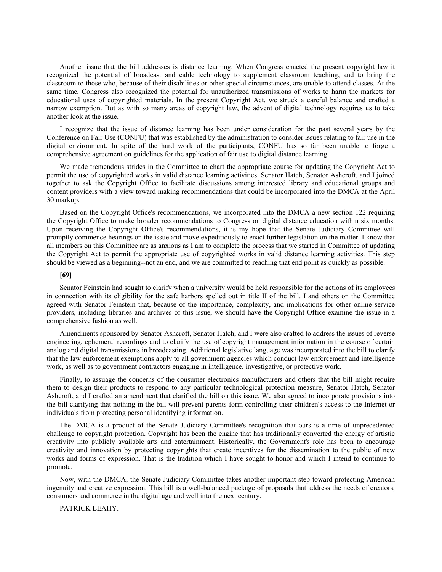Another issue that the bill addresses is distance learning. When Congress enacted the present copyright law it recognized the potential of broadcast and cable technology to supplement classroom teaching, and to bring the classroom to those who, because of their disabilities or other special circumstances, are unable to attend classes. At the same time, Congress also recognized the potential for unauthorized transmissions of works to harm the markets for educational uses of copyrighted materials. In the present Copyright Act, we struck a careful balance and crafted a narrow exemption. But as with so many areas of copyright law, the advent of digital technology requires us to take another look at the issue.

I recognize that the issue of distance learning has been under consideration for the past several years by the Conference on Fair Use (CONFU) that was established by the administration to consider issues relating to fair use in the digital environment. In spite of the hard work of the participants, CONFU has so far been unable to forge a comprehensive agreement on guidelines for the application of fair use to digital distance learning.

We made tremendous strides in the Committee to chart the appropriate course for updating the Copyright Act to permit the use of copyrighted works in valid distance learning activities. Senator Hatch, Senator Ashcroft, and I joined together to ask the Copyright Office to facilitate discussions among interested library and educational groups and content providers with a view toward making recommendations that could be incorporated into the DMCA at the April 30 markup.

Based on the Copyright Office's recommendations, we incorporated into the DMCA a new section 122 requiring the Copyright Office to make broader recommendations to Congress on digital distance education within six months. Upon receiving the Copyright Office's recommendations, it is my hope that the Senate Judiciary Committee will promptly commence hearings on the issue and move expeditiously to enact further legislation on the matter. I know that all members on this Committee are as anxious as I am to complete the process that we started in Committee of updating the Copyright Act to permit the appropriate use of copyrighted works in valid distance learning activities. This step should be viewed as a beginning--not an end, and we are committed to reaching that end point as quickly as possible.

## **[69]**

Senator Feinstein had sought to clarify when a university would be held responsible for the actions of its employees in connection with its eligibility for the safe harbors spelled out in title II of the bill. I and others on the Committee agreed with Senator Feinstein that, because of the importance, complexity, and implications for other online service providers, including libraries and archives of this issue, we should have the Copyright Office examine the issue in a comprehensive fashion as well.

Amendments sponsored by Senator Ashcroft, Senator Hatch, and I were also crafted to address the issues of reverse engineering, ephemeral recordings and to clarify the use of copyright management information in the course of certain analog and digital transmissions in broadcasting. Additional legislative language was incorporated into the bill to clarify that the law enforcement exemptions apply to all government agencies which conduct law enforcement and intelligence work, as well as to government contractors engaging in intelligence, investigative, or protective work.

Finally, to assuage the concerns of the consumer electronics manufacturers and others that the bill might require them to design their products to respond to any particular technological protection measure, Senator Hatch, Senator Ashcroft, and I crafted an amendment that clarified the bill on this issue. We also agreed to incorporate provisions into the bill clarifying that nothing in the bill will prevent parents form controlling their children's access to the Internet or individuals from protecting personal identifying information.

The DMCA is a product of the Senate Judiciary Committee's recognition that ours is a time of unprecedented challenge to copyright protection. Copyright has been the engine that has traditionally converted the energy of artistic creativity into publicly available arts and entertainment. Historically, the Government's role has been to encourage creativity and innovation by protecting copyrights that create incentives for the dissemination to the public of new works and forms of expression. That is the tradition which I have sought to honor and which I intend to continue to promote.

Now, with the DMCA, the Senate Judiciary Committee takes another important step toward protecting American ingenuity and creative expression. This bill is a well-balanced package of proposals that address the needs of creators, consumers and commerce in the digital age and well into the next century.

## PATRICK LEAHY.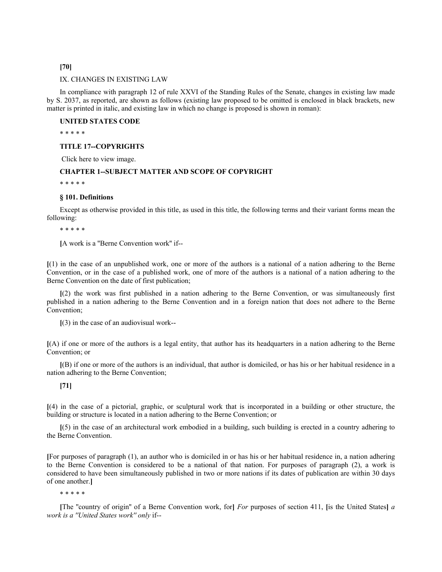**[70]**

## IX. CHANGES IN EXISTING LAW

In compliance with paragraph 12 of rule XXVI of the Standing Rules of the Senate, changes in existing law made by S. 2037, as reported, are shown as follows (existing law proposed to be omitted is enclosed in black brackets, new matter is printed in italic, and existing law in which no change is proposed is shown in roman):

## **UNITED STATES CODE**

\* \* \* \* \*

#### **TITLE 17--COPYRIGHTS**

Click here to view image.

### **CHAPTER 1--SUBJECT MATTER AND SCOPE OF COPYRIGHT**

\* \* \* \* \*

### **§ 101. Definitions**

Except as otherwise provided in this title, as used in this title, the following terms and their variant forms mean the following:

\* \* \* \* \*

**[**A work is a ''Berne Convention work'' if--

**[**(1) in the case of an unpublished work, one or more of the authors is a national of a nation adhering to the Berne Convention, or in the case of a published work, one of more of the authors is a national of a nation adhering to the Berne Convention on the date of first publication;

**[**(2) the work was first published in a nation adhering to the Berne Convention, or was simultaneously first published in a nation adhering to the Berne Convention and in a foreign nation that does not adhere to the Berne Convention;

**[**(3) in the case of an audiovisual work--

**[**(A) if one or more of the authors is a legal entity, that author has its headquarters in a nation adhering to the Berne Convention; or

**[**(B) if one or more of the authors is an individual, that author is domiciled, or has his or her habitual residence in a nation adhering to the Berne Convention;

## **[71]**

**[**(4) in the case of a pictorial, graphic, or sculptural work that is incorporated in a building or other structure, the building or structure is located in a nation adhering to the Berne Convention; or

**[**(5) in the case of an architectural work embodied in a building, such building is erected in a country adhering to the Berne Convention.

**[**For purposes of paragraph (1), an author who is domiciled in or has his or her habitual residence in, a nation adhering to the Berne Convention is considered to be a national of that nation. For purposes of paragraph (2), a work is considered to have been simultaneously published in two or more nations if its dates of publication are within 30 days of one another.**]**

\* \* \* \* \*

**[**The ''country of origin'' of a Berne Convention work, for**]** *For* purposes of section 411, **[**is the United States**]** *a work is a ''United States work'' only* if--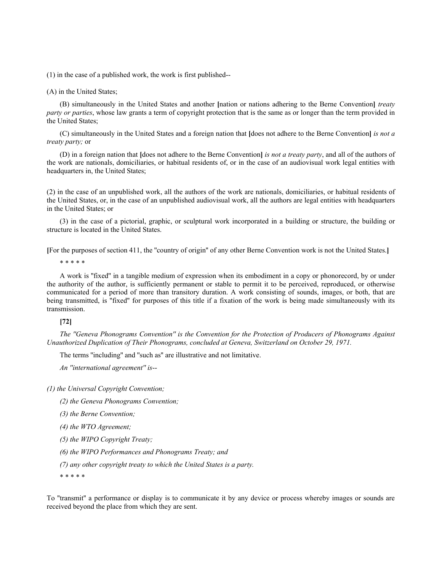(1) in the case of a published work, the work is first published--

(A) in the United States;

(B) simultaneously in the United States and another **[**nation or nations adhering to the Berne Convention**]** *treaty party or parties*, whose law grants a term of copyright protection that is the same as or longer than the term provided in the United States;

(C) simultaneously in the United States and a foreign nation that **[**does not adhere to the Berne Convention**]** *is not a treaty party;* or

(D) in a foreign nation that **[**does not adhere to the Berne Convention**]** *is not a treaty party*, and all of the authors of the work are nationals, domiciliaries, or habitual residents of, or in the case of an audiovisual work legal entities with headquarters in, the United States;

(2) in the case of an unpublished work, all the authors of the work are nationals, domiciliaries, or habitual residents of the United States, or, in the case of an unpublished audiovisual work, all the authors are legal entities with headquarters in the United States; or

(3) in the case of a pictorial, graphic, or sculptural work incorporated in a building or structure, the building or structure is located in the United States.

**[**For the purposes of section 411, the ''country of origin'' of any other Berne Convention work is not the United States.**]**

\* \* \* \* \*

A work is ''fixed'' in a tangible medium of expression when its embodiment in a copy or phonorecord, by or under the authority of the author, is sufficiently permanent or stable to permit it to be perceived, reproduced, or otherwise communicated for a period of more than transitory duration. A work consisting of sounds, images, or both, that are being transmitted, is ''fixed'' for purposes of this title if a fixation of the work is being made simultaneously with its transmission.

# **[72]**

*The ''Geneva Phonograms Convention'' is the Convention for the Protection of Producers of Phonograms Against Unauthorized Duplication of Their Phonograms, concluded at Geneva, Switzerland on October 29, 1971.*

The terms ''including'' and ''such as'' are illustrative and not limitative.

*An ''international agreement'' is*--

*(1) the Universal Copyright Convention;*

*(2) the Geneva Phonograms Convention;*

*(3) the Berne Convention;*

*(4) the WTO Agreement;*

*(5) the WIPO Copyright Treaty;*

*(6) the WIPO Performances and Phonograms Treaty; and*

*(7) any other copyright treaty to which the United States is a party.*

\* \* \* \* \*

To ''transmit'' a performance or display is to communicate it by any device or process whereby images or sounds are received beyond the place from which they are sent.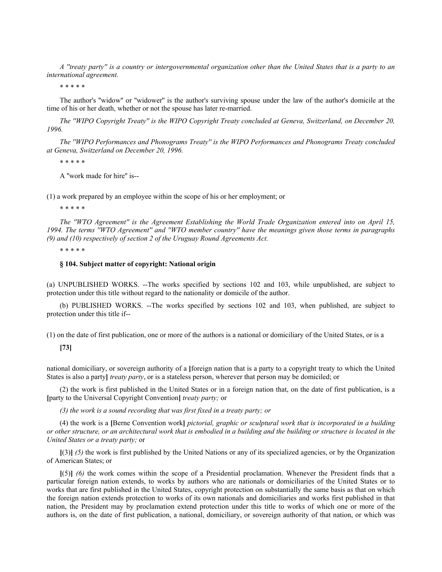*A ''treaty party'' is a country or intergovernmental organization other than the United States that is a party to an international agreement.*

\* \* \* \* \*

The author's ''widow'' or ''widower'' is the author's surviving spouse under the law of the author's domicile at the time of his or her death, whether or not the spouse has later re-married.

*The ''WIPO Copyright Treaty'' is the WIPO Copyright Treaty concluded at Geneva, Switzerland, on December 20, 1996.*

*The ''WIPO Performances and Phonograms Treaty'' is the WIPO Performances and Phonograms Treaty concluded at Geneva, Switzerland on December 20, 1996.*

\* \* \* \* \*

A ''work made for hire'' is--

(1) a work prepared by an employee within the scope of his or her employment; or

\* \* \* \* \*

*The ''WTO Agreement'' is the Agreement Establishing the World Trade Organization entered into on April 15, 1994. The terms ''WTO Agreement'' and ''WTO member country'' have the meanings given those terms in paragraphs (9) and (10) respectively of section 2 of the Uruguay Round Agreements Act.*

\* \* \* \* \*

## **§ 104. Subject matter of copyright: National origin**

(a) UNPUBLISHED WORKS. --The works specified by sections 102 and 103, while unpublished, are subject to protection under this title without regard to the nationality or domicile of the author.

(b) PUBLISHED WORKS. --The works specified by sections 102 and 103, when published, are subject to protection under this title if--

(1) on the date of first publication, one or more of the authors is a national or domiciliary of the United States, or is a

## **[73]**

national domiciliary, or sovereign authority of a **[**foreign nation that is a party to a copyright treaty to which the United States is also a party**]** *treaty party*, or is a stateless person, wherever that person may be domiciled; or

(2) the work is first published in the United States or in a foreign nation that, on the date of first publication, is a **[**party to the Universal Copyright Convention**]** *treaty party;* or

*(3) the work is a sound recording that was first fixed in a treaty party; or*

(4) the work is a **[**Berne Convention work**]** *pictorial, graphic or sculptural work that is incorporated in a building or other structure, or an architectural work that is embodied in a building and the building or structure is located in the United States or a treaty party;* or

**[**(3)**]** *(5)* the work is first published by the United Nations or any of its specialized agencies, or by the Organization of American States; or

**[**(5)**]** *(6)* the work comes within the scope of a Presidential proclamation. Whenever the President finds that a particular foreign nation extends, to works by authors who are nationals or domiciliaries of the United States or to works that are first published in the United States, copyright protection on substantially the same basis as that on which the foreign nation extends protection to works of its own nationals and domiciliaries and works first published in that nation, the President may by proclamation extend protection under this title to works of which one or more of the authors is, on the date of first publication, a national, domiciliary, or sovereign authority of that nation, or which was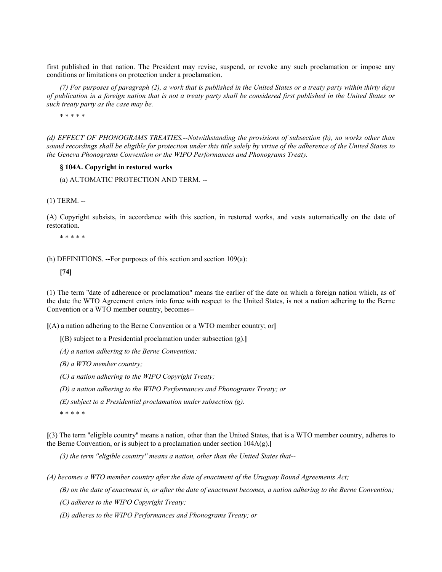first published in that nation. The President may revise, suspend, or revoke any such proclamation or impose any conditions or limitations on protection under a proclamation.

*(7) For purposes of paragraph (2), a work that is published in the United States or a treaty party within thirty days of publication in a foreign nation that is not a treaty party shall be considered first published in the United States or such treaty party as the case may be.*

\* \* \* \* \*

*(d) EFFECT OF PHONOGRAMS TREATIES.--Notwithstanding the provisions of subsection (b), no works other than sound recordings shall be eligible for protection under this title solely by virtue of the adherence of the United States to the Geneva Phonograms Convention or the WIPO Performances and Phonograms Treaty.*

### **§ 104A. Copyright in restored works**

(a) AUTOMATIC PROTECTION AND TERM. --

(1) TERM. --

(A) Copyright subsists, in accordance with this section, in restored works, and vests automatically on the date of restoration.

\* \* \* \* \*

(h) DEFINITIONS. --For purposes of this section and section 109(a):

**[74]**

(1) The term ''date of adherence or proclamation'' means the earlier of the date on which a foreign nation which, as of the date the WTO Agreement enters into force with respect to the United States, is not a nation adhering to the Berne Convention or a WTO member country, becomes--

**[**(A) a nation adhering to the Berne Convention or a WTO member country; or**]**

**[**(B) subject to a Presidential proclamation under subsection (g).**]**

- *(A) a nation adhering to the Berne Convention;*
- *(B) a WTO member country;*
- *(C) a nation adhering to the WIPO Copyright Treaty;*
- *(D) a nation adhering to the WIPO Performances and Phonograms Treaty; or*
- *(E) subject to a Presidential proclamation under subsection (g).*
- \* \* \* \* \*

**[**(3) The term ''eligible country'' means a nation, other than the United States, that is a WTO member country, adheres to the Berne Convention, or is subject to a proclamation under section 104A(g).**]**

*(3) the term ''eligible country'' means a nation, other than the United States that--*

*(A) becomes a WTO member country after the date of enactment of the Uruguay Round Agreements Act;*

*(B) on the date of enactment is, or after the date of enactment becomes, a nation adhering to the Berne Convention;*

*(C) adheres to the WIPO Copyright Treaty;*

*(D) adheres to the WIPO Performances and Phonograms Treaty; or*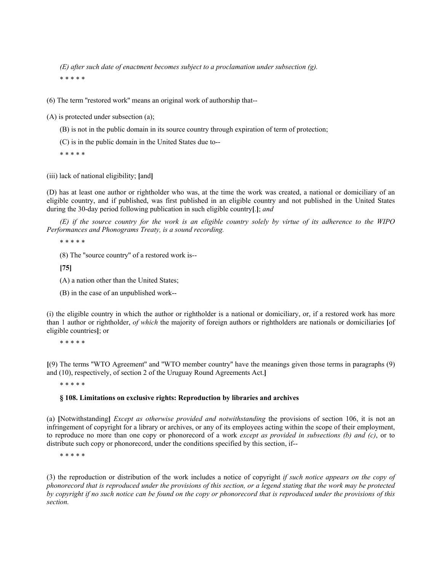*(E) after such date of enactment becomes subject to a proclamation under subsection (g).* \* \* \* \* \*

(6) The term ''restored work'' means an original work of authorship that--

(A) is protected under subsection (a);

(B) is not in the public domain in its source country through expiration of term of protection;

(C) is in the public domain in the United States due to--

\* \* \* \* \*

(iii) lack of national eligibility; **[**and**]**

(D) has at least one author or rightholder who was, at the time the work was created, a national or domiciliary of an eligible country, and if published, was first published in an eligible country and not published in the United States during the 30-day period following publication in such eligible country**[**.**]**; *and*

*(E) if the source country for the work is an eligible country solely by virtue of its adherence to the WIPO Performances and Phonograms Treaty, is a sound recording.*

\* \* \* \* \*

(8) The ''source country'' of a restored work is--

**[75]**

(A) a nation other than the United States;

(B) in the case of an unpublished work--

(i) the eligible country in which the author or rightholder is a national or domiciliary, or, if a restored work has more than 1 author or rightholder, *of which* the majority of foreign authors or rightholders are nationals or domiciliaries **[**of eligible countries**]**; or

\* \* \* \* \*

**[**(9) The terms ''WTO Agreement'' and ''WTO member country'' have the meanings given those terms in paragraphs (9) and (10), respectively, of section 2 of the Uruguay Round Agreements Act.**]**

\* \* \* \* \*

### **§ 108. Limitations on exclusive rights: Reproduction by libraries and archives**

(a) **[**Notwithstanding**]** *Except as otherwise provided and notwithstanding* the provisions of section 106, it is not an infringement of copyright for a library or archives, or any of its employees acting within the scope of their employment, to reproduce no more than one copy or phonorecord of a work *except as provided in subsections (b) and (c)*, or to distribute such copy or phonorecord, under the conditions specified by this section, if--

\* \* \* \* \*

(3) the reproduction or distribution of the work includes a notice of copyright *if such notice appears on the copy of phonorecord that is reproduced under the provisions of this section, or a legend stating that the work may be protected by copyright if no such notice can be found on the copy or phonorecord that is reproduced under the provisions of this section.*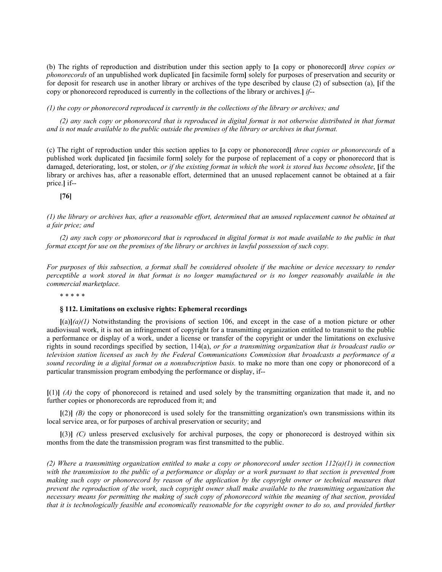(b) The rights of reproduction and distribution under this section apply to **[**a copy or phonorecord**]** *three copies or phonorecords* of an unpublished work duplicated **[**in facsimile form**]** solely for purposes of preservation and security or for deposit for research use in another library or archives of the type described by clause (2) of subsection (a), **[**if the copy or phonorecord reproduced is currently in the collections of the library or archives.**]** *if*--

*(1) the copy or phonorecord reproduced is currently in the collections of the library or archives; and*

*(2) any such copy or phonorecord that is reproduced in digital format is not otherwise distributed in that format and is not made available to the public outside the premises of the library or archives in that format.*

(c) The right of reproduction under this section applies to **[**a copy or phonorecord**]** *three copies or phonorecords* of a published work duplicated **[**in facsimile form**]** solely for the purpose of replacement of a copy or phonorecord that is damaged, deteriorating, lost, or stolen, *or if the existing format in which the work is stored has become obsolete*, **[**if the library or archives has, after a reasonable effort, determined that an unused replacement cannot be obtained at a fair price.**]** if--

**[76]**

*(1) the library or archives has, after a reasonable effort, determined that an unused replacement cannot be obtained at a fair price; and*

*(2) any such copy or phonorecord that is reproduced in digital format is not made available to the public in that format except for use on the premises of the library or archives in lawful possession of such copy.*

*For purposes of this subsection, a format shall be considered obsolete if the machine or device necessary to render perceptible a work stored in that format is no longer manufactured or is no longer reasonably available in the commercial marketplace.*

\* \* \* \* \*

## **§ 112. Limitations on exclusive rights: Ephemeral recordings**

 $[(a)]$  $(a)$  $(1)$  Notwithstanding the provisions of section 106, and except in the case of a motion picture or other audiovisual work, it is not an infringement of copyright for a transmitting organization entitled to transmit to the public a performance or display of a work, under a license or transfer of the copyright or under the limitations on exclusive rights in sound recordings specified by section, 114(a), *or for a transmitting organization that is broadcast radio or television station licensed as such by the Federal Communications Commission that broadcasts a performance of a sound recording in a digital format on a nonsubscription basis.* to make no more than one copy or phonorecord of a particular transmission program embodying the performance or display, if--

**[**(1)**]** *(A)* the copy of phonorecord is retained and used solely by the transmitting organization that made it, and no further copies or phonorecords are reproduced from it; and

**[**(2)**]** *(B)* the copy or phonorecord is used solely for the transmitting organization's own transmissions within its local service area, or for purposes of archival preservation or security; and

**[**(3)**]** *(C)* unless preserved exclusively for archival purposes, the copy or phonorecord is destroyed within six months from the date the transmission program was first transmitted to the public.

*(2) Where a transmitting organization entitled to make a copy or phonorecord under section 112(a)(1) in connection with the transmission to the public of a performance or display or a work pursuant to that section is prevented from making such copy or phonorecord by reason of the application by the copyright owner or technical measures that prevent the reproduction of the work, such copyright owner shall make available to the transmitting organization the necessary means for permitting the making of such copy of phonorecord within the meaning of that section, provided that it is technologically feasible and economically reasonable for the copyright owner to do so, and provided further*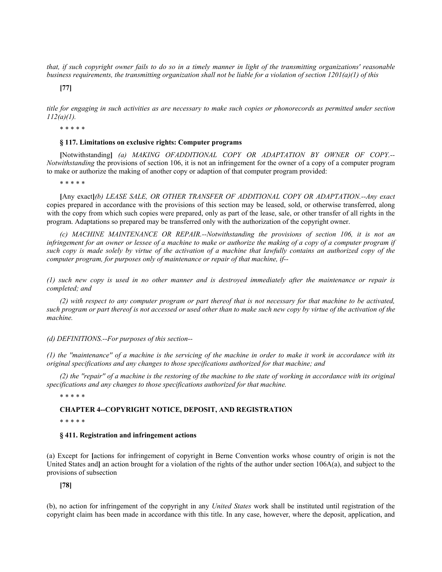*that, if such copyright owner fails to do so in a timely manner in light of the transmitting organizations' reasonable business requirements, the transmitting organization shall not be liable for a violation of section 1201(a)(1) of this*

**[77]**

*title for engaging in such activities as are necessary to make such copies or phonorecords as permitted under section 112(a)(1).*

\* \* \* \* \*

## **§ 117. Limitations on exclusive rights: Computer programs**

**[**Notwithstanding**]** *(a) MAKING OFADDITIONAL COPY OR ADAPTATION BY OWNER OF COPY.-- Notwithstanding* the provisions of section 106, it is not an infringement for the owner of a copy of a computer program to make or authorize the making of another copy or adaption of that computer program provided:

\* \* \* \* \*

**[**Any exact**]***(b) LEASE SALE, OR OTHER TRANSFER OF ADDITIONAL COPY OR ADAPTATION.--Any exact* copies prepared in accordance with the provisions of this section may be leased, sold, or otherwise transferred, along with the copy from which such copies were prepared, only as part of the lease, sale, or other transfer of all rights in the program. Adaptations so prepared may be transferred only with the authorization of the copyright owner.

*(c) MACHINE MAINTENANCE OR REPAIR.--Notwithstanding the provisions of section 106, it is not an infringement for an owner or lessee of a machine to make or authorize the making of a copy of a computer program if such copy is made solely by virtue of the activation of a machine that lawfully contains an authorized copy of the computer program, for purposes only of maintenance or repair of that machine, if--*

*(1) such new copy is used in no other manner and is destroyed immediately after the maintenance or repair is completed; and*

*(2) with respect to any computer program or part thereof that is not necessary for that machine to be activated, such program or part thereof is not accessed or used other than to make such new copy by virtue of the activation of the machine.*

#### *(d) DEFINITIONS.--For purposes of this section--*

*(1) the ''maintenance'' of a machine is the servicing of the machine in order to make it work in accordance with its original specifications and any changes to those specifications authorized for that machine; and*

*(2) the ''repair'' of a machine is the restoring of the machine to the state of working in accordance with its original specifications and any changes to those specifications authorized for that machine.*

\* \* \* \* \*

#### **CHAPTER 4--COPYRIGHT NOTICE, DEPOSIT, AND REGISTRATION**

\* \* \* \* \*

### **§ 411. Registration and infringement actions**

(a) Except for **[**actions for infringement of copyright in Berne Convention works whose country of origin is not the United States and an action brought for a violation of the rights of the author under section 106A(a), and subject to the provisions of subsection

**[78]**

(b), no action for infringement of the copyright in any *United States* work shall be instituted until registration of the copyright claim has been made in accordance with this title. In any case, however, where the deposit, application, and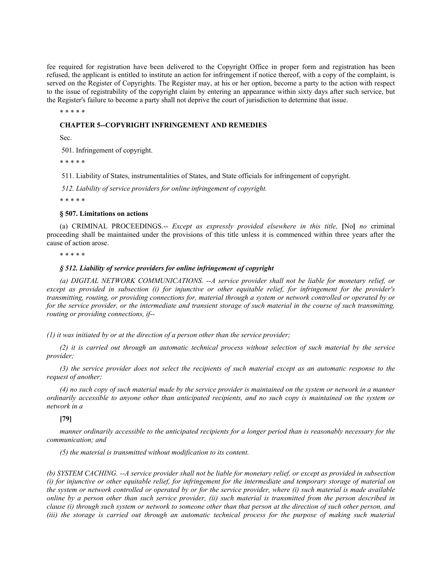fee required for registration have been delivered to the Copyright Office in proper form and registration has been refused, the applicant is entitled to institute an action for infringement if notice thereof, with a copy of the complaint, is served on the Register of Copyrights. The Register may, at his or her option, become a party to the action with respect to the issue of registrability of the copyright claim by entering an appearance within sixty days after such service, but the Register's failure to become a party shall not deprive the court of jurisdiction to determine that issue.

\* \* \* \* \*

### **CHAPTER 5--COPYRIGHT INFRINGEMENT AND REMEDIES**

Sec.

501. Infringement of copyright.

\* \* \* \* \*

511. Liability of States, instrumentalities of States, and State officials for infringement of copyright.

 *512. Liability of service providers for online infringement of copyright.*

\* \* \* \* \*

## **§ 507. Limitations on actions**

(a) CRIMINAL PROCEEDINGS.-- *Except as expressly provided elsewhere in this title,* **[**No**]** *no* criminal proceeding shall be maintained under the provisions of this title unless it is commenced within three years after the cause of action arose.

\* \* \* \* \*

### *§ 512. Liability of service providers for online infringement of copyright*

*(a) DIGITAL NETWORK COMMUNICATIONS. --A service provider shall not be liable for monetary relief, or except as provided in subsection (i) for injunctive or other equitable relief, for infringement for the provider's transmitting, routing, or providing connections for, material through a system or network controlled or operated by or*  for the service provider, or the intermediate and transient storage of such material in the course of such transmitting, *routing or providing connections, if--*

*(1) it was initiated by or at the direction of a person other than the service provider;*

*(2) it is carried out through an automatic technical process without selection of such material by the service provider;*

*(3) the service provider does not select the recipients of such material except as an automatic response to the request of another;*

*(4) no such copy of such material made by the service provider is maintained on the system or network in a manner ordinarily accessible to anyone other than anticipated recipients, and no such copy is maintained on the system or network in a*

### **[79]**

*manner ordinarily accessible to the anticipated recipients for a longer period than is reasonably necessary for the communication; and*

*(5) the material is transmitted without modification to its content.*

*(b) SYSTEM CACHING. --A service provider shall not be liable for monetary relief, or except as provided in subsection (i) for injunctive or other equitable relief, for infringement for the intermediate and temporary storage of material on the system or network controlled or operated by or for the service provider, where (i) such material is made available online by a person other than such service provider, (ii) such material is transmitted from the person described in clause (i) through such system or network to someone other than that person at the direction of such other person, and (iii) the storage is carried out through an automatic technical process for the purpose of making such material*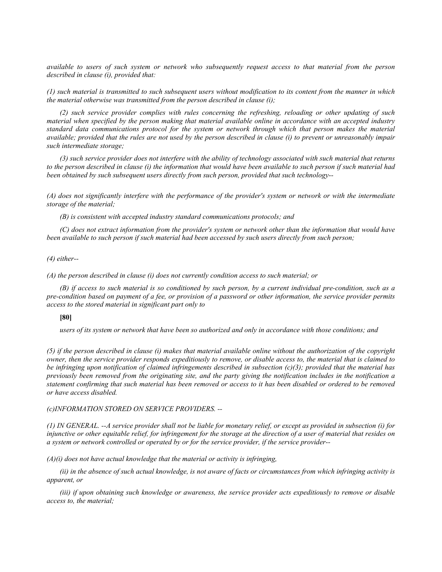*available to users of such system or network who subsequently request access to that material from the person described in clause (i), provided that:*

*(1) such material is transmitted to such subsequent users without modification to its content from the manner in which the material otherwise was transmitted from the person described in clause (i);*

*(2) such service provider complies with rules concerning the refreshing, reloading or other updating of such material when specified by the person making that material available online in accordance with an accepted industry standard data communications protocol for the system or network through which that person makes the material available; provided that the rules are not used by the person described in clause (i) to prevent or unreasonably impair such intermediate storage;*

*(3) such service provider does not interfere with the ability of technology associated with such material that returns to the person described in clause (i) the information that would have been available to such person if such material had been obtained by such subsequent users directly from such person, provided that such technology--*

*(A) does not significantly interfere with the performance of the provider's system or network or with the intermediate storage of the material;*

*(B) is consistent with accepted industry standard communications protocols; and*

*(C) does not extract information from the provider's system or network other than the information that would have been available to such person if such material had been accessed by such users directly from such person;*

*(4) either--*

*(A) the person described in clause (i) does not currently condition access to such material; or*

*(B) if access to such material is so conditioned by such person, by a current individual pre-condition, such as a pre-condition based on payment of a fee, or provision of a password or other information, the service provider permits access to the stored material in significant part only to*

## **[80]**

*users of its system or network that have been so authorized and only in accordance with those conditions; and*

*(5) if the person described in clause (i) makes that material available online without the authorization of the copyright owner, then the service provider responds expeditiously to remove, or disable access to, the material that is claimed to be infringing upon notification of claimed infringements described in subsection (c)(3); provided that the material has previously been removed from the originating site, and the party giving the notification includes in the notification a statement confirming that such material has been removed or access to it has been disabled or ordered to be removed or have access disabled.*

## *(c)INFORMATION STORED ON SERVICE PROVIDERS. --*

*(1) IN GENERAL. --A service provider shall not be liable for monetary relief, or except as provided in subsection (i) for injunctive or other equitable relief, for infringement for the storage at the direction of a user of material that resides on a system or network controlled or operated by or for the service provider, if the service provider--*

*(A)(i) does not have actual knowledge that the material or activity is infringing,*

*(ii) in the absence of such actual knowledge, is not aware of facts or circumstances from which infringing activity is apparent, or*

*(iii) if upon obtaining such knowledge or awareness, the service provider acts expeditiously to remove or disable access to, the material;*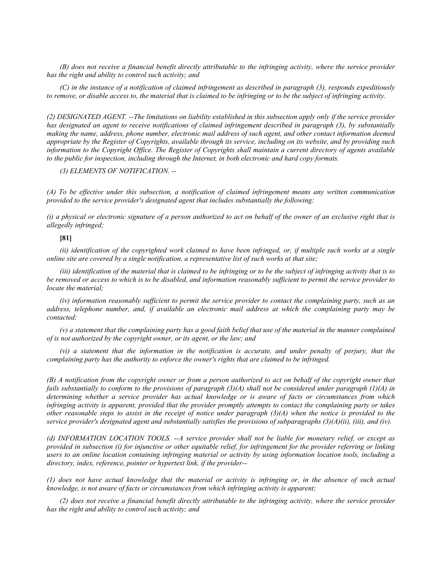*(B) does not receive a financial benefit directly attributable to the infringing activity, where the service provider has the right and ability to control such activity; and*

*(C) in the instance of a notification of claimed infringement as described in paragraph (3), responds expeditiously to remove, or disable access to, the material that is claimed to be infringing or to be the subject of infringing activity.*

*(2) DESIGNATED AGENT. --The limitations on liability established in this subsection apply only if the service provider has designated an agent to receive notifications of claimed infringement described in paragraph (3), by substantially making the name, address, phone number, electronic mail address of such agent, and other contact information deemed appropriate by the Register of Copyrights, available through its service, including on its website, and by providing such information to the Copyright Office. The Register of Copyrights shall maintain a current directory of agents available to the public for inspection, including through the Internet, in both electronic and hard copy formats.*

*(3) ELEMENTS OF NOTIFICATION. --*

*(A) To be effective under this subsection, a notification of claimed infringement means any written communication provided to the service provider's designated agent that includes substantially the following:*

*(i) a physical or electronic signature of a person authorized to act on behalf of the owner of an exclusive right that is allegedly infringed;*

# **[81]**

*(ii) identification of the copyrighted work claimed to have been infringed, or, if multiple such works at a single online site are covered by a single notification, a representative list of such works at that site;*

*(iii) identification of the material that is claimed to be infringing or to be the subject of infringing activity that is to be removed or access to which is to be disabled, and information reasonably sufficient to permit the service provider to locate the material;*

*(iv) information reasonably sufficient to permit the service provider to contact the complaining party, such as an address, telephone number, and, if available an electronic mail address at which the complaining party may be contacted;*

*(v) a statement that the complaining party has a good faith belief that use of the material in the manner complained of is not authorized by the copyright owner, or its agent, or the law; and*

*(vi) a statement that the information in the notification is accurate, and under penalty of perjury, that the complaining party has the authority to enforce the owner's rights that are claimed to be infringed.*

*(B) A notification from the copyright owner or from a person authorized to act on behalf of the copyright owner that fails substantially to conform to the provisions of paragraph (3)(A) shall not be considered under paragraph (1)(A) in determining whether a service provider has actual knowledge or is aware of facts or circumstances from which infringing activity is apparent, provided that the provider promptly attempts to contact the complaining party or takes other reasonable steps to assist in the receipt of notice under paragraph (3)(A) when the notice is provided to the service provider's designated agent and substantially satisfies the provisions of subparagraphs (3)(A)(ii), (iii), and (iv).*

*(d) INFORMATION LOCATION TOOLS. --A service provider shall not be liable for monetary relief, or except as provided in subsection (i) for injunctive or other equitable relief, for infringement for the provider referring or linking users to an online location containing infringing material or activity by using information location tools, including a directory, index, reference, pointer or hypertext link, if the provider--*

*(1) does not have actual knowledge that the material or activity is infringing or, in the absence of such actual knowledge, is not aware of facts or circumstances from which infringing activity is apparent;*

*(2) does not receive a financial benefit directly attributable to the infringing activity, where the service provider has the right and ability to control such activity; and*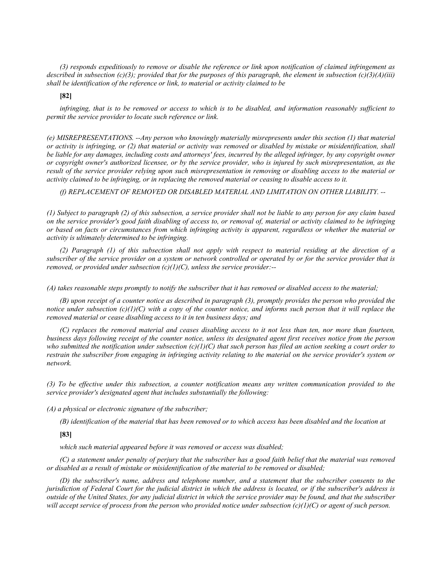*(3) responds expeditiously to remove or disable the reference or link upon notification of claimed infringement as described in subsection (c)(3); provided that for the purposes of this paragraph, the element in subsection (c)(3)(A)(iii) shall be identification of the reference or link, to material or activity claimed to be*

# **[82]**

*infringing, that is to be removed or access to which is to be disabled, and information reasonably sufficient to permit the service provider to locate such reference or link.*

*(e) MISREPRESENTATIONS. --Any person who knowingly materially misrepresents under this section (1) that material or activity is infringing, or (2) that material or activity was removed or disabled by mistake or misidentification, shall be liable for any damages, including costs and attorneys' fees, incurred by the alleged infringer, by any copyright owner or copyright owner's authorized licensee, or by the service provider, who is injured by such misrepresentation, as the result of the service provider relying upon such misrepresentation in removing or disabling access to the material or activity claimed to be infringing, or in replacing the removed material or ceasing to disable access to it.*

*(f) REPLACEMENT OF REMOVED OR DISABLED MATERIAL AND LIMITATION ON OTHER LIABILITY. --*

*(1) Subject to paragraph (2) of this subsection, a service provider shall not be liable to any person for any claim based on the service provider's good faith disabling of access to, or removal of, material or activity claimed to be infringing or based on facts or circumstances from which infringing activity is apparent, regardless or whether the material or activity is ultimately determined to be infringing.*

*(2) Paragraph (1) of this subsection shall not apply with respect to material residing at the direction of a subscriber of the service provider on a system or network controlled or operated by or for the service provider that is removed, or provided under subsection (c)(1)(C), unless the service provider:--*

*(A) takes reasonable steps promptly to notify the subscriber that it has removed or disabled access to the material;*

*(B) upon receipt of a counter notice as described in paragraph (3), promptly provides the person who provided the notice under subsection (c)(1)(C) with a copy of the counter notice, and informs such person that it will replace the removed material or cease disabling access to it in ten business days; and*

*(C) replaces the removed material and ceases disabling access to it not less than ten, nor more than fourteen, business days following receipt of the counter notice, unless its designated agent first receives notice from the person who submitted the notification under subsection (c)(1)(C) that such person has filed an action seeking a court order to restrain the subscriber from engaging in infringing activity relating to the material on the service provider's system or network.*

*(3) To be effective under this subsection, a counter notification means any written communication provided to the service provider's designated agent that includes substantially the following:*

*(A) a physical or electronic signature of the subscriber;*

*(B) identification of the material that has been removed or to which access has been disabled and the location at*

**[83]**

*which such material appeared before it was removed or access was disabled;*

*(C) a statement under penalty of perjury that the subscriber has a good faith belief that the material was removed or disabled as a result of mistake or misidentification of the material to be removed or disabled;*

*(D) the subscriber's name, address and telephone number, and a statement that the subscriber consents to the jurisdiction of Federal Court for the judicial district in which the address is located, or if the subscriber's address is outside of the United States, for any judicial district in which the service provider may be found, and that the subscriber will accept service of process from the person who provided notice under subsection (c)(1)(C) or agent of such person.*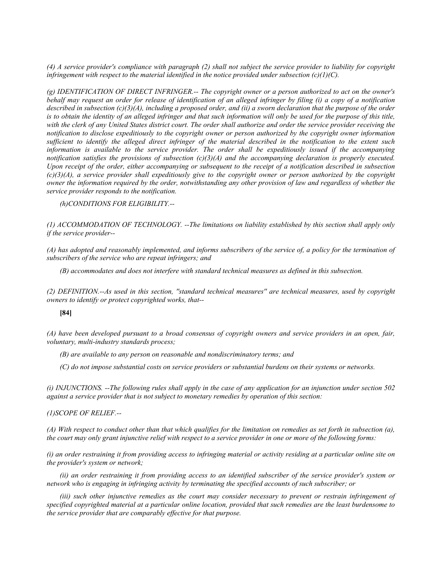*(4) A service provider's compliance with paragraph (2) shall not subject the service provider to liability for copyright infringement with respect to the material identified in the notice provided under subsection (c)(1)(C).*

*(g) IDENTIFICATION OF DIRECT INFRINGER.-- The copyright owner or a person authorized to act on the owner's behalf may request an order for release of identification of an alleged infringer by filing (i) a copy of a notification described in subsection (c)(3)(A), including a proposed order, and (ii) a sworn declaration that the purpose of the order*  is to obtain the identity of an alleged infringer and that such information will only be used for the purpose of this title, *with the clerk of any United States district court. The order shall authorize and order the service provider receiving the notification to disclose expeditiously to the copyright owner or person authorized by the copyright owner information sufficient to identify the alleged direct infringer of the material described in the notification to the extent such information is available to the service provider. The order shall be expeditiously issued if the accompanying notification satisfies the provisions of subsection (c)(3)(A) and the accompanying declaration is properly executed. Upon receipt of the order, either accompanying or subsequent to the receipt of a notification described in subsection (c)(3)(A), a service provider shall expeditiously give to the copyright owner or person authorized by the copyright owner the information required by the order, notwithstanding any other provision of law and regardless of whether the service provider responds to the notification.*

*(h)CONDITIONS FOR ELIGIBILITY.--*

*(1) ACCOMMODATION OF TECHNOLOGY. --The limitations on liability established by this section shall apply only if the service provider--*

*(A) has adopted and reasonably implemented, and informs subscribers of the service of, a policy for the termination of subscribers of the service who are repeat infringers; and*

*(B) accommodates and does not interfere with standard technical measures as defined in this subsection.*

*(2) DEFINITION.--As used in this section, ''standard technical measures'' are technical measures, used by copyright owners to identify or protect copyrighted works, that--*

## **[84]**

*(A) have been developed pursuant to a broad consensus of copyright owners and service providers in an open, fair, voluntary, multi-industry standards process;*

*(B) are available to any person on reasonable and nondiscriminatory terms; and*

*(C) do not impose substantial costs on service providers or substantial burdens on their systems or networks.*

*(i) INJUNCTIONS. --The following rules shall apply in the case of any application for an injunction under section 502 against a service provider that is not subject to monetary remedies by operation of this section:*

*(1)SCOPE OF RELIEF.--*

*(A) With respect to conduct other than that which qualifies for the limitation on remedies as set forth in subsection (a), the court may only grant injunctive relief with respect to a service provider in one or more of the following forms:*

*(i) an order restraining it from providing access to infringing material or activity residing at a particular online site on the provider's system or network;*

*(ii) an order restraining it from providing access to an identified subscriber of the service provider's system or network who is engaging in infringing activity by terminating the specified accounts of such subscriber; or*

*(iii) such other injunctive remedies as the court may consider necessary to prevent or restrain infringement of specified copyrighted material at a particular online location, provided that such remedies are the least burdensome to the service provider that are comparably effective for that purpose.*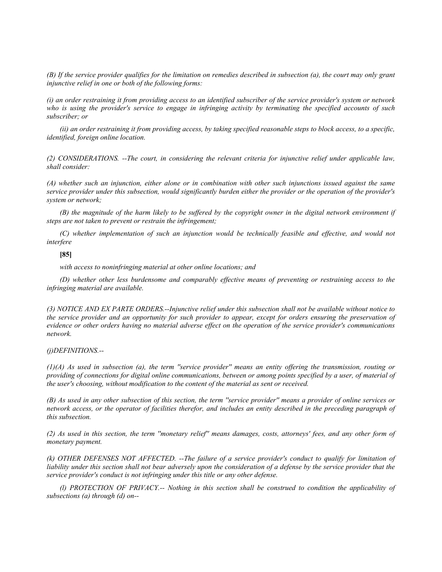*(B) If the service provider qualifies for the limitation on remedies described in subsection (a), the court may only grant injunctive relief in one or both of the following forms:*

*(i) an order restraining it from providing access to an identified subscriber of the service provider's system or network who is using the provider's service to engage in infringing activity by terminating the specified accounts of such subscriber; or*

*(ii) an order restraining it from providing access, by taking specified reasonable steps to block access, to a specific, identified, foreign online location.*

*(2) CONSIDERATIONS. --The court, in considering the relevant criteria for injunctive relief under applicable law, shall consider:*

*(A) whether such an injunction, either alone or in combination with other such injunctions issued against the same service provider under this subsection, would significantly burden either the provider or the operation of the provider's system or network;*

*(B) the magnitude of the harm likely to be suffered by the copyright owner in the digital network environment if steps are not taken to prevent or restrain the infringement;*

*(C) whether implementation of such an injunction would be technically feasible and effective, and would not interfere*

## **[85]**

*with access to noninfringing material at other online locations; and*

*(D) whether other less burdensome and comparably effective means of preventing or restraining access to the infringing material are available.*

*(3) NOTICE AND EX PARTE ORDERS.--Injunctive relief under this subsection shall not be available without notice to the service provider and an opportunity for such provider to appear, except for orders ensuring the preservation of evidence or other orders having no material adverse effect on the operation of the service provider's communications network.*

### *(j)DEFINITIONS.--*

*(1)(A) As used in subsection (a), the term ''service provider'' means an entity offering the transmission, routing or providing of connections for digital online communications, between or among points specified by a user, of material of the user's choosing, without modification to the content of the material as sent or received.*

*(B) As used in any other subsection of this section, the term ''service provider'' means a provider of online services or network access, or the operator of facilities therefor, and includes an entity described in the preceding paragraph of this subsection.*

*(2) As used in this section, the term ''monetary relief'' means damages, costs, attorneys' fees, and any other form of monetary payment.*

*(k) OTHER DEFENSES NOT AFFECTED. --The failure of a service provider's conduct to qualify for limitation of*  liability under this section shall not bear adversely upon the consideration of a defense by the service provider that the *service provider's conduct is not infringing under this title or any other defense.*

*(l) PROTECTION OF PRIVACY.-- Nothing in this section shall be construed to condition the applicability of subsections (a) through (d) on--*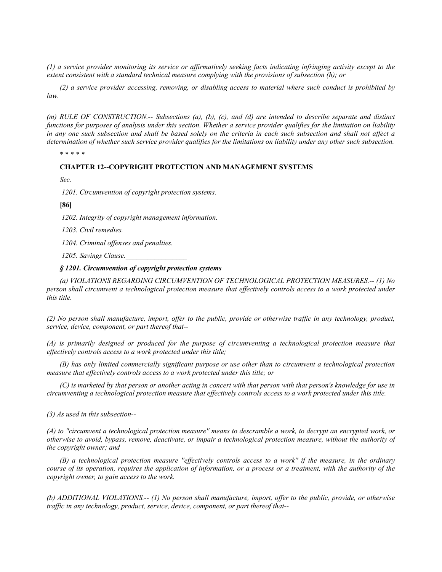*(1) a service provider monitoring its service or affirmatively seeking facts indicating infringing activity except to the extent consistent with a standard technical measure complying with the provisions of subsection (h); or*

*(2) a service provider accessing, removing, or disabling access to material where such conduct is prohibited by law.*

*(m) RULE OF CONSTRUCTION.-- Subsections (a), (b), (c), and (d) are intended to describe separate and distinct functions for purposes of analysis under this section. Whether a service provider qualifies for the limitation on liability in any one such subsection and shall be based solely on the criteria in each such subsection and shall not affect a determination of whether such service provider qualifies for the limitations on liability under any other such subsection.*

\* \* \* \* \*

# **CHAPTER 12--COPYRIGHT PROTECTION AND MANAGEMENT SYSTEMS**

*Sec.*

 *1201. Circumvention of copyright protection systems.*

**[86]**

 *1202. Integrity of copyright management information.*

 *1203. Civil remedies.*

 *1204. Criminal offenses and penalties.*

 *1205. Savings Clause.\_\_\_\_\_\_\_\_\_\_\_\_\_\_\_\_\_*

### *§ 1201. Circumvention of copyright protection systems*

*(a) VIOLATIONS REGARDING CIRCUMVENTION OF TECHNOLOGICAL PROTECTION MEASURES.-- (1) No person shall circumvent a technological protection measure that effectively controls access to a work protected under this title.*

*(2) No person shall manufacture, import, offer to the public, provide or otherwise traffic in any technology, product, service, device, component, or part thereof that--*

*(A) is primarily designed or produced for the purpose of circumventing a technological protection measure that effectively controls access to a work protected under this title;*

*(B) has only limited commercially significant purpose or use other than to circumvent a technological protection measure that effectively controls access to a work protected under this title; or*

*(C) is marketed by that person or another acting in concert with that person with that person's knowledge for use in circumventing a technological protection measure that effectively controls access to a work protected under this title.*

*(3) As used in this subsection--*

*(A) to ''circumvent a technological protection measure'' means to descramble a work, to decrypt an encrypted work, or otherwise to avoid, bypass, remove, deactivate, or impair a technological protection measure, without the authority of the copyright owner; and*

*(B) a technological protection measure ''effectively controls access to a work'' if the measure, in the ordinary course of its operation, requires the application of information, or a process or a treatment, with the authority of the copyright owner, to gain access to the work.*

*(b) ADDITIONAL VIOLATIONS.-- (1) No person shall manufacture, import, offer to the public, provide, or otherwise traffic in any technology, product, service, device, component, or part thereof that--*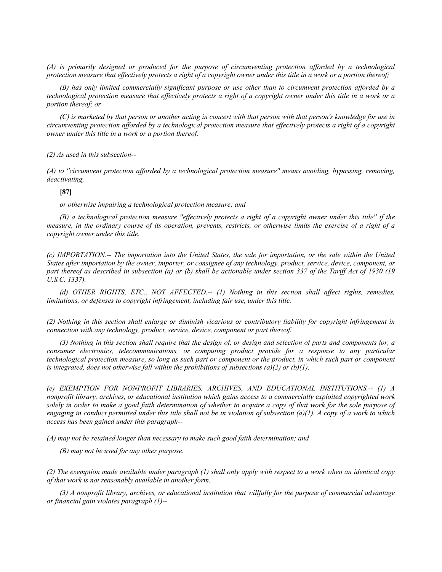*(A) is primarily designed or produced for the purpose of circumventing protection afforded by a technological protection measure that effectively protects a right of a copyright owner under this title in a work or a portion thereof;*

*(B) has only limited commercially significant purpose or use other than to circumvent protection afforded by a technological protection measure that effectively protects a right of a copyright owner under this title in a work or a portion thereof; or*

*(C) is marketed by that person or another acting in concert with that person with that person's knowledge for use in circumventing protection afforded by a technological protection measure that effectively protects a right of a copyright owner under this title in a work or a portion thereof.*

*(2) As used in this subsection--*

*(A) to ''circumvent protection afforded by a technological protection measure'' means avoiding, bypassing, removing, deactivating,*

### **[87]**

*or otherwise impairing a technological protection measure; and*

*(B) a technological protection measure ''effectively protects a right of a copyright owner under this title'' if the measure, in the ordinary course of its operation, prevents, restricts, or otherwise limits the exercise of a right of a copyright owner under this title.*

*(c) IMPORTATION.-- The importation into the United States, the sale for importation, or the sale within the United States after importation by the owner, importer, or consignee of any technology, product, service, device, component, or part thereof as described in subsection (a) or (b) shall be actionable under section 337 of the Tariff Act of 1930 (19 U.S.C. 1337).*

*(d) OTHER RIGHTS, ETC., NOT AFFECTED.-- (1) Nothing in this section shall affect rights, remedies, limitations, or defenses to copyright infringement, including fair use, under this title.*

*(2) Nothing in this section shall enlarge or diminish vicarious or contributory liability for copyright infringement in connection with any technology, product, service, device, component or part thereof.*

*(3) Nothing in this section shall require that the design of, or design and selection of parts and components for, a consumer electronics, telecommunications, or computing product provide for a response to any particular technological protection measure, so long as such part or component or the product, in which such part or component is integrated, does not otherwise fall within the prohibitions of subsections (a)(2) or (b)(1).*

*(e) EXEMPTION FOR NONPROFIT LIBRARIES, ARCHIVES, AND EDUCATIONAL INSTITUTIONS.-- (1) A nonprofit library, archives, or educational institution which gains access to a commercially exploited copyrighted work solely in order to make a good faith determination of whether to acquire a copy of that work for the sole purpose of engaging in conduct permitted under this title shall not be in violation of subsection (a)(1). A copy of a work to which access has been gained under this paragraph--*

*(A) may not be retained longer than necessary to make such good faith determination; and*

*(B) may not be used for any other purpose.*

*(2) The exemption made available under paragraph (1) shall only apply with respect to a work when an identical copy of that work is not reasonably available in another form.*

*(3) A nonprofit library, archives, or educational institution that willfully for the purpose of commercial advantage or financial gain violates paragraph (1)--*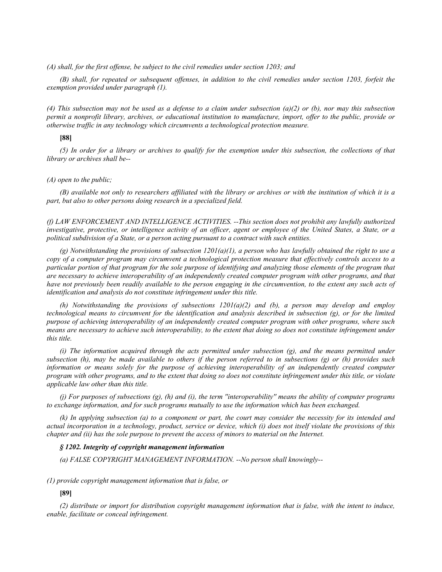### *(A) shall, for the first offense, be subject to the civil remedies under section 1203; and*

*(B) shall, for repeated or subsequent offenses, in addition to the civil remedies under section 1203, forfeit the exemption provided under paragraph (1).*

*(4) This subsection may not be used as a defense to a claim under subsection (a)(2) or (b), nor may this subsection permit a nonprofit library, archives, or educational institution to manufacture, import, offer to the public, provide or otherwise traffic in any technology which circumvents a technological protection measure.*

## **[88]**

*(5) In order for a library or archives to qualify for the exemption under this subsection, the collections of that library or archives shall be--*

## *(A) open to the public;*

*(B) available not only to researchers affiliated with the library or archives or with the institution of which it is a part, but also to other persons doing research in a specialized field.*

*(f) LAW ENFORCEMENT AND INTELLIGENCE ACTIVITIES. --This section does not prohibit any lawfully authorized investigative, protective, or intelligence activity of an officer, agent or employee of the United States, a State, or a political subdivision of a State, or a person acting pursuant to a contract with such entities.*

*(g) Notwithstanding the provisions of subsection 1201(a)(1), a person who has lawfully obtained the right to use a copy of a computer program may circumvent a technological protection measure that effectively controls access to a particular portion of that program for the sole purpose of identifying and analyzing those elements of the program that are necessary to achieve interoperability of an independently created computer program with other programs, and that have not previously been readily available to the person engaging in the circumvention, to the extent any such acts of identification and analysis do not constitute infringement under this title.*

*(h) Notwithstanding the provisions of subsections 1201(a)(2) and (b), a person may develop and employ technological means to circumvent for the identification and analysis described in subsection (g), or for the limited purpose of achieving interoperability of an independently created computer program with other programs, where such means are necessary to achieve such interoperability, to the extent that doing so does not constitute infringement under this title.*

*(i) The information acquired through the acts permitted under subsection (g), and the means permitted under subsection (h), may be made available to others if the person referred to in subsections (g) or (h) provides such information or means solely for the purpose of achieving interoperability of an independently created computer program with other programs, and to the extent that doing so does not constitute infringement under this title, or violate applicable law other than this title.*

*(j) For purposes of subsections (g), (h) and (i), the term ''interoperability'' means the ability of computer programs to exchange information, and for such programs mutually to use the information which has been exchanged.*

*(k) In applying subsection (a) to a component or part, the court may consider the necessity for its intended and actual incorporation in a technology, product, service or device, which (i) does not itself violate the provisions of this chapter and (ii) has the sole purpose to prevent the access of minors to material on the Internet.*

#### *§ 1202. Integrity of copyright management information*

*(a) FALSE COPYRIGHT MANAGEMENT INFORMATION. --No person shall knowingly--*

#### *(1) provide copyright management information that is false, or*

**[89]**

*(2) distribute or import for distribution copyright management information that is false, with the intent to induce, enable, facilitate or conceal infringement.*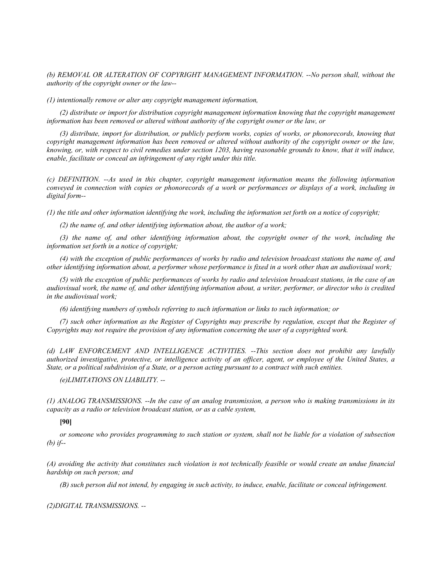*(b) REMOVAL OR ALTERATION OF COPYRIGHT MANAGEMENT INFORMATION. --No person shall, without the authority of the copyright owner or the law--*

*(1) intentionally remove or alter any copyright management information,*

*(2) distribute or import for distribution copyright management information knowing that the copyright management information has been removed or altered without authority of the copyright owner or the law, or*

*(3) distribute, import for distribution, or publicly perform works, copies of works, or phonorecords, knowing that copyright management information has been removed or altered without authority of the copyright owner or the law, knowing, or, with respect to civil remedies under section 1203, having reasonable grounds to know, that it will induce, enable, facilitate or conceal an infringement of any right under this title.*

*(c) DEFINITION. --As used in this chapter, copyright management information means the following information conveyed in connection with copies or phonorecords of a work or performances or displays of a work, including in digital form--*

*(1) the title and other information identifying the work, including the information set forth on a notice of copyright;*

*(2) the name of, and other identifying information about, the author of a work;*

*(3) the name of, and other identifying information about, the copyright owner of the work, including the information set forth in a notice of copyright;*

*(4) with the exception of public performances of works by radio and television broadcast stations the name of, and other identifying information about, a performer whose performance is fixed in a work other than an audiovisual work;*

*(5) with the exception of public performances of works by radio and television broadcast stations, in the case of an audiovisual work, the name of, and other identifying information about, a writer, performer, or director who is credited in the audiovisual work;*

*(6) identifying numbers of symbols referring to such information or links to such information; or*

*(7) such other information as the Register of Copyrights may prescribe by regulation, except that the Register of Copyrights may not require the provision of any information concerning the user of a copyrighted work.*

*(d) LAW ENFORCEMENT AND INTELLIGENCE ACTIVITIES. --This section does not prohibit any lawfully authorized investigative, protective, or intelligence activity of an officer, agent, or employee of the United States, a State, or a political subdivision of a State, or a person acting pursuant to a contract with such entities.*

*(e)LIMITATIONS ON LIABILITY. --*

*(1) ANALOG TRANSMISSIONS. --In the case of an analog transmission, a person who is making transmissions in its capacity as a radio or television broadcast station, or as a cable system,*

# **[90]**

*or someone who provides programming to such station or system, shall not be liable for a violation of subsection (b) if--*

*(A) avoiding the activity that constitutes such violation is not technically feasible or would create an undue financial hardship on such person; and*

*(B) such person did not intend, by engaging in such activity, to induce, enable, facilitate or conceal infringement.*

*(2)DIGITAL TRANSMISSIONS. --*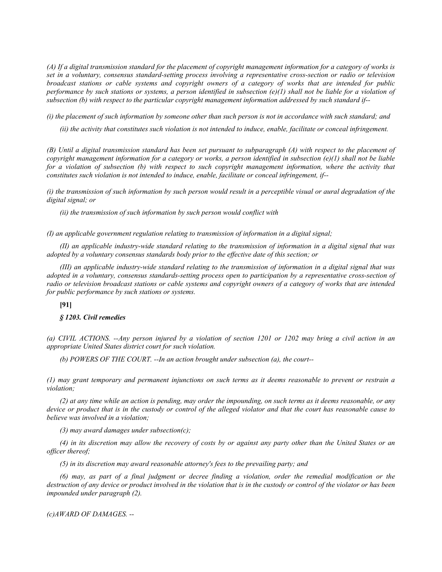*(A) If a digital transmission standard for the placement of copyright management information for a category of works is set in a voluntary, consensus standard-setting process involving a representative cross-section or radio or television broadcast stations or cable systems and copyright owners of a category of works that are intended for public performance by such stations or systems, a person identified in subsection (e)(1) shall not be liable for a violation of subsection (b) with respect to the particular copyright management information addressed by such standard if--*

*(i) the placement of such information by someone other than such person is not in accordance with such standard; and*

*(ii) the activity that constitutes such violation is not intended to induce, enable, facilitate or conceal infringement.*

*(B) Until a digital transmission standard has been set pursuant to subparagraph (A) with respect to the placement of copyright management information for a category or works, a person identified in subsection (e)(1) shall not be liable for a violation of subsection (b) with respect to such copyright management information, where the activity that constitutes such violation is not intended to induce, enable, facilitate or conceal infringement, if--*

*(i) the transmission of such information by such person would result in a perceptible visual or aural degradation of the digital signal; or*

*(ii) the transmission of such information by such person would conflict with*

*(I) an applicable government regulation relating to transmission of information in a digital signal;*

*(II) an applicable industry-wide standard relating to the transmission of information in a digital signal that was adopted by a voluntary consensus standards body prior to the effective date of this section; or*

*(III) an applicable industry-wide standard relating to the transmission of information in a digital signal that was adopted in a voluntary, consensus standards-setting process open to participation by a representative cross-section of radio or television broadcast stations or cable systems and copyright owners of a category of works that are intended for public performance by such stations or systems.*

## **[91]**

#### *§ 1203. Civil remedies*

*(a) CIVIL ACTIONS. --Any person injured by a violation of section 1201 or 1202 may bring a civil action in an appropriate United States district court for such violation.*

*(b) POWERS OF THE COURT. --In an action brought under subsection (a), the court--*

*(1) may grant temporary and permanent injunctions on such terms as it deems reasonable to prevent or restrain a violation;*

*(2) at any time while an action is pending, may order the impounding, on such terms as it deems reasonable, or any device or product that is in the custody or control of the alleged violator and that the court has reasonable cause to believe was involved in a violation;*

*(3) may award damages under subsection(c);*

*(4) in its discretion may allow the recovery of costs by or against any party other than the United States or an officer thereof;*

*(5) in its discretion may award reasonable attorney's fees to the prevailing party; and*

*(6) may, as part of a final judgment or decree finding a violation, order the remedial modification or the destruction of any device or product involved in the violation that is in the custody or control of the violator or has been impounded under paragraph (2).*

*(c)AWARD OF DAMAGES. --*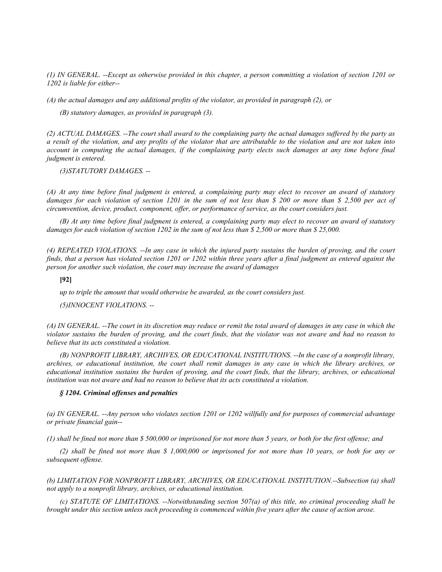*(1) IN GENERAL. --Except as otherwise provided in this chapter, a person committing a violation of section 1201 or 1202 is liable for either--*

*(A) the actual damages and any additional profits of the violator, as provided in paragraph (2), or*

*(B) statutory damages, as provided in paragraph (3).*

*(2) ACTUAL DAMAGES. --The court shall award to the complaining party the actual damages suffered by the party as a result of the violation, and any profits of the violator that are attributable to the violation and are not taken into account in computing the actual damages, if the complaining party elects such damages at any time before final judgment is entered.*

*(3)STATUTORY DAMAGES. --*

*(A) At any time before final judgment is entered, a complaining party may elect to recover an award of statutory damages for each violation of section 1201 in the sum of not less than \$ 200 or more than \$ 2,500 per act of circumvention, device, product, component, offer, or performance of service, as the court considers just.*

*(B) At any time before final judgment is entered, a complaining party may elect to recover an award of statutory damages for each violation of section 1202 in the sum of not less than \$ 2,500 or more than \$ 25,000.*

*(4) REPEATED VIOLATIONS. --In any case in which the injured party sustains the burden of proving, and the court finds, that a person has violated section 1201 or 1202 within three years after a final judgment as entered against the person for another such violation, the court may increase the award of damages*

**[92]**

*up to triple the amount that would otherwise be awarded, as the court considers just.*

*(5)INNOCENT VIOLATIONS. --*

*(A) IN GENERAL. --The court in its discretion may reduce or remit the total award of damages in any case in which the violator sustains the burden of proving, and the court finds, that the violator was not aware and had no reason to believe that its acts constituted a violation.*

*(B) NONPROFIT LIBRARY, ARCHIVES, OR EDUCATIONAL INSTITUTIONS. --In the case of a nonprofit library, archives, or educational institution, the court shall remit damages in any case in which the library archives, or educational institution sustains the burden of proving, and the court finds, that the library, archives, or educational institution was not aware and had no reason to believe that its acts constituted a violation.*

## *§ 1204. Criminal offenses and penalties*

*(a) IN GENERAL. --Any person who violates section 1201 or 1202 willfully and for purposes of commercial advantage or private financial gain--*

*(1) shall be fined not more than \$ 500,000 or imprisoned for not more than 5 years, or both for the first offense; and*

*(2) shall be fined not more than \$ 1,000,000 or imprisoned for not more than 10 years, or both for any or subsequent offense.*

*(b) LIMITATION FOR NONPROFIT LIBRARY, ARCHIVES, OR EDUCATIONAL INSTITUTION.--Subsection (a) shall not apply to a nonprofit library, archives, or educational institution.*

*(c) STATUTE OF LIMITATIONS. --Notwithstanding section 507(a) of this title, no criminal proceeding shall be brought under this section unless such proceeding is commenced within five years after the cause of action arose.*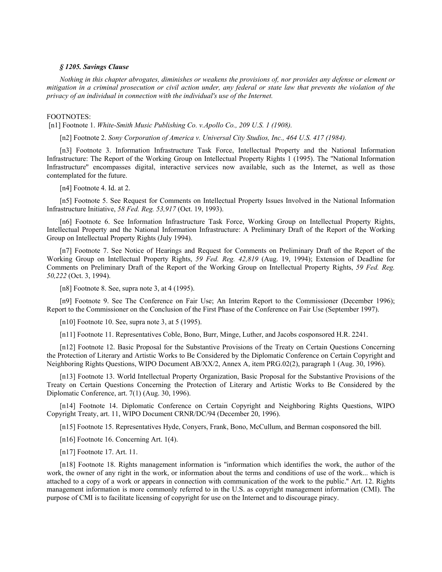# *§ 1205. Savings Clause*

*Nothing in this chapter abrogates, diminishes or weakens the provisions of, nor provides any defense or element or mitigation in a criminal prosecution or civil action under, any federal or state law that prevents the violation of the privacy of an individual in connection with the individual's use of the Internet.*

#### FOOTNOTES:

[n1] Footnote 1. *White-Smith Music Publishing Co. v.Apollo Co., 209 U.S. 1 (1908).*

[n2] Footnote 2. *Sony Corporation of America v. Universal City Studios, Inc., 464 U.S. 417 (1984).*

[n3] Footnote 3. Information Infrastructure Task Force, Intellectual Property and the National Information Infrastructure: The Report of the Working Group on Intellectual Property Rights 1 (1995). The ''National Information Infrastructure'' encompasses digital, interactive services now available, such as the Internet, as well as those contemplated for the future.

[n4] Footnote 4. Id. at 2.

[n5] Footnote 5. See Request for Comments on Intellectual Property Issues Involved in the National Information Infrastructure Initiative, *58 Fed. Reg. 53,917* (Oct. 19, 1993).

[n6] Footnote 6. See Information Infrastructure Task Force, Working Group on Intellectual Property Rights, Intellectual Property and the National Information Infrastructure: A Preliminary Draft of the Report of the Working Group on Intellectual Property Rights (July 1994).

[n7] Footnote 7. See Notice of Hearings and Request for Comments on Preliminary Draft of the Report of the Working Group on Intellectual Property Rights, *59 Fed. Reg. 42,819* (Aug. 19, 1994); Extension of Deadline for Comments on Preliminary Draft of the Report of the Working Group on Intellectual Property Rights, *59 Fed. Reg. 50,222* (Oct. 3, 1994).

[n8] Footnote 8. See, supra note 3, at 4 (1995).

[n9] Footnote 9. See The Conference on Fair Use; An Interim Report to the Commissioner (December 1996); Report to the Commissioner on the Conclusion of the First Phase of the Conference on Fair Use (September 1997).

[n10] Footnote 10. See, supra note 3, at 5 (1995).

[n11] Footnote 11. Representatives Coble, Bono, Burr, Minge, Luther, and Jacobs cosponsored H.R. 2241.

[n12] Footnote 12. Basic Proposal for the Substantive Provisions of the Treaty on Certain Questions Concerning the Protection of Literary and Artistic Works to Be Considered by the Diplomatic Conference on Certain Copyright and Neighboring Rights Questions, WIPO Document AB/XX/2, Annex A, item PRG.02(2), paragraph 1 (Aug. 30, 1996).

[n13] Footnote 13. World Intellectual Property Organization, Basic Proposal for the Substantive Provisions of the Treaty on Certain Questions Concerning the Protection of Literary and Artistic Works to Be Considered by the Diplomatic Conference, art. 7(1) (Aug. 30, 1996).

[n14] Footnote 14. Diplomatic Conference on Certain Copyright and Neighboring Rights Questions, WIPO Copyright Treaty, art. 11, WIPO Document CRNR/DC/94 (December 20, 1996).

[n15] Footnote 15. Representatives Hyde, Conyers, Frank, Bono, McCullum, and Berman cosponsored the bill.

[n16] Footnote 16. Concerning Art. 1(4).

[n17] Footnote 17. Art. 11.

[n18] Footnote 18. Rights management information is ''information which identifies the work, the author of the work, the owner of any right in the work, or information about the terms and conditions of use of the work... which is attached to a copy of a work or appears in connection with communication of the work to the public.'' Art. 12. Rights management information is more commonly referred to in the U.S. as copyright management information (CMI). The purpose of CMI is to facilitate licensing of copyright for use on the Internet and to discourage piracy.